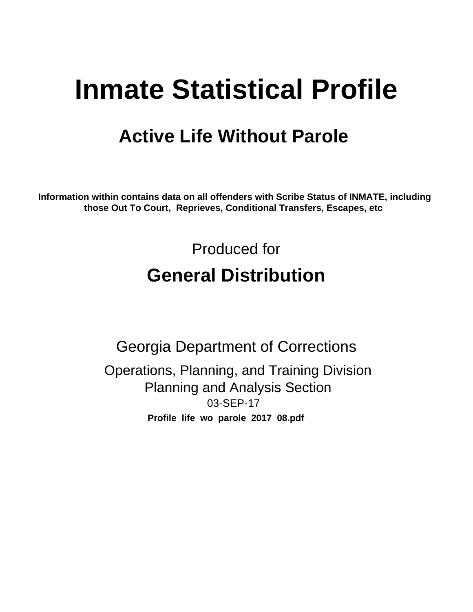# **Inmate Statistical Profile**

# **Active Life Without Parole**

Information within contains data on all offenders with Scribe Status of INMATE, including those Out To Court, Reprieves, Conditional Transfers, Escapes, etc

> Produced for **General Distribution**

**Georgia Department of Corrections** Operations, Planning, and Training Division **Planning and Analysis Section** 03-SEP-17 Profile\_life\_wo\_parole\_2017\_08.pdf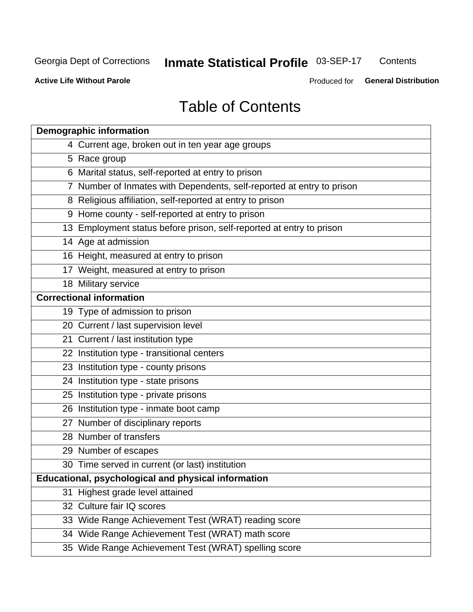#### Inmate Statistical Profile 03-SEP-17 Contents

**Active Life Without Parole** 

Produced for General Distribution

# **Table of Contents**

|    | <b>Demographic information</b>                                        |
|----|-----------------------------------------------------------------------|
|    | 4 Current age, broken out in ten year age groups                      |
|    | 5 Race group                                                          |
|    | 6 Marital status, self-reported at entry to prison                    |
|    | 7 Number of Inmates with Dependents, self-reported at entry to prison |
|    | 8 Religious affiliation, self-reported at entry to prison             |
|    | 9 Home county - self-reported at entry to prison                      |
|    | 13 Employment status before prison, self-reported at entry to prison  |
|    | 14 Age at admission                                                   |
|    | 16 Height, measured at entry to prison                                |
|    | 17 Weight, measured at entry to prison                                |
|    | 18 Military service                                                   |
|    | <b>Correctional information</b>                                       |
|    | 19 Type of admission to prison                                        |
|    | 20 Current / last supervision level                                   |
|    | 21 Current / last institution type                                    |
|    | 22 Institution type - transitional centers                            |
|    | 23 Institution type - county prisons                                  |
|    | 24 Institution type - state prisons                                   |
|    | 25 Institution type - private prisons                                 |
|    | 26 Institution type - inmate boot camp                                |
|    | 27 Number of disciplinary reports                                     |
|    | 28 Number of transfers                                                |
|    | 29 Number of escapes                                                  |
|    | 30 Time served in current (or last) institution                       |
|    | Educational, psychological and physical information                   |
| 31 | Highest grade level attained                                          |
|    | 32 Culture fair IQ scores                                             |
|    | 33 Wide Range Achievement Test (WRAT) reading score                   |
|    | 34 Wide Range Achievement Test (WRAT) math score                      |
|    | 35 Wide Range Achievement Test (WRAT) spelling score                  |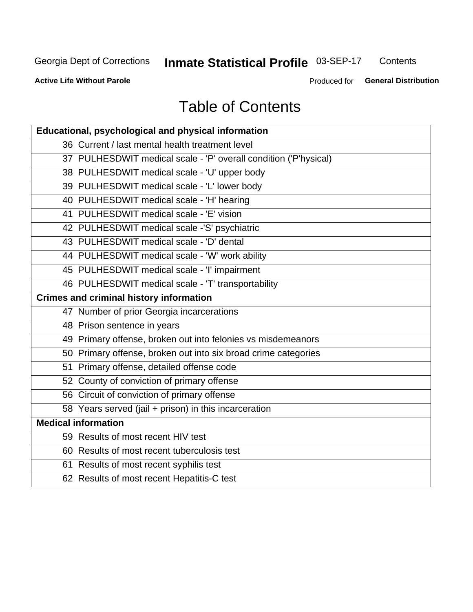# Inmate Statistical Profile 03-SEP-17

Contents

**Active Life Without Parole** 

Produced for General Distribution

# **Table of Contents**

| Educational, psychological and physical information              |
|------------------------------------------------------------------|
| 36 Current / last mental health treatment level                  |
| 37 PULHESDWIT medical scale - 'P' overall condition ('P'hysical) |
| 38 PULHESDWIT medical scale - 'U' upper body                     |
| 39 PULHESDWIT medical scale - 'L' lower body                     |
| 40 PULHESDWIT medical scale - 'H' hearing                        |
| 41 PULHESDWIT medical scale - 'E' vision                         |
| 42 PULHESDWIT medical scale -'S' psychiatric                     |
| 43 PULHESDWIT medical scale - 'D' dental                         |
| 44 PULHESDWIT medical scale - 'W' work ability                   |
| 45 PULHESDWIT medical scale - 'I' impairment                     |
| 46 PULHESDWIT medical scale - 'T' transportability               |
| <b>Crimes and criminal history information</b>                   |
| 47 Number of prior Georgia incarcerations                        |
| 48 Prison sentence in years                                      |
| 49 Primary offense, broken out into felonies vs misdemeanors     |
| 50 Primary offense, broken out into six broad crime categories   |
| 51 Primary offense, detailed offense code                        |
| 52 County of conviction of primary offense                       |
| 56 Circuit of conviction of primary offense                      |
| 58 Years served (jail + prison) in this incarceration            |
| <b>Medical information</b>                                       |
| 59 Results of most recent HIV test                               |
| 60 Results of most recent tuberculosis test                      |
| 61 Results of most recent syphilis test                          |
| 62 Results of most recent Hepatitis-C test                       |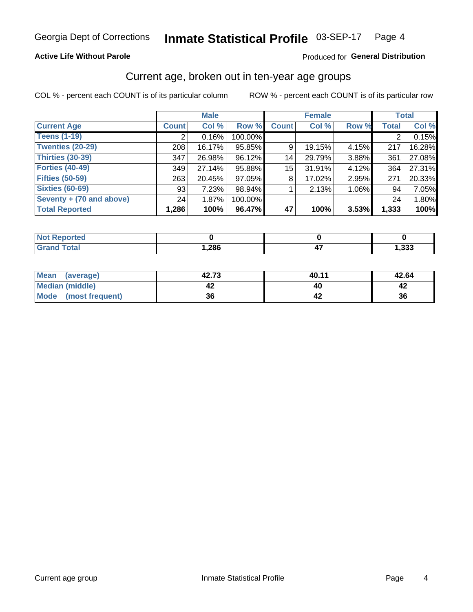### **Active Life Without Parole**

### Produced for General Distribution

# Current age, broken out in ten-year age groups

COL % - percent each COUNT is of its particular column

|                          | <b>Male</b>  |        |         | <b>Female</b> |        |       |              | <b>Total</b> |
|--------------------------|--------------|--------|---------|---------------|--------|-------|--------------|--------------|
| <b>Current Age</b>       | <b>Count</b> | Col %  | Row %   | <b>Count</b>  | Col %  | Row % | <b>Total</b> | Col %        |
| <b>Teens (1-19)</b>      | ◠            | 0.16%  | 100.00% |               |        |       | 2            | 0.15%        |
| <b>Twenties (20-29)</b>  | 208          | 16.17% | 95.85%  | 9             | 19.15% | 4.15% | 217          | 16.28%       |
| Thirties (30-39)         | 347          | 26.98% | 96.12%  | 14            | 29.79% | 3.88% | 361          | 27.08%       |
| <b>Forties (40-49)</b>   | 349          | 27.14% | 95.88%  | 15            | 31.91% | 4.12% | 364          | 27.31%       |
| <b>Fifties (50-59)</b>   | 263          | 20.45% | 97.05%  | 8             | 17.02% | 2.95% | 271          | 20.33%       |
| <b>Sixties (60-69)</b>   | 93           | 7.23%  | 98.94%  |               | 2.13%  | 1.06% | 94           | 7.05%        |
| Seventy + (70 and above) | 24           | 1.87%  | 100.00% |               |        |       | 24           | 1.80%        |
| <b>Total Reported</b>    | 1,286        | 100%   | 96.47%  | 47            | 100%   | 3.53% | 1,333        | 100%         |

| <b>September</b>      |      |      |
|-----------------------|------|------|
| $f \wedge f \wedge f$ | ,286 | ,333 |

| Mean<br>(average)       | 42.73 | 40.11 | 42.64 |
|-------------------------|-------|-------|-------|
| <b>Median (middle)</b>  |       |       |       |
| Mode<br>(most frequent) | 36    |       | 36    |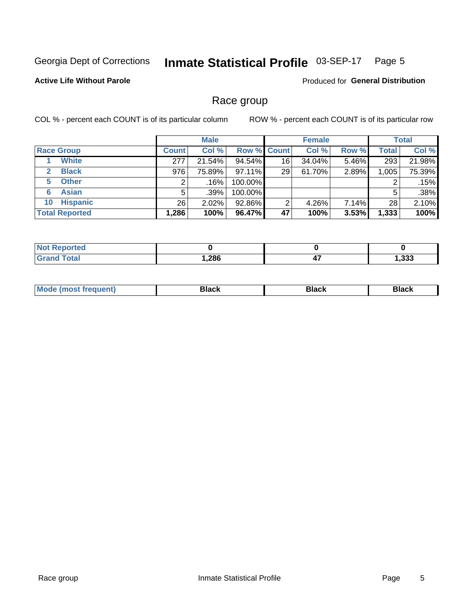#### Inmate Statistical Profile 03-SEP-17 Page 5

### **Active Life Without Parole**

**Produced for General Distribution** 

# Race group

COL % - percent each COUNT is of its particular column

|                              | <b>Male</b>  |          |                    | <b>Female</b> |        |       | <b>Total</b> |        |
|------------------------------|--------------|----------|--------------------|---------------|--------|-------|--------------|--------|
| <b>Race Group</b>            | <b>Count</b> | Col %    | <b>Row % Count</b> |               | Col %  | Row % | <b>Total</b> | Col %  |
| <b>White</b>                 | 277          | 21.54%   | 94.54%             | 16            | 34.04% | 5.46% | 293          | 21.98% |
| <b>Black</b><br>$\mathbf{2}$ | 976          | 75.89%   | $97.11\%$          | 29            | 61.70% | 2.89% | 1,005        | 75.39% |
| <b>Other</b><br>5.           |              | .16%     | 100.00%            |               |        |       | 2            | .15%   |
| <b>Asian</b><br>6            | 5            | .39%     | 100.00%            |               |        |       | 5            | .38%   |
| <b>Hispanic</b><br>10        | 26           | $2.02\%$ | 92.86%             | 2             | 4.26%  | 7.14% | 28           | 2.10%  |
| <b>Total Reported</b>        | 1,286        | 100%     | 96.47%             | 47            | 100%   | 3.53% | 1,333        | 100%   |

| <b>roorted</b> |      |                |        |
|----------------|------|----------------|--------|
| <b>Total</b>   | ,286 | --<br>"<br>- 1 | 333, ا |

| –•••• |  | M |  |  |  |
|-------|--|---|--|--|--|
|-------|--|---|--|--|--|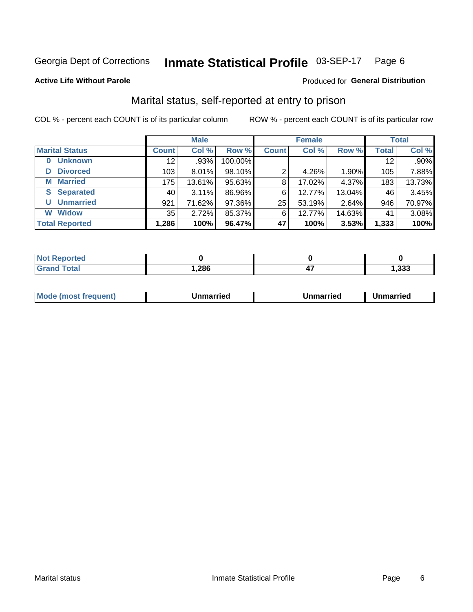#### Inmate Statistical Profile 03-SEP-17 Page 6

### **Active Life Without Parole**

### Produced for General Distribution

# Marital status, self-reported at entry to prison

COL % - percent each COUNT is of its particular column

|                            | <b>Male</b>  |          |         | <b>Female</b> | <b>Total</b> |        |              |        |
|----------------------------|--------------|----------|---------|---------------|--------------|--------|--------------|--------|
| <b>Marital Status</b>      | <b>Count</b> | Col %    | Row %   | <b>Count</b>  | Col %        | Row %  | <b>Total</b> | Col %  |
| <b>Unknown</b><br>$\bf{0}$ | 12           | $.93\%$  | 100.00% |               |              |        | 12           | .90%   |
| <b>Divorced</b><br>D       | 103          | $8.01\%$ | 98.10%  | 2             | 4.26%        | 1.90%  | 105          | 7.88%  |
| <b>Married</b><br>М        | 175          | 13.61%   | 95.63%  | 8             | 17.02%       | 4.37%  | 183          | 13.73% |
| <b>Separated</b><br>S.     | 40           | $3.11\%$ | 86.96%  | 6             | 12.77%       | 13.04% | 46           | 3.45%  |
| <b>Unmarried</b><br>U      | 921          | 71.62%   | 97.36%  | 25            | 53.19%       | 2.64%  | 946          | 70.97% |
| <b>Widow</b><br>W          | 35           | 2.72%    | 85.37%  | 6             | 12.77%       | 14.63% | 41           | 3.08%  |
| <b>Total Reported</b>      | 1,286        | 100%     | 96.47%  | 47            | 100%         | 3.53%  | 1,333        | 100%   |

| <b>Not Reported</b> |       |       |
|---------------------|-------|-------|
| Total               | 1,286 | , 333 |

|  | M | . | Unmarried | າmarried<br>_____ |
|--|---|---|-----------|-------------------|
|--|---|---|-----------|-------------------|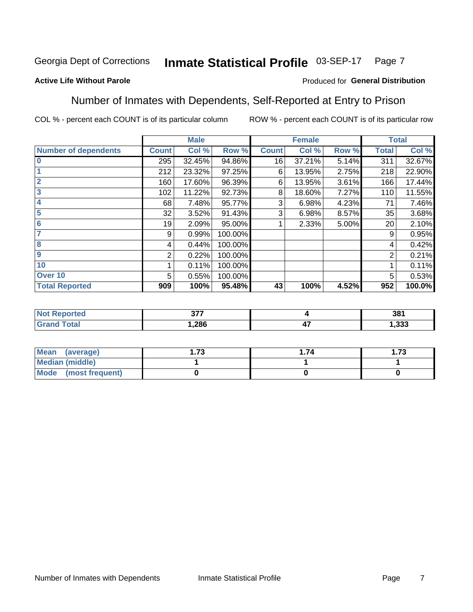#### Inmate Statistical Profile 03-SEP-17 Page 7

### **Active Life Without Parole**

### Produced for General Distribution

# Number of Inmates with Dependents, Self-Reported at Entry to Prison

COL % - percent each COUNT is of its particular column

|                             |              | <b>Male</b> |         |              | <b>Female</b> |       |              | <b>Total</b> |
|-----------------------------|--------------|-------------|---------|--------------|---------------|-------|--------------|--------------|
| <b>Number of dependents</b> | <b>Count</b> | Col %       | Row %   | <b>Count</b> | Col %         | Row % | <b>Total</b> | Col %        |
| $\bf{0}$                    | 295          | 32.45%      | 94.86%  | 16           | 37.21%        | 5.14% | 311          | 32.67%       |
|                             | 212          | 23.32%      | 97.25%  | 6            | 13.95%        | 2.75% | 218          | 22.90%       |
| $\overline{2}$              | 160          | 17.60%      | 96.39%  | 6            | 13.95%        | 3.61% | 166          | 17.44%       |
| 3                           | 102          | 11.22%      | 92.73%  | 8            | 18.60%        | 7.27% | 110          | 11.55%       |
| 4                           | 68           | 7.48%       | 95.77%  | 3            | 6.98%         | 4.23% | 71           | 7.46%        |
| 5                           | 32           | 3.52%       | 91.43%  | 3            | 6.98%         | 8.57% | 35           | 3.68%        |
| 6                           | 19           | 2.09%       | 95.00%  |              | 2.33%         | 5.00% | 20           | 2.10%        |
| 7                           | 9            | 0.99%       | 100.00% |              |               |       | 9            | 0.95%        |
| 8                           | 4            | 0.44%       | 100.00% |              |               |       | 4            | 0.42%        |
| $\boldsymbol{9}$            | 2            | 0.22%       | 100.00% |              |               |       | 2            | 0.21%        |
| 10                          |              | 0.11%       | 100.00% |              |               |       |              | 0.11%        |
| Over 10                     | 5            | 0.55%       | 100.00% |              |               |       | 5            | 0.53%        |
| <b>Total Reported</b>       | 909          | 100%        | 95.48%  | 43           | 100%          | 4.52% | 952          | 100.0%       |

| τeυ | $\sim$ $\sim$ $\sim$<br>J. |                     | 381           |
|-----|----------------------------|---------------------|---------------|
|     | ,286                       | $\mathbf{r}$<br>- 1 | nnn<br>ددد. ا |

| Mean (average)          | 70 | . 74 | 72<br>I . / J |
|-------------------------|----|------|---------------|
| <b>Median (middle)</b>  |    |      |               |
| Mode<br>(most frequent) |    |      |               |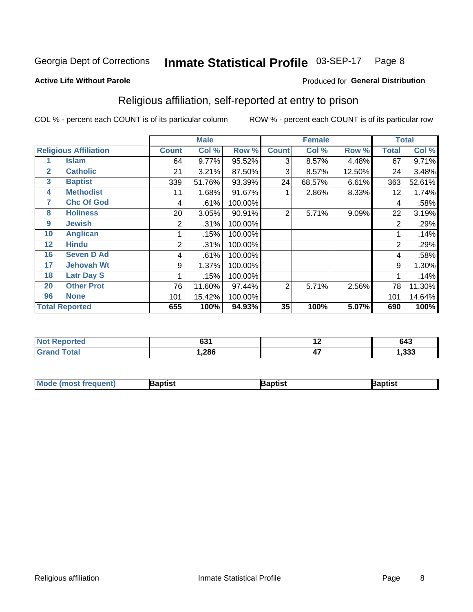#### Inmate Statistical Profile 03-SEP-17 Page 8

**Active Life Without Parole** 

### Produced for General Distribution

# Religious affiliation, self-reported at entry to prison

COL % - percent each COUNT is of its particular column

|              |                              | <b>Male</b>  |        |         | <b>Female</b>  |        |        | <b>Total</b> |        |
|--------------|------------------------------|--------------|--------|---------|----------------|--------|--------|--------------|--------|
|              | <b>Religious Affiliation</b> | <b>Count</b> | Col %  | Row %   | <b>Count</b>   | Col %  | Row %  | Total        | Col %  |
|              | <b>Islam</b>                 | 64           | 9.77%  | 95.52%  | 3              | 8.57%  | 4.48%  | 67           | 9.71%  |
| $\mathbf{2}$ | <b>Catholic</b>              | 21           | 3.21%  | 87.50%  | 3              | 8.57%  | 12.50% | 24           | 3.48%  |
| 3            | <b>Baptist</b>               | 339          | 51.76% | 93.39%  | 24             | 68.57% | 6.61%  | 363          | 52.61% |
| 4            | <b>Methodist</b>             | 11           | 1.68%  | 91.67%  |                | 2.86%  | 8.33%  | 12           | 1.74%  |
| 7            | <b>Chc Of God</b>            | 4            | .61%   | 100.00% |                |        |        | 4            | .58%   |
| 8            | <b>Holiness</b>              | 20           | 3.05%  | 90.91%  | $\overline{2}$ | 5.71%  | 9.09%  | 22           | 3.19%  |
| 9            | <b>Jewish</b>                | 2            | .31%   | 100.00% |                |        |        | 2            | .29%   |
| 10           | <b>Anglican</b>              |              | .15%   | 100.00% |                |        |        |              | .14%   |
| 12           | <b>Hindu</b>                 | 2            | .31%   | 100.00% |                |        |        | 2            | .29%   |
| 16           | <b>Seven D Ad</b>            | 4            | .61%   | 100.00% |                |        |        | 4            | .58%   |
| 17           | <b>Jehovah Wt</b>            | 9            | 1.37%  | 100.00% |                |        |        | 9            | 1.30%  |
| 18           | <b>Latr Day S</b>            |              | .15%   | 100.00% |                |        |        |              | .14%   |
| 20           | <b>Other Prot</b>            | 76           | 11.60% | 97.44%  | 2              | 5.71%  | 2.56%  | 78           | 11.30% |
| 96           | <b>None</b>                  | 101          | 15.42% | 100.00% |                |        |        | 101          | 14.64% |
|              | <b>Total Reported</b>        | 655          | 100%   | 94.93%  | 35             | 100%   | 5.07%  | 690          | 100%   |

| rreo<br>. | C71<br>ו טנ |                      | 643          |
|-----------|-------------|----------------------|--------------|
|           | ,286        | $\overline{a}$<br>47 | ົດດດ<br>.ააა |

| <b>Mode (most frequent)</b> | 3aptist | 3aptist | Baptist |
|-----------------------------|---------|---------|---------|
|-----------------------------|---------|---------|---------|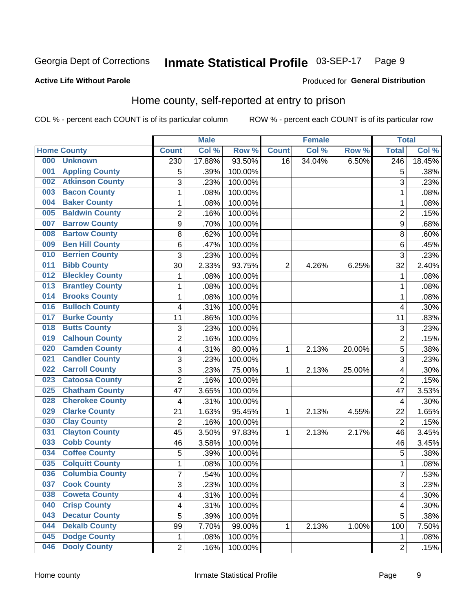#### Inmate Statistical Profile 03-SEP-17 Page 9

### **Active Life Without Parole**

### Produced for General Distribution

# Home county, self-reported at entry to prison

COL % - percent each COUNT is of its particular column

|     |                        |                         | <b>Male</b> |         |              | <b>Female</b> |        | <b>Total</b>     |        |
|-----|------------------------|-------------------------|-------------|---------|--------------|---------------|--------|------------------|--------|
|     | <b>Home County</b>     | <b>Count</b>            | Col %       | Row %   | <b>Count</b> | Col %         | Row %  | <b>Total</b>     | Col %  |
| 000 | <b>Unknown</b>         | $\overline{230}$        | 17.88%      | 93.50%  | 16           | 34.04%        | 6.50%  | $\overline{246}$ | 18.45% |
| 001 | <b>Appling County</b>  | 5                       | .39%        | 100.00% |              |               |        | 5                | .38%   |
| 002 | <b>Atkinson County</b> | 3                       | .23%        | 100.00% |              |               |        | 3                | .23%   |
| 003 | <b>Bacon County</b>    | $\mathbf 1$             | .08%        | 100.00% |              |               |        | 1                | .08%   |
| 004 | <b>Baker County</b>    | $\mathbf 1$             | .08%        | 100.00% |              |               |        | 1                | .08%   |
| 005 | <b>Baldwin County</b>  | $\overline{c}$          | .16%        | 100.00% |              |               |        | $\overline{2}$   | .15%   |
| 007 | <b>Barrow County</b>   | 9                       | .70%        | 100.00% |              |               |        | $\boldsymbol{9}$ | .68%   |
| 008 | <b>Bartow County</b>   | 8                       | .62%        | 100.00% |              |               |        | 8                | .60%   |
| 009 | <b>Ben Hill County</b> | 6                       | .47%        | 100.00% |              |               |        | 6                | .45%   |
| 010 | <b>Berrien County</b>  | 3                       | .23%        | 100.00% |              |               |        | 3                | .23%   |
| 011 | <b>Bibb County</b>     | 30                      | 2.33%       | 93.75%  | 2            | 4.26%         | 6.25%  | 32               | 2.40%  |
| 012 | <b>Bleckley County</b> | 1                       | .08%        | 100.00% |              |               |        | 1                | .08%   |
| 013 | <b>Brantley County</b> | $\mathbf 1$             | .08%        | 100.00% |              |               |        | 1                | .08%   |
| 014 | <b>Brooks County</b>   | $\mathbf 1$             | .08%        | 100.00% |              |               |        | 1                | .08%   |
| 016 | <b>Bulloch County</b>  | 4                       | .31%        | 100.00% |              |               |        | 4                | .30%   |
| 017 | <b>Burke County</b>    | 11                      | .86%        | 100.00% |              |               |        | 11               | .83%   |
| 018 | <b>Butts County</b>    | 3                       | .23%        | 100.00% |              |               |        | 3                | .23%   |
| 019 | <b>Calhoun County</b>  | 2                       | .16%        | 100.00% |              |               |        | $\overline{2}$   | .15%   |
| 020 | <b>Camden County</b>   | 4                       | .31%        | 80.00%  | 1            | 2.13%         | 20.00% | 5                | .38%   |
| 021 | <b>Candler County</b>  | 3                       | .23%        | 100.00% |              |               |        | 3                | .23%   |
| 022 | <b>Carroll County</b>  | 3                       | .23%        | 75.00%  | 1            | 2.13%         | 25.00% | 4                | .30%   |
| 023 | <b>Catoosa County</b>  | $\overline{2}$          | .16%        | 100.00% |              |               |        | $\overline{2}$   | .15%   |
| 025 | <b>Chatham County</b>  | 47                      | 3.65%       | 100.00% |              |               |        | 47               | 3.53%  |
| 028 | <b>Cherokee County</b> | 4                       | .31%        | 100.00% |              |               |        | 4                | .30%   |
| 029 | <b>Clarke County</b>   | 21                      | 1.63%       | 95.45%  | 1            | 2.13%         | 4.55%  | 22               | 1.65%  |
| 030 | <b>Clay County</b>     | $\overline{2}$          | .16%        | 100.00% |              |               |        | $\overline{2}$   | .15%   |
| 031 | <b>Clayton County</b>  | 45                      | 3.50%       | 97.83%  | 1            | 2.13%         | 2.17%  | 46               | 3.45%  |
| 033 | <b>Cobb County</b>     | 46                      | 3.58%       | 100.00% |              |               |        | 46               | 3.45%  |
| 034 | <b>Coffee County</b>   | 5                       | .39%        | 100.00% |              |               |        | 5                | .38%   |
| 035 | <b>Colquitt County</b> | 1                       | .08%        | 100.00% |              |               |        | 1                | .08%   |
| 036 | <b>Columbia County</b> | $\overline{7}$          | .54%        | 100.00% |              |               |        | 7                | .53%   |
| 037 | <b>Cook County</b>     | 3                       | .23%        | 100.00% |              |               |        | 3                | .23%   |
| 038 | <b>Coweta County</b>   | $\overline{\mathbf{4}}$ | .31%        | 100.00% |              |               |        | 4                | .30%   |
| 040 | <b>Crisp County</b>    | 4                       | .31%        | 100.00% |              |               |        | 4                | .30%   |
| 043 | <b>Decatur County</b>  | 5                       | .39%        | 100.00% |              |               |        | 5                | .38%   |
| 044 | <b>Dekalb County</b>   | 99                      | 7.70%       | 99.00%  | 1            | 2.13%         | 1.00%  | 100              | 7.50%  |
| 045 | <b>Dodge County</b>    | $\mathbf 1$             | .08%        | 100.00% |              |               |        | 1                | .08%   |
| 046 | <b>Dooly County</b>    | $\overline{c}$          | .16%        | 100.00% |              |               |        | $\overline{2}$   | .15%   |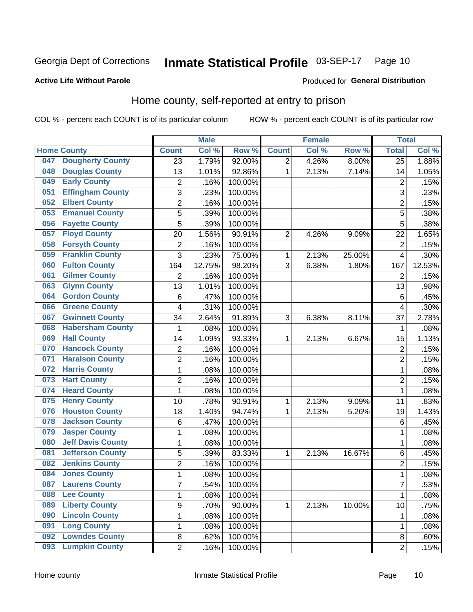#### Inmate Statistical Profile 03-SEP-17 Page 10

### **Active Life Without Parole**

### Produced for General Distribution

# Home county, self-reported at entry to prison

COL % - percent each COUNT is of its particular column

|     |                          |                         | <b>Male</b> |         |                | <b>Female</b> |          | <b>Total</b>    |        |
|-----|--------------------------|-------------------------|-------------|---------|----------------|---------------|----------|-----------------|--------|
|     | <b>Home County</b>       | <b>Count</b>            | Col %       | Row %   | <b>Count</b>   | Col %         | Row %    | <b>Total</b>    | Col %  |
| 047 | <b>Dougherty County</b>  | 23                      | 1.79%       | 92.00%  | $\overline{2}$ | 4.26%         | $8.00\%$ | $\overline{25}$ | 1.88%  |
| 048 | <b>Douglas County</b>    | 13                      | 1.01%       | 92.86%  | 1              | 2.13%         | 7.14%    | 14              | 1.05%  |
| 049 | <b>Early County</b>      | 2                       | .16%        | 100.00% |                |               |          | $\overline{2}$  | .15%   |
| 051 | <b>Effingham County</b>  | 3                       | .23%        | 100.00% |                |               |          | 3               | .23%   |
| 052 | <b>Elbert County</b>     | $\overline{2}$          | .16%        | 100.00% |                |               |          | $\overline{2}$  | .15%   |
| 053 | <b>Emanuel County</b>    | $\overline{5}$          | .39%        | 100.00% |                |               |          | 5               | .38%   |
| 056 | <b>Fayette County</b>    | 5                       | .39%        | 100.00% |                |               |          | 5               | .38%   |
| 057 | <b>Floyd County</b>      | 20                      | 1.56%       | 90.91%  | $\overline{2}$ | 4.26%         | 9.09%    | 22              | 1.65%  |
| 058 | <b>Forsyth County</b>    | $\overline{\mathbf{c}}$ | .16%        | 100.00% |                |               |          | $\overline{2}$  | .15%   |
| 059 | <b>Franklin County</b>   | 3                       | .23%        | 75.00%  | 1              | 2.13%         | 25.00%   | $\overline{4}$  | .30%   |
| 060 | <b>Fulton County</b>     | 164                     | 12.75%      | 98.20%  | 3              | 6.38%         | 1.80%    | 167             | 12.53% |
| 061 | <b>Gilmer County</b>     | $\overline{2}$          | .16%        | 100.00% |                |               |          | $\overline{2}$  | .15%   |
| 063 | <b>Glynn County</b>      | 13                      | 1.01%       | 100.00% |                |               |          | 13              | .98%   |
| 064 | <b>Gordon County</b>     | $\,6$                   | .47%        | 100.00% |                |               |          | 6               | .45%   |
| 066 | <b>Greene County</b>     | 4                       | .31%        | 100.00% |                |               |          | $\overline{4}$  | .30%   |
| 067 | <b>Gwinnett County</b>   | 34                      | 2.64%       | 91.89%  | 3              | 6.38%         | 8.11%    | 37              | 2.78%  |
| 068 | <b>Habersham County</b>  | 1                       | .08%        | 100.00% |                |               |          | 1               | .08%   |
| 069 | <b>Hall County</b>       | 14                      | 1.09%       | 93.33%  | 1              | 2.13%         | 6.67%    | 15              | 1.13%  |
| 070 | <b>Hancock County</b>    | $\overline{\mathbf{c}}$ | .16%        | 100.00% |                |               |          | $\overline{2}$  | .15%   |
| 071 | <b>Haralson County</b>   | $\overline{2}$          | .16%        | 100.00% |                |               |          | $\overline{2}$  | .15%   |
| 072 | <b>Harris County</b>     | $\mathbf{1}$            | .08%        | 100.00% |                |               |          | 1               | .08%   |
| 073 | <b>Hart County</b>       | $\overline{2}$          | .16%        | 100.00% |                |               |          | $\overline{2}$  | .15%   |
| 074 | <b>Heard County</b>      | $\mathbf{1}$            | .08%        | 100.00% |                |               |          | 1               | .08%   |
| 075 | <b>Henry County</b>      | 10                      | .78%        | 90.91%  | 1              | 2.13%         | 9.09%    | 11              | .83%   |
| 076 | <b>Houston County</b>    | 18                      | 1.40%       | 94.74%  | 1              | 2.13%         | 5.26%    | 19              | 1.43%  |
| 078 | <b>Jackson County</b>    | 6                       | .47%        | 100.00% |                |               |          | 6               | .45%   |
| 079 | <b>Jasper County</b>     | $\mathbf 1$             | .08%        | 100.00% |                |               |          | 1               | .08%   |
| 080 | <b>Jeff Davis County</b> | $\mathbf 1$             | .08%        | 100.00% |                |               |          | 1               | .08%   |
| 081 | <b>Jefferson County</b>  | 5                       | .39%        | 83.33%  | 1              | 2.13%         | 16.67%   | 6               | .45%   |
| 082 | <b>Jenkins County</b>    | $\overline{c}$          | .16%        | 100.00% |                |               |          | $\overline{2}$  | .15%   |
| 084 | <b>Jones County</b>      | 1                       | .08%        | 100.00% |                |               |          | 1               | .08%   |
| 087 | <b>Laurens County</b>    | 7                       | .54%        | 100.00% |                |               |          | $\overline{7}$  | .53%   |
| 088 | <b>Lee County</b>        | $\mathbf{1}$            | .08%        | 100.00% |                |               |          | 1               | .08%   |
| 089 | <b>Liberty County</b>    | 9                       | .70%        | 90.00%  | 1              | 2.13%         | 10.00%   | 10              | .75%   |
| 090 | <b>Lincoln County</b>    | $\mathbf{1}$            | .08%        | 100.00% |                |               |          | 1               | .08%   |
| 091 | <b>Long County</b>       | $\mathbf 1$             | .08%        | 100.00% |                |               |          | 1               | .08%   |
| 092 | <b>Lowndes County</b>    | 8                       | .62%        | 100.00% |                |               |          | 8               | .60%   |
| 093 | <b>Lumpkin County</b>    | $\overline{2}$          | .16%        | 100.00% |                |               |          | $\overline{2}$  | .15%   |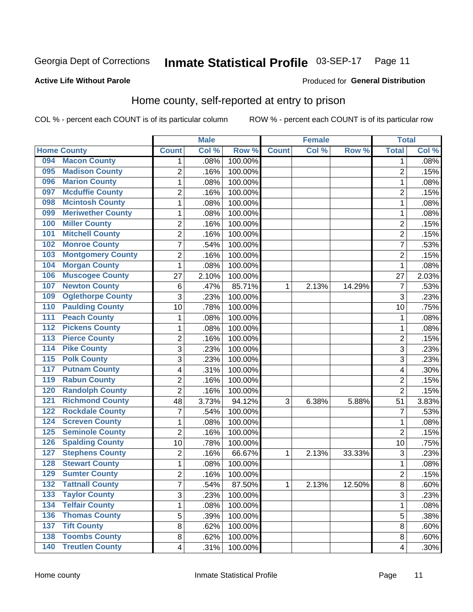#### Inmate Statistical Profile 03-SEP-17 Page 11

### **Active Life Without Parole**

### Produced for General Distribution

# Home county, self-reported at entry to prison

COL % - percent each COUNT is of its particular column

|                                            |                         | <b>Male</b> |         |              | <b>Female</b> |        | <b>Total</b>   |       |
|--------------------------------------------|-------------------------|-------------|---------|--------------|---------------|--------|----------------|-------|
| <b>Home County</b>                         | <b>Count</b>            | Col %       | Row %   | <b>Count</b> | Col %         | Row %  | <b>Total</b>   | Col % |
| <b>Macon County</b><br>094                 | 1                       | .08%        | 100.00% |              |               |        | 1              | .08%  |
| <b>Madison County</b><br>095               | $\overline{2}$          | .16%        | 100.00% |              |               |        | $\overline{2}$ | .15%  |
| <b>Marion County</b><br>096                | $\mathbf 1$             | .08%        | 100.00% |              |               |        | 1              | .08%  |
| <b>Mcduffie County</b><br>097              | $\mathbf 2$             | .16%        | 100.00% |              |               |        | 2              | .15%  |
| <b>Mcintosh County</b><br>098              | $\mathbf 1$             | .08%        | 100.00% |              |               |        | 1              | .08%  |
| <b>Meriwether County</b><br>099            | 1                       | .08%        | 100.00% |              |               |        | 1              | .08%  |
| <b>Miller County</b><br>100                | $\overline{2}$          | .16%        | 100.00% |              |               |        | $\overline{2}$ | .15%  |
| <b>Mitchell County</b><br>101              | $\overline{2}$          | .16%        | 100.00% |              |               |        | $\overline{2}$ | .15%  |
| <b>Monroe County</b><br>102                | $\overline{7}$          | .54%        | 100.00% |              |               |        | 7              | .53%  |
| <b>Montgomery County</b><br>103            | $\mathbf 2$             | .16%        | 100.00% |              |               |        | 2              | .15%  |
| <b>Morgan County</b><br>104                | $\mathbf{1}$            | .08%        | 100.00% |              |               |        | 1              | .08%  |
| <b>Muscogee County</b><br>106              | 27                      | 2.10%       | 100.00% |              |               |        | 27             | 2.03% |
| <b>Newton County</b><br>107                | 6                       | .47%        | 85.71%  | 1            | 2.13%         | 14.29% | 7              | .53%  |
| <b>Oglethorpe County</b><br>109            | 3                       | .23%        | 100.00% |              |               |        | 3              | .23%  |
| <b>Paulding County</b><br>110              | 10                      | .78%        | 100.00% |              |               |        | 10             | .75%  |
| <b>Peach County</b><br>111                 | 1                       | .08%        | 100.00% |              |               |        | 1              | .08%  |
| <b>Pickens County</b><br>112               | $\mathbf 1$             | .08%        | 100.00% |              |               |        | 1              | .08%  |
| <b>Pierce County</b><br>$\overline{113}$   | $\overline{2}$          | .16%        | 100.00% |              |               |        | $\overline{c}$ | .15%  |
| <b>Pike County</b><br>$\overline{114}$     | 3                       | .23%        | 100.00% |              |               |        | 3              | .23%  |
| <b>Polk County</b><br>115                  | 3                       | .23%        | 100.00% |              |               |        | 3              | .23%  |
| <b>Putnam County</b><br>117                | $\overline{\mathbf{4}}$ | .31%        | 100.00% |              |               |        | 4              | .30%  |
| <b>Rabun County</b><br>119                 | $\overline{2}$          | .16%        | 100.00% |              |               |        | $\overline{2}$ | .15%  |
| <b>Randolph County</b><br>120              | $\overline{2}$          | .16%        | 100.00% |              |               |        | $\overline{2}$ | .15%  |
| <b>Richmond County</b><br>121              | 48                      | 3.73%       | 94.12%  | 3            | 6.38%         | 5.88%  | 51             | 3.83% |
| <b>Rockdale County</b><br>122              | $\overline{7}$          | .54%        | 100.00% |              |               |        | 7              | .53%  |
| <b>Screven County</b><br>124               | 1                       | .08%        | 100.00% |              |               |        | 1              | .08%  |
| <b>Seminole County</b><br>125              | $\overline{2}$          | .16%        | 100.00% |              |               |        | $\overline{2}$ | .15%  |
| <b>Spalding County</b><br>126              | 10                      | .78%        | 100.00% |              |               |        | 10             | .75%  |
| <b>Stephens County</b><br>127              | $\overline{2}$          | .16%        | 66.67%  | 1            | 2.13%         | 33.33% | 3              | .23%  |
| <b>Stewart County</b><br>128               | 1                       | .08%        | 100.00% |              |               |        | 1              | .08%  |
| <b>Sumter County</b><br>129                | $\overline{2}$          | .16%        | 100.00% |              |               |        | $\overline{2}$ | .15%  |
| 132<br><b>Tattnall County</b>              | 7                       | .54%        | 87.50%  | 1            | 2.13%         | 12.50% | 8              | .60%  |
| <b>Taylor County</b><br>133                | 3                       | .23%        | 100.00% |              |               |        | 3              | .23%  |
| 134<br><b>Telfair County</b>               | 1                       | .08%        | 100.00% |              |               |        | 1              | .08%  |
| <b>Thomas County</b><br>136                | 5                       | .39%        | 100.00% |              |               |        | 5              | .38%  |
| <b>Tift County</b><br>137                  | 8                       | .62%        | 100.00% |              |               |        | 8              | .60%  |
| <b>Toombs County</b><br>138                | 8                       | .62%        | 100.00% |              |               |        | 8              | .60%  |
| <b>Treutlen County</b><br>$\overline{140}$ | $\overline{4}$          | .31%        | 100.00% |              |               |        | 4              | .30%  |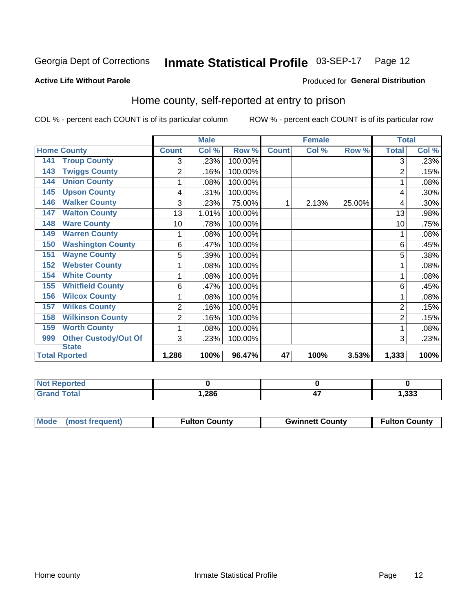#### Inmate Statistical Profile 03-SEP-17 Page 12

### **Active Life Without Parole**

### Produced for General Distribution

# Home county, self-reported at entry to prison

COL % - percent each COUNT is of its particular column

|                                    |                | <b>Male</b> |         |              | <b>Female</b> |        | <b>Total</b>   |       |
|------------------------------------|----------------|-------------|---------|--------------|---------------|--------|----------------|-------|
| <b>Home County</b>                 | <b>Count</b>   | Col %       | Row %   | <b>Count</b> | Col %         | Row %  | <b>Total</b>   | Col % |
| <b>Troup County</b><br>141         | 3              | .23%        | 100.00% |              |               |        | 3              | .23%  |
| <b>Twiggs County</b><br>143        | 2              | .16%        | 100.00% |              |               |        | 2              | .15%  |
| <b>Union County</b><br>144         | 1              | .08%        | 100.00% |              |               |        |                | .08%  |
| <b>Upson County</b><br>145         | 4              | .31%        | 100.00% |              |               |        | 4              | .30%  |
| <b>Walker County</b><br>146        | 3              | .23%        | 75.00%  | 1            | 2.13%         | 25.00% | 4              | .30%  |
| <b>Walton County</b><br>147        | 13             | 1.01%       | 100.00% |              |               |        | 13             | .98%  |
| <b>Ware County</b><br>148          | 10             | .78%        | 100.00% |              |               |        | 10             | .75%  |
| <b>Warren County</b><br>149        | 1              | .08%        | 100.00% |              |               |        |                | .08%  |
| <b>Washington County</b><br>150    | 6              | .47%        | 100.00% |              |               |        | 6              | .45%  |
| <b>Wayne County</b><br>151         | 5              | .39%        | 100.00% |              |               |        | 5              | .38%  |
| <b>Webster County</b><br>152       | 1              | .08%        | 100.00% |              |               |        |                | .08%  |
| <b>White County</b><br>154         | 1              | .08%        | 100.00% |              |               |        |                | .08%  |
| <b>Whitfield County</b><br>155     | 6              | .47%        | 100.00% |              |               |        | 6              | .45%  |
| <b>Wilcox County</b><br>156        |                | .08%        | 100.00% |              |               |        |                | .08%  |
| <b>Wilkes County</b><br>157        | $\overline{2}$ | .16%        | 100.00% |              |               |        | 2              | .15%  |
| <b>Wilkinson County</b><br>158     | 2              | .16%        | 100.00% |              |               |        | $\overline{2}$ | .15%  |
| <b>Worth County</b><br>159         | 1              | .08%        | 100.00% |              |               |        |                | .08%  |
| <b>Other Custody/Out Of</b><br>999 | 3              | .23%        | 100.00% |              |               |        | 3              | .23%  |
| <b>State</b>                       |                |             |         |              |               |        |                |       |
| <b>Total Rported</b>               | 1,286          | 100%        | 96.47%  | 47           | 100%          | 3.53%  | 1,333          | 100%  |

| <b>Not Reported</b> |      |     |       |
|---------------------|------|-----|-------|
| <b>Grand Total</b>  | ,286 | . . | 1,333 |

| Mode (most frequent) | <b>Fulton County</b> | <b>Gwinnett County</b> | <b>Fulton County</b> |
|----------------------|----------------------|------------------------|----------------------|
|                      |                      |                        |                      |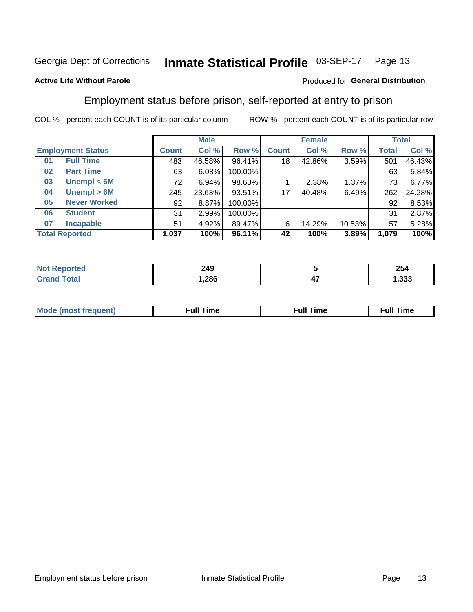#### Inmate Statistical Profile 03-SEP-17 Page 13

### **Active Life Without Parole**

### Produced for General Distribution

# Employment status before prison, self-reported at entry to prison

COL % - percent each COUNT is of its particular column

|                           |               | <b>Male</b>  |        |         | <b>Female</b> |        |        | <b>Total</b> |        |
|---------------------------|---------------|--------------|--------|---------|---------------|--------|--------|--------------|--------|
| <b>Employment Status</b>  |               | <b>Count</b> | Col %  | Row %   | <b>Count</b>  | Col %  | Row %  | Total        | Col %  |
| <b>Full Time</b><br>01    |               | 483          | 46.58% | 96.41%  | 18            | 42.86% | 3.59%  | 501          | 46.43% |
| <b>Part Time</b><br>02    |               | 63           | 6.08%  | 100.00% |               |        |        | 63           | 5.84%  |
| Unempl $<$ 6M<br>03       |               | 72           | 6.94%  | 98.63%  |               | 2.38%  | 1.37%  | 73           | 6.77%  |
| Unempl > 6M<br>04         |               | 245          | 23.63% | 93.51%  | 17            | 40.48% | 6.49%  | 262          | 24.28% |
| <b>Never Worked</b><br>05 |               | 92           | 8.87%  | 100.00% |               |        |        | 92           | 8.53%  |
| <b>Student</b><br>06      |               | 31           | 2.99%  | 100.00% |               |        |        | 31           | 2.87%  |
| <b>Incapable</b><br>07    |               | 51           | 4.92%  | 89.47%  | 6             | 14.29% | 10.53% | 57           | 5.28%  |
| <b>Total Reported</b>     | 100%<br>1,037 |              | 96.11% | 42      | 100%          | 3.89%  | 1,079  | 100%         |        |

| 249<br>$\sim$ |     | 25<br><b>254</b> |
|---------------|-----|------------------|
| ,286          | . . | າາາ<br>. دد.     |

| Mc | ----<br>me<br>ш | nc<br>. |
|----|-----------------|---------|
|    |                 |         |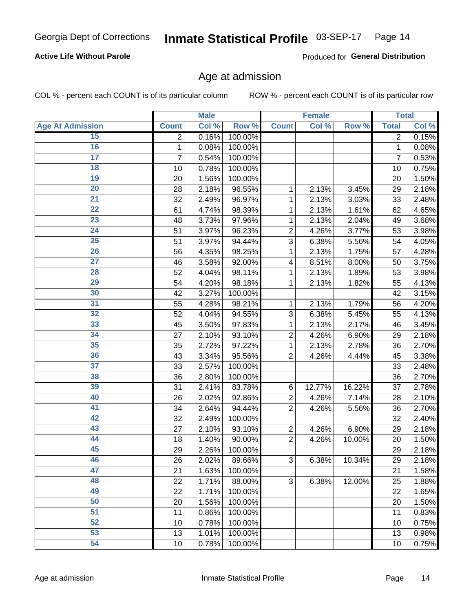### **Active Life Without Parole**

Produced for General Distribution

# Age at admission

COL % - percent each COUNT is of its particular column

|                         |                | <b>Male</b> |         |                | <b>Female</b> |        |                | <b>Total</b> |
|-------------------------|----------------|-------------|---------|----------------|---------------|--------|----------------|--------------|
| <b>Age At Admission</b> | <b>Count</b>   | Col %       | Row %   | <b>Count</b>   | Col %         | Row %  | <b>Total</b>   | Col %        |
| 15                      | $\overline{2}$ | 0.16%       | 100.00% |                |               |        | $\overline{2}$ | 0.15%        |
| 16                      | 1              | 0.08%       | 100.00% |                |               |        | $\mathbf{1}$   | 0.08%        |
| $\overline{17}$         | 7              | 0.54%       | 100.00% |                |               |        | 7              | 0.53%        |
| 18                      | 10             | 0.78%       | 100.00% |                |               |        | 10             | 0.75%        |
| 19                      | 20             | 1.56%       | 100.00% |                |               |        | 20             | 1.50%        |
| $\overline{20}$         | 28             | 2.18%       | 96.55%  | 1              | 2.13%         | 3.45%  | 29             | 2.18%        |
| 21                      | 32             | 2.49%       | 96.97%  | 1              | 2.13%         | 3.03%  | 33             | 2.48%        |
| 22                      | 61             | 4.74%       | 98.39%  | 1              | 2.13%         | 1.61%  | 62             | 4.65%        |
| 23                      | 48             | 3.73%       | 97.96%  | 1              | 2.13%         | 2.04%  | 49             | 3.68%        |
| 24                      | 51             | 3.97%       | 96.23%  | $\overline{2}$ | 4.26%         | 3.77%  | 53             | 3.98%        |
| $\overline{25}$         | 51             | 3.97%       | 94.44%  | 3              | 6.38%         | 5.56%  | 54             | 4.05%        |
| 26                      | 56             | 4.35%       | 98.25%  | 1              | 2.13%         | 1.75%  | 57             | 4.28%        |
| $\overline{27}$         | 46             | 3.58%       | 92.00%  | 4              | 8.51%         | 8.00%  | 50             | 3.75%        |
| 28                      | 52             | 4.04%       | 98.11%  | 1              | 2.13%         | 1.89%  | 53             | 3.98%        |
| 29                      | 54             | 4.20%       | 98.18%  | 1              | 2.13%         | 1.82%  | 55             | 4.13%        |
| 30                      | 42             | 3.27%       | 100.00% |                |               |        | 42             | 3.15%        |
| 31                      | 55             | 4.28%       | 98.21%  | 1              | 2.13%         | 1.79%  | 56             | 4.20%        |
| 32                      | 52             | 4.04%       | 94.55%  | 3              | 6.38%         | 5.45%  | 55             | 4.13%        |
| 33                      | 45             | 3.50%       | 97.83%  | 1              | 2.13%         | 2.17%  | 46             | 3.45%        |
| 34                      | 27             | 2.10%       | 93.10%  | $\overline{2}$ | 4.26%         | 6.90%  | 29             | 2.18%        |
| 35                      | 35             | 2.72%       | 97.22%  | 1              | 2.13%         | 2.78%  | 36             | 2.70%        |
| 36                      | 43             | 3.34%       | 95.56%  | $\overline{2}$ | 4.26%         | 4.44%  | 45             | 3.38%        |
| $\overline{37}$         | 33             | 2.57%       | 100.00% |                |               |        | 33             | 2.48%        |
| 38                      | 36             | 2.80%       | 100.00% |                |               |        | 36             | 2.70%        |
| 39                      | 31             | 2.41%       | 83.78%  | 6              | 12.77%        | 16.22% | 37             | 2.78%        |
| 40                      | 26             | 2.02%       | 92.86%  | $\overline{c}$ | 4.26%         | 7.14%  | 28             | 2.10%        |
| 41                      | 34             | 2.64%       | 94.44%  | $\overline{2}$ | 4.26%         | 5.56%  | 36             | 2.70%        |
| 42                      | 32             | 2.49%       | 100.00% |                |               |        | 32             | 2.40%        |
| 43                      | 27             | 2.10%       | 93.10%  | $\mathbf 2$    | 4.26%         | 6.90%  | 29             | 2.18%        |
| 44                      | 18             | 1.40%       | 90.00%  | $\overline{2}$ | 4.26%         | 10.00% | 20             | 1.50%        |
| 45                      | 29             | 2.26%       | 100.00% |                |               |        | 29             | 2.18%        |
| 46                      | 26             | 2.02%       | 89.66%  | 3              | 6.38%         | 10.34% | 29             | 2.18%        |
| 47                      | 21             | 1.63%       | 100.00% |                |               |        | 21             | 1.58%        |
| 48                      | 22             | 1.71%       | 88.00%  | 3              | 6.38%         | 12.00% | 25             | 1.88%        |
| 49                      | 22             | 1.71%       | 100.00% |                |               |        | 22             | 1.65%        |
| 50                      | 20             | 1.56%       | 100.00% |                |               |        | 20             | 1.50%        |
| $\overline{51}$         | 11             | 0.86%       | 100.00% |                |               |        | 11             | 0.83%        |
| 52                      | 10             | 0.78%       | 100.00% |                |               |        | 10             | 0.75%        |
| 53                      | 13             | 1.01%       | 100.00% |                |               |        | 13             | 0.98%        |
| 54                      | 10             | 0.78%       | 100.00% |                |               |        | 10             | 0.75%        |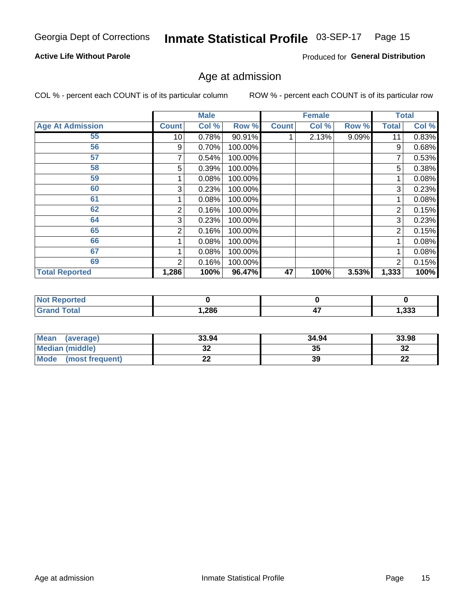#### Inmate Statistical Profile 03-SEP-17 Page 15

### **Active Life Without Parole**

Produced for General Distribution

# Age at admission

COL % - percent each COUNT is of its particular column

|                         |                 | <b>Male</b> |         |              | <b>Female</b> |       |              | <b>Total</b> |
|-------------------------|-----------------|-------------|---------|--------------|---------------|-------|--------------|--------------|
| <b>Age At Admission</b> | <b>Count</b>    | Col %       | Row %   | <b>Count</b> | Col %         | Row % | <b>Total</b> | Col %        |
| 55                      | 10 <sup>1</sup> | 0.78%       | 90.91%  |              | 2.13%         | 9.09% | 11           | 0.83%        |
| 56                      | 9               | 0.70%       | 100.00% |              |               |       | 9            | 0.68%        |
| 57                      |                 | 0.54%       | 100.00% |              |               |       | 7            | 0.53%        |
| 58                      | 5               | 0.39%       | 100.00% |              |               |       | 5            | 0.38%        |
| 59                      |                 | 0.08%       | 100.00% |              |               |       |              | 0.08%        |
| 60                      | 3               | 0.23%       | 100.00% |              |               |       | 3            | 0.23%        |
| 61                      |                 | 0.08%       | 100.00% |              |               |       |              | 0.08%        |
| 62                      | 2               | 0.16%       | 100.00% |              |               |       | 2            | 0.15%        |
| 64                      | 3               | 0.23%       | 100.00% |              |               |       | 3            | 0.23%        |
| 65                      | 2               | 0.16%       | 100.00% |              |               |       | 2            | 0.15%        |
| 66                      |                 | 0.08%       | 100.00% |              |               |       |              | 0.08%        |
| 67                      |                 | 0.08%       | 100.00% |              |               |       |              | 0.08%        |
| 69                      | 2               | 0.16%       | 100.00% |              |               |       | 2            | 0.15%        |
| <b>Total Reported</b>   | 1,286           | 100%        | 96.47%  | 47           | 100%          | 3.53% | 1,333        | 100%         |

| <b>Not Reported</b>          |             |     |       |
|------------------------------|-------------|-----|-------|
| <b>Total</b><br><b>Grand</b> | <b>286,</b> | . . | 1,333 |

| Mean<br>(average)       | 33.94       | 34.94 | 33.98    |
|-------------------------|-------------|-------|----------|
| Median (middle)         | JZ          | 35    | 32       |
| Mode<br>(most frequent) | <u>. . </u> | 39    | n.<br>LL |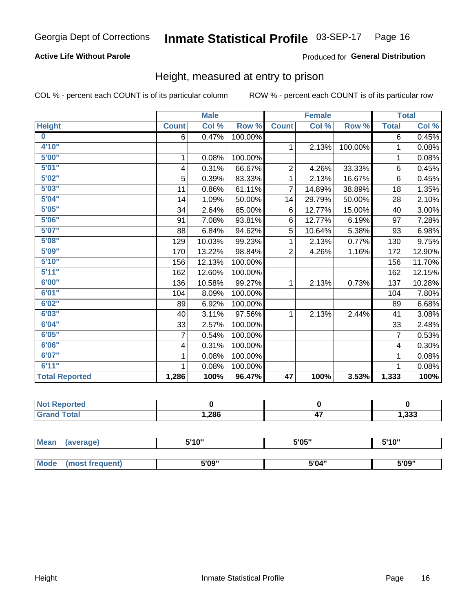### **Active Life Without Parole**

### Produced for General Distribution

# Height, measured at entry to prison

COL % - percent each COUNT is of its particular column

|                       |                | <b>Male</b> |         |                | <b>Female</b> |         |                | <b>Total</b> |
|-----------------------|----------------|-------------|---------|----------------|---------------|---------|----------------|--------------|
| <b>Height</b>         | <b>Count</b>   | Col %       | Row %   | <b>Count</b>   | Col %         | Row %   | <b>Total</b>   | Col %        |
| $\bf{0}$              | 6              | 0.47%       | 100.00% |                |               |         | 6              | 0.45%        |
| 4'10''                |                |             |         | $\mathbf{1}$   | 2.13%         | 100.00% | 1              | 0.08%        |
| 5'00''                | 1              | 0.08%       | 100.00% |                |               |         | 1              | 0.08%        |
| 5'01"                 | 4              | 0.31%       | 66.67%  | $\overline{c}$ | 4.26%         | 33.33%  | 6              | 0.45%        |
| 5'02"                 | 5              | 0.39%       | 83.33%  | 1              | 2.13%         | 16.67%  | $6\phantom{1}$ | 0.45%        |
| 5'03''                | 11             | 0.86%       | 61.11%  | $\overline{7}$ | 14.89%        | 38.89%  | 18             | 1.35%        |
| 5'04"                 | 14             | 1.09%       | 50.00%  | 14             | 29.79%        | 50.00%  | 28             | 2.10%        |
| 5'05"                 | 34             | 2.64%       | 85.00%  | 6              | 12.77%        | 15.00%  | 40             | 3.00%        |
| 5'06''                | 91             | 7.08%       | 93.81%  | 6              | 12.77%        | 6.19%   | 97             | 7.28%        |
| 5'07''                | 88             | 6.84%       | 94.62%  | 5              | 10.64%        | 5.38%   | 93             | 6.98%        |
| 5'08''                | 129            | 10.03%      | 99.23%  | 1              | 2.13%         | 0.77%   | 130            | 9.75%        |
| 5'09''                | 170            | 13.22%      | 98.84%  | $\overline{2}$ | 4.26%         | 1.16%   | 172            | 12.90%       |
| 5'10''                | 156            | 12.13%      | 100.00% |                |               |         | 156            | 11.70%       |
| 5'11"                 | 162            | 12.60%      | 100.00% |                |               |         | 162            | 12.15%       |
| 6'00''                | 136            | 10.58%      | 99.27%  | $\mathbf{1}$   | 2.13%         | 0.73%   | 137            | 10.28%       |
| 6'01''                | 104            | 8.09%       | 100.00% |                |               |         | 104            | 7.80%        |
| 6'02"                 | 89             | 6.92%       | 100.00% |                |               |         | 89             | 6.68%        |
| 6'03''                | 40             | 3.11%       | 97.56%  | $\mathbf{1}$   | 2.13%         | 2.44%   | 41             | 3.08%        |
| 6'04"                 | 33             | 2.57%       | 100.00% |                |               |         | 33             | 2.48%        |
| 6'05"                 | $\overline{7}$ | 0.54%       | 100.00% |                |               |         | $\overline{7}$ | 0.53%        |
| 6'06''                | 4              | 0.31%       | 100.00% |                |               |         | 4              | 0.30%        |
| 6'07''                | 1              | 0.08%       | 100.00% |                |               |         | 1              | 0.08%        |
| 6'11''                | 1              | 0.08%       | 100.00% |                |               |         | 1              | 0.08%        |
| <b>Total Reported</b> | 1,286          | 100%        | 96.47%  | 47             | 100%          | 3.53%   | 1,333          | 100%         |

| <b>Not Reported</b> |      |           |       |
|---------------------|------|-----------|-------|
| <b>Total</b>        | 286, | --<br>. . | 1,333 |

| <b>Mean</b> | (average)       | 5'10" | 5'05" | 5'10'' |
|-------------|-----------------|-------|-------|--------|
|             |                 |       |       |        |
| <b>Mode</b> | (most frequent) | 5'09" | 5'04" | 5'09"  |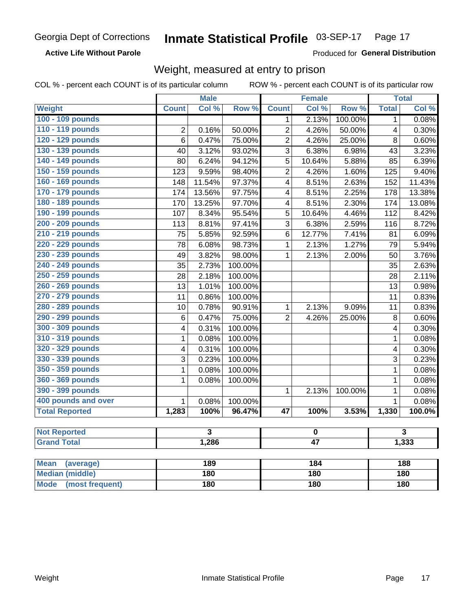### **Active Life Without Parole**

Produced for General Distribution

# Weight, measured at entry to prison

COL % - percent each COUNT is of its particular column

ROW % - percent each COUNT is of its particular row

|                          |                         | <b>Male</b>             |         |                         | <b>Female</b>   |         |                         | <b>Total</b>            |  |
|--------------------------|-------------------------|-------------------------|---------|-------------------------|-----------------|---------|-------------------------|-------------------------|--|
| <b>Weight</b>            | <b>Count</b>            | Col %                   | Row %   | <b>Count</b>            | Col %           | Row %   | <b>Total</b>            | Col %                   |  |
| 100 - 109 pounds         |                         |                         |         | 1                       | 2.13%           | 100.00% | $\mathbf 1$             | 0.08%                   |  |
| 110 - 119 pounds         | $\overline{2}$          | 0.16%                   | 50.00%  | $\overline{2}$          | 4.26%           | 50.00%  | $\overline{\mathbf{4}}$ | 0.30%                   |  |
| 120 - 129 pounds         | 6                       | 0.47%                   | 75.00%  | $\overline{2}$          | 4.26%           | 25.00%  | 8                       | 0.60%                   |  |
| 130 - 139 pounds         | 40                      | 3.12%                   | 93.02%  | $\overline{3}$          | 6.38%           | 6.98%   | 43                      | 3.23%                   |  |
| 140 - 149 pounds         | 80                      | 6.24%                   | 94.12%  | 5                       | 10.64%          | 5.88%   | 85                      | 6.39%                   |  |
| 150 - 159 pounds         | 123                     | 9.59%                   | 98.40%  | $\overline{2}$          | 4.26%           | 1.60%   | 125                     | 9.40%                   |  |
| 160 - 169 pounds         | 148                     | 11.54%                  | 97.37%  | 4                       | 8.51%           | 2.63%   | 152                     | 11.43%                  |  |
| 170 - 179 pounds         | 174                     | 13.56%                  | 97.75%  | $\overline{\mathbf{4}}$ | 8.51%           | 2.25%   | 178                     | 13.38%                  |  |
| 180 - 189 pounds         | 170                     | 13.25%                  | 97.70%  | $\overline{\mathbf{4}}$ | 8.51%           | 2.30%   | 174                     | 13.08%                  |  |
| 190 - 199 pounds         | 107                     | 8.34%                   | 95.54%  | 5                       | 10.64%          | 4.46%   | 112                     | 8.42%                   |  |
| 200 - 209 pounds         | 113                     | 8.81%                   | 97.41%  | 3                       | 6.38%           | 2.59%   | 116                     | 8.72%                   |  |
| 210 - 219 pounds         | 75                      | 5.85%                   | 92.59%  | 6                       | 12.77%          | 7.41%   | 81                      | 6.09%                   |  |
| 220 - 229 pounds         | 78                      | 6.08%                   | 98.73%  | $\mathbf{1}$            | 2.13%           | 1.27%   | 79                      | 5.94%                   |  |
| 230 - 239 pounds         | 49                      | 3.82%                   | 98.00%  | $\mathbf{1}$            | 2.13%           | 2.00%   | 50                      | 3.76%                   |  |
| 240 - 249 pounds         | 35                      | 2.73%                   | 100.00% |                         |                 |         | 35                      | 2.63%                   |  |
| 250 - 259 pounds         | 28                      | 2.18%                   | 100.00% |                         |                 |         | 28                      | 2.11%                   |  |
| 260 - 269 pounds         | 13                      | 1.01%                   | 100.00% |                         |                 |         | 13                      | 0.98%                   |  |
| 270 - 279 pounds         | 11                      | 0.86%                   | 100.00% |                         |                 |         | 11                      | 0.83%                   |  |
| 280 - 289 pounds         | 10                      | 0.78%                   | 90.91%  | $\mathbf{1}$            | 2.13%           | 9.09%   | 11                      | 0.83%                   |  |
| 290 - 299 pounds         | $6\phantom{1}$          | 0.47%                   | 75.00%  | $\overline{2}$          | 4.26%           | 25.00%  | 8                       | 0.60%                   |  |
| 300 - 309 pounds         | $\overline{\mathbf{4}}$ | 0.31%                   | 100.00% |                         |                 |         | 4                       | 0.30%                   |  |
| 310 - 319 pounds         | $\mathbf 1$             | 0.08%                   | 100.00% |                         |                 |         | $\mathbf 1$             | 0.08%                   |  |
| 320 - 329 pounds         | 4                       | 0.31%                   | 100.00% |                         |                 |         | 4                       | 0.30%                   |  |
| 330 - 339 pounds         | 3                       | 0.23%                   | 100.00% |                         |                 |         | 3                       | 0.23%                   |  |
| 350 - 359 pounds         | 1                       | 0.08%                   | 100.00% |                         |                 |         | $\mathbf{1}$            | 0.08%                   |  |
| 360 - 369 pounds         | 1                       | 0.08%                   | 100.00% |                         |                 |         | $\mathbf{1}$            | 0.08%                   |  |
| 390 - 399 pounds         |                         |                         |         | 1                       | 2.13%           | 100.00% | $\mathbf{1}$            | 0.08%                   |  |
| 400 pounds and over      | $\mathbf{1}$            | 0.08%                   | 100.00% |                         |                 |         | $\mathbf{1}$            | 0.08%                   |  |
| <b>Total Reported</b>    | 1,283                   | 100%                    | 96.47%  | $\overline{47}$         | 100%            | 3.53%   | 1,330                   | 100.0%                  |  |
|                          |                         |                         |         |                         |                 |         |                         |                         |  |
| <b>Not Reported</b>      |                         | $\overline{\mathbf{3}}$ |         | $\mathbf 0$             |                 |         |                         | $\overline{\mathbf{3}}$ |  |
| <b>Grand Total</b>       |                         | 1,286                   |         |                         | $\overline{47}$ |         |                         | 1,333                   |  |
|                          |                         |                         |         |                         |                 |         |                         |                         |  |
| <b>Mean</b><br>(average) |                         | 189                     |         |                         | 184             |         |                         | 188                     |  |
| <b>Median (middle)</b>   |                         | 180                     |         | 180                     |                 |         | 180                     |                         |  |

**Mode** 

(most frequent)

 $180$ 

 $180$ 

 $180$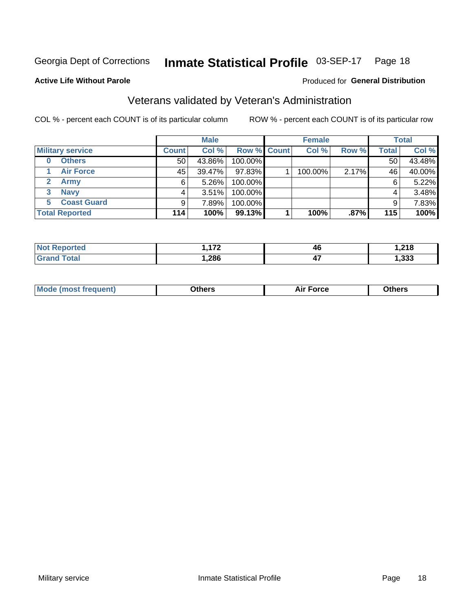#### Inmate Statistical Profile 03-SEP-17 Page 18

### **Active Life Without Parole**

### Produced for General Distribution

# Veterans validated by Veteran's Administration

COL % - percent each COUNT is of its particular column

|                          |              | <b>Male</b> |             | <b>Female</b> |       |              | <b>Total</b> |
|--------------------------|--------------|-------------|-------------|---------------|-------|--------------|--------------|
| <b>Military service</b>  | <b>Count</b> | Col %       | Row % Count | Col %         | Row % | <b>Total</b> | Col %        |
| <b>Others</b><br>0       | 50           | 43.86%      | 100.00%     |               |       | 50           | 43.48%       |
| <b>Air Force</b>         | 45           | 39.47%      | 97.83%      | 100.00%       | 2.17% | 46           | 40.00%       |
| Army                     | 6            | $5.26\%$    | 100.00%     |               |       | 6            | 5.22%        |
| <b>Navy</b><br>3         |              | 3.51%       | 100.00%     |               |       | 4            | 3.48%        |
| <b>Coast Guard</b><br>5. |              | 7.89%       | 100.00%     |               |       | 9            | 7.83%        |
| <b>Total Reported</b>    | 114          | 100%        | 99.13%      | 100%          | .87%  | 115          | 100%         |

| тес          | $\overline{1}$ | 46         | <b>040</b>  |
|--------------|----------------|------------|-------------|
| <b>Total</b> | ,286           | . .<br>T 1 | າາາ<br>,ააა |

| _____<br>____ |
|---------------|
|---------------|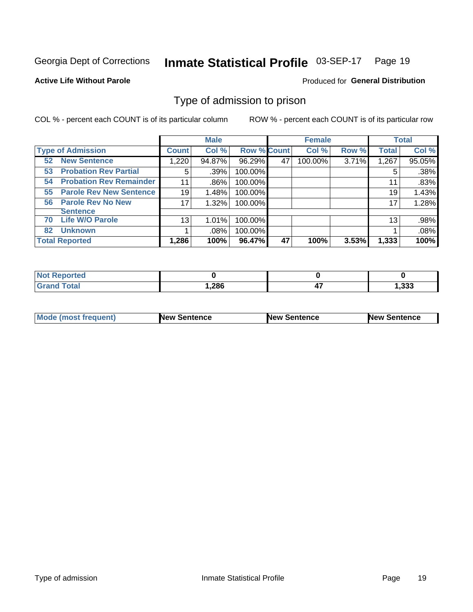#### Inmate Statistical Profile 03-SEP-17 Page 19

**Active Life Without Parole** 

Produced for General Distribution

# Type of admission to prison

COL % - percent each COUNT is of its particular column

|                                      |              | <b>Male</b> |                    |    | <b>Female</b> |       |              | <b>Total</b> |
|--------------------------------------|--------------|-------------|--------------------|----|---------------|-------|--------------|--------------|
| <b>Type of Admission</b>             | <b>Count</b> | Col %       | <b>Row % Count</b> |    | Col %         | Row % | <b>Total</b> | Col %        |
| <b>New Sentence</b><br>52            | 1,220        | 94.87%      | 96.29%             | 47 | 100.00%       | 3.71% | 1,267        | 95.05%       |
| <b>Probation Rev Partial</b><br>53   | 5            | .39%        | 100.00%            |    |               |       | 5            | .38%         |
| <b>Probation Rev Remainder</b><br>54 | 11           | .86%        | 100.00%            |    |               |       | 11           | .83%         |
| <b>Parole Rev New Sentence</b><br>55 | 19           | 1.48%       | 100.00%            |    |               |       | 19           | 1.43%        |
| <b>Parole Rev No New</b><br>56       | 17           | 1.32%       | 100.00%            |    |               |       | 17           | 1.28%        |
| <b>Sentence</b>                      |              |             |                    |    |               |       |              |              |
| <b>Life W/O Parole</b><br>70         | 13           | 1.01%       | 100.00%            |    |               |       | 13           | .98%         |
| <b>Unknown</b><br>82                 |              | $.08\%$     | 100.00%            |    |               |       |              | .08%         |
| <b>Total Reported</b>                | 1,286        | 100%        | 96.47%             | 47 | 100%          | 3.53% | 1,333        | 100%         |

| Reported<br>NOT. |       |     |      |
|------------------|-------|-----|------|
| Total<br>"Gran∟  | 286,، | . . | .333 |

| Mode (most frequent) | <b>New Sentence</b> | <b>New Sentence</b> | <b>New Sentence</b> |
|----------------------|---------------------|---------------------|---------------------|
|                      |                     |                     |                     |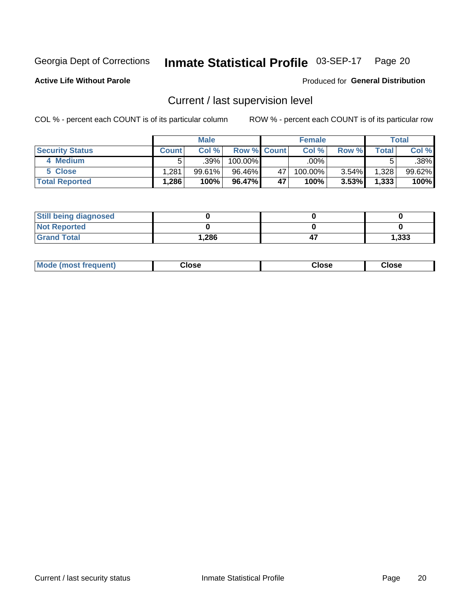#### Inmate Statistical Profile 03-SEP-17 Page 20

**Active Life Without Parole** 

Produced for General Distribution

# Current / last supervision level

COL % - percent each COUNT is of its particular column

|                        |              | <b>Male</b> |                    |    | <b>Female</b> |          |       | <b>Total</b> |
|------------------------|--------------|-------------|--------------------|----|---------------|----------|-------|--------------|
| <b>Security Status</b> | <b>Count</b> | Col%        | <b>Row % Count</b> |    | Col %         | Row %    | Total | Col %        |
| 4 Medium               |              | $.39\%$     | 100.00%            |    | .00%          |          |       | $.38\%$      |
| 5 Close                | .281         | 99.61%      | 96.46%             | 47 | 100.00%       | 3.54%    | 1,328 | 99.62%       |
| <b>Total Reported</b>  | .286         | 100%        | 96.47%             | 47 | 100%          | $3.53\%$ | 1,333 | 100%         |

| <b>Still being diagnosed</b> |      |       |
|------------------------------|------|-------|
| <b>Not Reported</b>          |      |       |
| <b>Grand Total</b>           | ,286 | 1,333 |

| <b>Mode (most frequent)</b> | Close | ∵lose | Close |
|-----------------------------|-------|-------|-------|
|                             |       |       |       |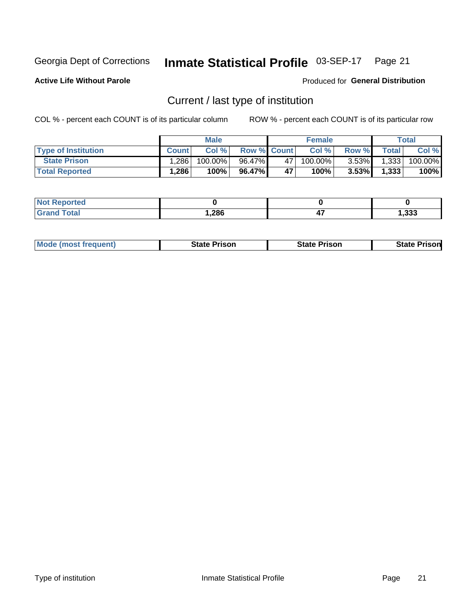#### Inmate Statistical Profile 03-SEP-17 Page 21

**Active Life Without Parole** 

Produced for General Distribution

# Current / last type of institution

COL % - percent each COUNT is of its particular column

|                            |              | <b>Male</b> |                    |     | <b>Female</b> |              |              | <b>Total</b> |
|----------------------------|--------------|-------------|--------------------|-----|---------------|--------------|--------------|--------------|
| <b>Type of Institution</b> | <b>Count</b> | Col %       | <b>Row % Count</b> |     | Col %         | <b>Row %</b> | <b>Total</b> | Col %        |
| <b>State Prison</b>        | 1,286        | 100.00%     | 96.47%             | 471 | 100.00%       | $3.53\%$     | 1,333        | 100.00%      |
| <b>Total Reported</b>      | 1,286        | 100%        | 96.47%             | 47  | $100\%$       | $3.53\%$     | 1,333        | 100%         |

| теа |      |       |
|-----|------|-------|
|     | ,286 | 1,333 |

| <b>Mode (most frequent)</b> | <b>State Prison</b> | <b>State Prison</b> | State<br>. Prisonl |
|-----------------------------|---------------------|---------------------|--------------------|
|                             |                     |                     |                    |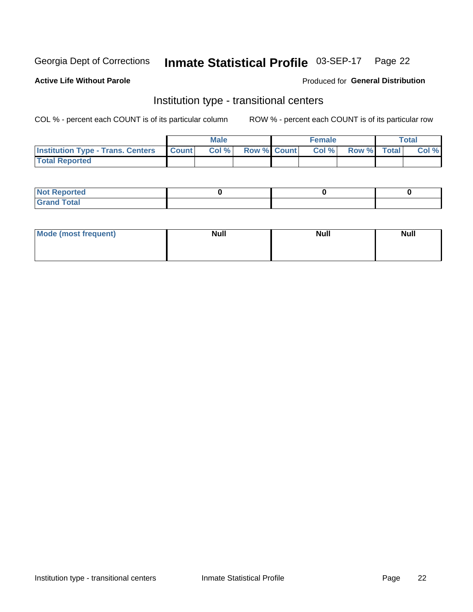#### Inmate Statistical Profile 03-SEP-17 Page 22

### **Active Life Without Parole**

### Produced for General Distribution

# Institution type - transitional centers

COL % - percent each COUNT is of its particular column

|                                          |              | <b>Male</b> |                    | <b>Female</b> |             | <b>Total</b> |
|------------------------------------------|--------------|-------------|--------------------|---------------|-------------|--------------|
| <b>Institution Type - Trans. Centers</b> | <b>Count</b> | CoI%        | <b>Row % Count</b> | Col %         | Row % Total | Col %        |
| <b>Total Reported</b>                    |              |             |                    |               |             |              |

| <b>Reported</b><br><b>NOT</b><br>$\sim$            |  |  |
|----------------------------------------------------|--|--|
| $f$ $f \circ f \circ f$<br>$C = 1$<br><b>TULAI</b> |  |  |

| Mode (most frequent) | <b>Null</b> | <b>Null</b> | <b>Null</b> |
|----------------------|-------------|-------------|-------------|
|                      |             |             |             |
|                      |             |             |             |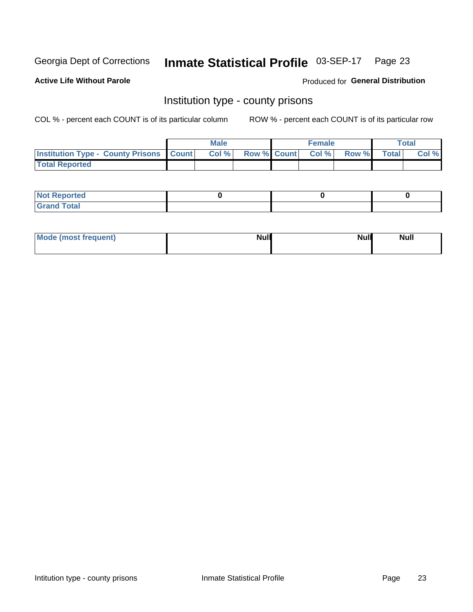#### Inmate Statistical Profile 03-SEP-17 Page 23

**Active Life Without Parole** 

Produced for General Distribution

# Institution type - county prisons

COL % - percent each COUNT is of its particular column

|                                                    | <b>Male</b> |       |  | <b>Female</b> |                          |             | <b>Total</b> |       |
|----------------------------------------------------|-------------|-------|--|---------------|--------------------------|-------------|--------------|-------|
| <b>Institution Type - County Prisons   Count  </b> |             | Col % |  |               | <b>Row % Count Col %</b> | Row % Total |              | Col % |
| <b>Total Reported</b>                              |             |       |  |               |                          |             |              |       |

| <b>Not Reported</b>   |  |  |
|-----------------------|--|--|
| <b>Total</b><br>Granc |  |  |

| Mode (most frequent) | <b>Null</b> | <b>Null</b><br><b>Null</b> |
|----------------------|-------------|----------------------------|
|                      |             |                            |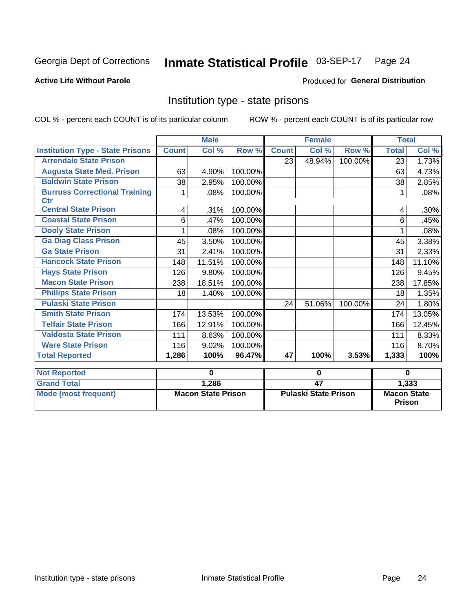#### Inmate Statistical Profile 03-SEP-17 Page 24

### **Active Life Without Parole**

### Produced for General Distribution

# Institution type - state prisons

COL % - percent each COUNT is of its particular column

|                                                    | <b>Male</b>               |        |          |                             | <b>Female</b> |          | <b>Total</b>                        |         |
|----------------------------------------------------|---------------------------|--------|----------|-----------------------------|---------------|----------|-------------------------------------|---------|
| <b>Institution Type - State Prisons</b>            | <b>Count</b>              | Col %  | Row %    | <b>Count</b>                | Col %         | Row %    | <b>Total</b>                        | Col %   |
| <b>Arrendale State Prison</b>                      |                           |        |          | 23                          | 48.94%        | 100.00%  | 23                                  | 1.73%   |
| <b>Augusta State Med. Prison</b>                   | 63                        | 4.90%  | 100.00%  |                             |               |          | 63                                  | 4.73%   |
| <b>Baldwin State Prison</b>                        | 38                        | 2.95%  | 100.00%  |                             |               |          | 38                                  | 2.85%   |
| <b>Burruss Correctional Training</b><br><b>Ctr</b> | 1                         | .08%   | 100.00%  |                             |               |          | 1                                   | .08%    |
| <b>Central State Prison</b>                        | 4                         | .31%   | 100.00%  |                             |               |          | 4                                   | $.30\%$ |
| <b>Coastal State Prison</b>                        | 6                         | .47%   | 100.00%  |                             |               |          | 6                                   | .45%    |
| <b>Dooly State Prison</b>                          |                           | .08%   | 100.00%  |                             |               |          |                                     | .08%    |
| <b>Ga Diag Class Prison</b>                        | 45                        | 3.50%  | 100.00%  |                             |               |          | 45                                  | 3.38%   |
| <b>Ga State Prison</b>                             | 31                        | 2.41%  | 100.00%  |                             |               |          | 31                                  | 2.33%   |
| <b>Hancock State Prison</b>                        | 148                       | 11.51% | 100.00%  |                             |               |          | 148                                 | 11.10%  |
| <b>Hays State Prison</b>                           | 126                       | 9.80%  | 100.00%  |                             |               |          | 126                                 | 9.45%   |
| <b>Macon State Prison</b>                          | 238                       | 18.51% | 100.00%  |                             |               |          | 238                                 | 17.85%  |
| <b>Phillips State Prison</b>                       | 18                        | 1.40%  | 100.00%  |                             |               |          | 18                                  | 1.35%   |
| <b>Pulaski State Prison</b>                        |                           |        |          | 24                          | 51.06%        | 100.00%  | 24                                  | 1.80%   |
| <b>Smith State Prison</b>                          | 174                       | 13.53% | 100.00%  |                             |               |          | 174                                 | 13.05%  |
| <b>Telfair State Prison</b>                        | 166                       | 12.91% | 100.00%  |                             |               |          | 166                                 | 12.45%  |
| <b>Valdosta State Prison</b>                       | 111                       | 8.63%  | 100.00%  |                             |               |          | 111                                 | 8.33%   |
| <b>Ware State Prison</b>                           | 116                       | 9.02%  | 100.00%  |                             |               |          | 116                                 | 8.70%   |
| <b>Total Reported</b>                              | 1,286                     | 100%   | 96.47%   | 47                          | 100%          | 3.53%    | 1,333                               | 100%    |
| <b>Not Reported</b>                                | $\mathbf 0$               |        | $\bf{0}$ |                             |               | $\bf{0}$ |                                     |         |
| <b>Grand Total</b>                                 |                           | 1,286  |          | $\overline{47}$             |               |          | 1,333                               |         |
| <b>Mode (most frequent)</b>                        | <b>Macon State Prison</b> |        |          | <b>Pulaski State Prison</b> |               |          | <b>Macon State</b><br><b>Prison</b> |         |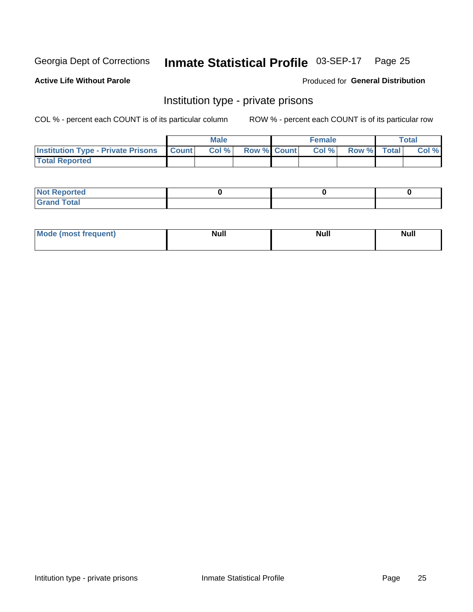# Inmate Statistical Profile 03-SEP-17 Page 25

**Active Life Without Parole** 

Produced for General Distribution

# Institution type - private prisons

COL % - percent each COUNT is of its particular column

|                                                 | <b>Male</b> |      |                    | <b>Female</b> |       |             | Total |       |
|-------------------------------------------------|-------------|------|--------------------|---------------|-------|-------------|-------|-------|
| <b>Institution Type - Private Prisons Count</b> |             | Col% | <b>Row % Count</b> |               | Col % | Row % Total |       | Col % |
| <b>Total Reported</b>                           |             |      |                    |               |       |             |       |       |

| <b>Reported</b><br><b>NOT</b><br>$\sim$            |  |  |
|----------------------------------------------------|--|--|
| $f$ $f \circ f \circ f$<br>$C = 1$<br><b>TULAI</b> |  |  |

| <b>Mo</b><br>frequent) | <b>Null</b> | <b>Null</b> | . . I *<br><b>IVUII</b> |
|------------------------|-------------|-------------|-------------------------|
|                        |             |             |                         |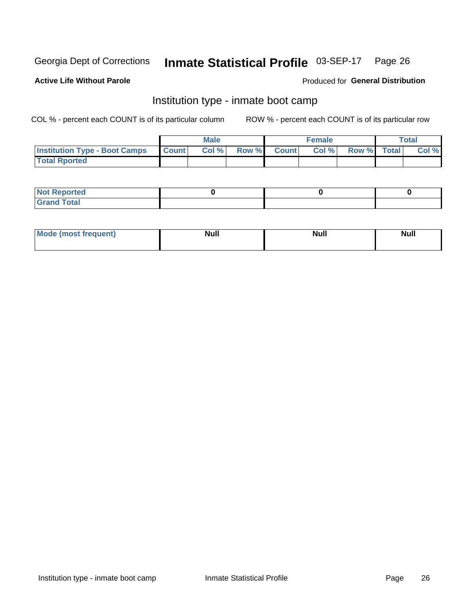#### Inmate Statistical Profile 03-SEP-17 Page 26

### **Active Life Without Parole**

### Produced for General Distribution

# Institution type - inmate boot camp

COL % - percent each COUNT is of its particular column

|                                      | <b>Male</b>     |       |              | <b>Female</b> |       |             | <b>Total</b> |       |
|--------------------------------------|-----------------|-------|--------------|---------------|-------|-------------|--------------|-------|
| <b>Institution Type - Boot Camps</b> | <b>I</b> Count⊥ | Col % | <b>Row %</b> | <b>Count</b>  | Col % | Row % Total |              | Col % |
| <b>Total Rported</b>                 |                 |       |              |               |       |             |              |       |

| <b>Not Reported</b>            |  |  |
|--------------------------------|--|--|
| <b>Total</b><br>C <sub>r</sub> |  |  |

| Mod<br>uamo | Nul.<br>$- - - - - -$ | <b>Null</b> | . .<br>uu.<br>------ |
|-------------|-----------------------|-------------|----------------------|
|             |                       |             |                      |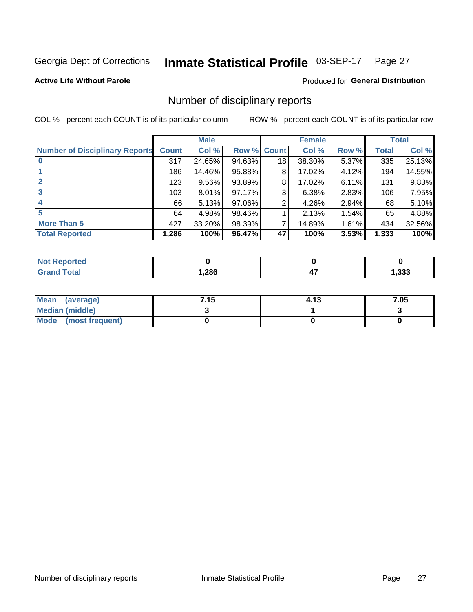#### Inmate Statistical Profile 03-SEP-17 Page 27

### **Active Life Without Parole**

Produced for General Distribution

# Number of disciplinary reports

COL % - percent each COUNT is of its particular column

|                                       | <b>Male</b>  |          |        | <b>Female</b> |        |          | <b>Total</b> |        |
|---------------------------------------|--------------|----------|--------|---------------|--------|----------|--------------|--------|
| <b>Number of Disciplinary Reports</b> | <b>Count</b> | Col %    | Row %  | <b>Count</b>  | Col %  | Row %    | <b>Total</b> | Col %  |
|                                       | 317          | 24.65%   | 94.63% | 18            | 38.30% | 5.37%    | 335          | 25.13% |
|                                       | 186          | 14.46%   | 95.88% | 8             | 17.02% | 4.12%    | 194          | 14.55% |
|                                       | 123          | $9.56\%$ | 93.89% | 8             | 17.02% | 6.11%    | 131          | 9.83%  |
| 3                                     | 103          | $8.01\%$ | 97.17% | 3             | 6.38%  | 2.83%    | 106          | 7.95%  |
|                                       | 66           | 5.13%    | 97.06% | 2             | 4.26%  | 2.94%    | 68           | 5.10%  |
| 5                                     | 64           | 4.98%    | 98.46% |               | 2.13%  | $1.54\%$ | 65           | 4.88%  |
| <b>More Than 5</b>                    | 427          | 33.20%   | 98.39% | 7             | 14.89% | 1.61%    | 434          | 32.56% |
| <b>Total Reported</b>                 | 1,286        | 100%     | 96.47% | 47            | 100%   | 3.53%    | 1,333        | 100%   |

| orted<br><b>NOT REDO</b> |      |     |       |
|--------------------------|------|-----|-------|
| ⊺otal                    | ,286 | . . | , 333 |

| Mean (average)         | 7.15 | 4.13 | 7.05 |
|------------------------|------|------|------|
| <b>Median (middle)</b> |      |      |      |
| Mode (most frequent)   |      |      |      |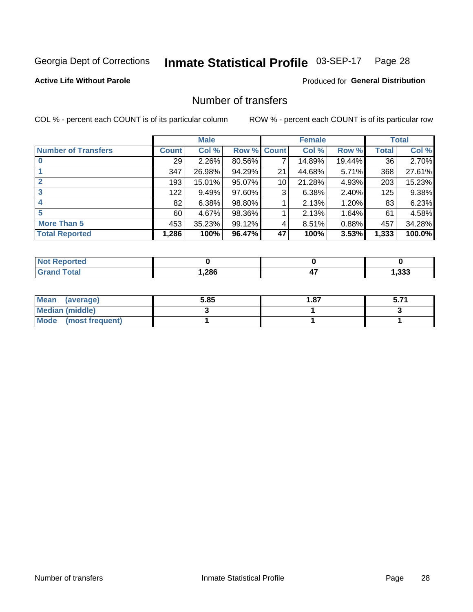#### Inmate Statistical Profile 03-SEP-17 Page 28

### **Active Life Without Parole**

### **Produced for General Distribution**

# Number of transfers

COL % - percent each COUNT is of its particular column

|                            | <b>Male</b> |          | <b>Female</b> |                 |        | <b>Total</b> |       |        |
|----------------------------|-------------|----------|---------------|-----------------|--------|--------------|-------|--------|
| <b>Number of Transfers</b> | Count l     | Col %    | Row % Count   |                 | Col %  | Row %        | Total | Col %  |
|                            | 29          | $2.26\%$ | 80.56%        | 7               | 14.89% | 19.44%       | 36    | 2.70%  |
|                            | 347         | 26.98%   | 94.29%        | 21              | 44.68% | $5.71\%$     | 368   | 27.61% |
| 2                          | 193         | 15.01%   | 95.07%        | 10 <sup>1</sup> | 21.28% | 4.93%        | 203   | 15.23% |
| 3                          | 122         | 9.49%    | 97.60%        | 3               | 6.38%  | $2.40\%$     | 125   | 9.38%  |
|                            | 82          | 6.38%    | 98.80%        |                 | 2.13%  | 1.20%        | 83    | 6.23%  |
| 5                          | 60          | 4.67%    | 98.36%        |                 | 2.13%  | $1.64\%$     | 61    | 4.58%  |
| <b>More Than 5</b>         | 453         | 35.23%   | 99.12%        | 4               | 8.51%  | 0.88%        | 457   | 34.28% |
| <b>Total Reported</b>      | 1,286       | 100%     | 96.47%        | 47              | 100%   | 3.53%        | 1,333 | 100.0% |

| orted<br><b>NOT REDO</b> |      |     |       |
|--------------------------|------|-----|-------|
| ⊺otal                    | ,286 | . . | , 333 |

| Mean (average)         | 5.85 | 87. ا |  |
|------------------------|------|-------|--|
| <b>Median (middle)</b> |      |       |  |
| Mode (most frequent)   |      |       |  |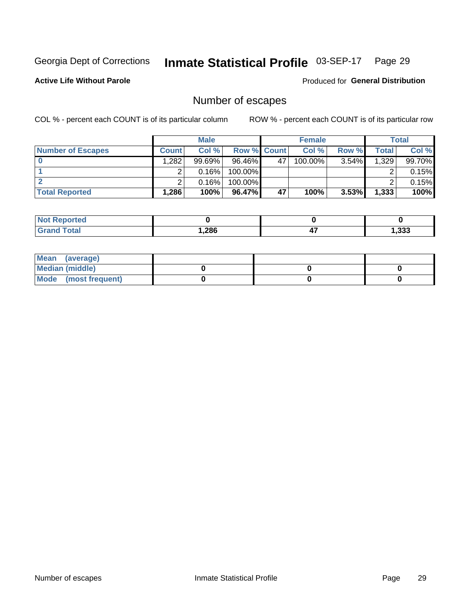#### Inmate Statistical Profile 03-SEP-17 Page 29

**Active Life Without Parole** 

Produced for General Distribution

# Number of escapes

COL % - percent each COUNT is of its particular column

|                          |              | <b>Male</b> |                    |    | <b>Female</b> |          |       | <b>Total</b> |
|--------------------------|--------------|-------------|--------------------|----|---------------|----------|-------|--------------|
| <b>Number of Escapes</b> | <b>Count</b> | Col%        | <b>Row % Count</b> |    | Col %         | Row %    | Total | Col %        |
|                          | .282         | 99.69%      | 96.46%             | 47 | 100.00%       | $3.54\%$ | 1,329 | 99.70%       |
|                          |              | 0.16%       | 100.00%            |    |               |          |       | 0.15%        |
|                          |              | 0.16%       | 100.00%            |    |               |          |       | 0.15%        |
| <b>Total Reported</b>    | $.286^\circ$ | 100%        | 96.47%             | 47 | 100%          | 3.53%    | 1,333 | 100%         |

| <b>orteg</b><br><b>NOT</b> |        |           |      |
|----------------------------|--------|-----------|------|
| ™otal<br>' Grand           | 286، ، | . .<br>т. | .333 |

| Mean (average)       |  |  |
|----------------------|--|--|
| Median (middle)      |  |  |
| Mode (most frequent) |  |  |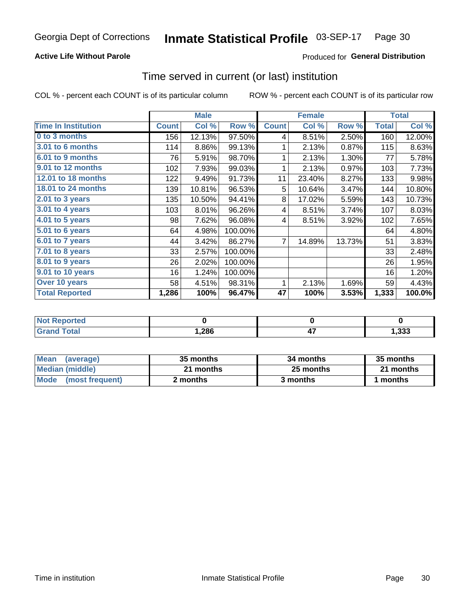### **Active Life Without Parole**

### Produced for General Distribution

# Time served in current (or last) institution

COL % - percent each COUNT is of its particular column

|                            |              | <b>Male</b> |         | <b>Female</b>  |        |        | <b>Total</b> |        |
|----------------------------|--------------|-------------|---------|----------------|--------|--------|--------------|--------|
| <b>Time In Institution</b> | <b>Count</b> | Col %       | Row %   | <b>Count</b>   | Col %  | Row %  | <b>Total</b> | Col %  |
| 0 to 3 months              | 156          | 12.13%      | 97.50%  | 4              | 8.51%  | 2.50%  | 160          | 12.00% |
| <b>3.01 to 6 months</b>    | 114          | 8.86%       | 99.13%  | 1              | 2.13%  | 0.87%  | 115          | 8.63%  |
| 6.01 to 9 months           | 76           | 5.91%       | 98.70%  | 1              | 2.13%  | 1.30%  | 77           | 5.78%  |
| 9.01 to 12 months          | 102          | 7.93%       | 99.03%  | 1              | 2.13%  | 0.97%  | 103          | 7.73%  |
| 12.01 to 18 months         | 122          | 9.49%       | 91.73%  | 11             | 23.40% | 8.27%  | 133          | 9.98%  |
| <b>18.01 to 24 months</b>  | 139          | 10.81%      | 96.53%  | 5              | 10.64% | 3.47%  | 144          | 10.80% |
| $2.01$ to 3 years          | 135          | 10.50%      | 94.41%  | 8              | 17.02% | 5.59%  | 143          | 10.73% |
| $3.01$ to 4 years          | 103          | 8.01%       | 96.26%  | 4              | 8.51%  | 3.74%  | 107          | 8.03%  |
| 4.01 to 5 years            | 98           | 7.62%       | 96.08%  | 4              | 8.51%  | 3.92%  | 102          | 7.65%  |
| 5.01 to 6 years            | 64           | 4.98%       | 100.00% |                |        |        | 64           | 4.80%  |
| 6.01 to 7 years            | 44           | 3.42%       | 86.27%  | $\overline{7}$ | 14.89% | 13.73% | 51           | 3.83%  |
| 7.01 to 8 years            | 33           | 2.57%       | 100.00% |                |        |        | 33           | 2.48%  |
| 8.01 to 9 years            | 26           | 2.02%       | 100.00% |                |        |        | 26           | 1.95%  |
| 9.01 to 10 years           | 16           | 1.24%       | 100.00% |                |        |        | 16           | 1.20%  |
| Over 10 years              | 58           | 4.51%       | 98.31%  | 1              | 2.13%  | 1.69%  | 59           | 4.43%  |
| <b>Total Reported</b>      | 1,286        | 100%        | 96.47%  | 47             | 100%   | 3.53%  | 1,333        | 100.0% |

| <b>Not R</b><br><b>Reported</b> |      |       |
|---------------------------------|------|-------|
| <b>Cotal</b>                    | ,286 | , 333 |

| <b>Mean</b><br>(average) | 35 months | 34 months | 35 months |
|--------------------------|-----------|-----------|-----------|
| Median (middle)          | 21 months | 25 months | 21 months |
| Mode (most frequent)     | 2 months  | 3 months  | 1 months  |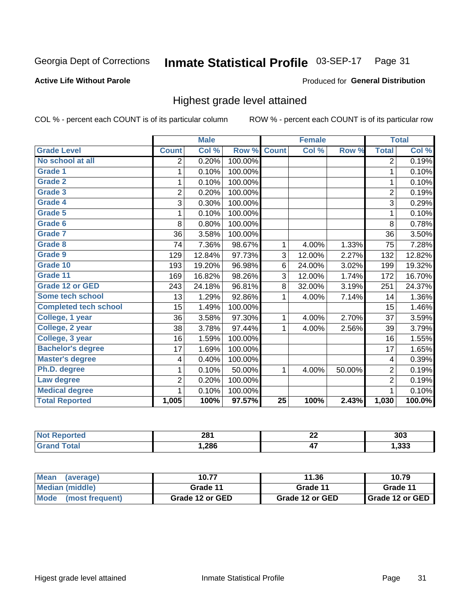#### Inmate Statistical Profile 03-SEP-17 Page 31

### **Active Life Without Parole**

### **Produced for General Distribution**

# Highest grade level attained

COL % - percent each COUNT is of its particular column

|                              |                         | <b>Male</b> |         |                 | <b>Female</b> |        |                | <b>Total</b> |
|------------------------------|-------------------------|-------------|---------|-----------------|---------------|--------|----------------|--------------|
| <b>Grade Level</b>           | <b>Count</b>            | Col %       | Row %   | <b>Count</b>    | Col %         | Row %  | <b>Total</b>   | Col %        |
| No school at all             | $\overline{2}$          | 0.20%       | 100.00% |                 |               |        | 2              | 0.19%        |
| Grade 1                      | 1                       | 0.10%       | 100.00% |                 |               |        | 1              | 0.10%        |
| <b>Grade 2</b>               | 1                       | 0.10%       | 100.00% |                 |               |        | 1              | 0.10%        |
| Grade 3                      | $\overline{2}$          | 0.20%       | 100.00% |                 |               |        | $\overline{c}$ | 0.19%        |
| Grade 4                      | 3                       | 0.30%       | 100.00% |                 |               |        | 3              | 0.29%        |
| Grade 5                      | 1                       | 0.10%       | 100.00% |                 |               |        | 1              | 0.10%        |
| Grade 6                      | 8                       | 0.80%       | 100.00% |                 |               |        | 8              | 0.78%        |
| <b>Grade 7</b>               | 36                      | 3.58%       | 100.00% |                 |               |        | 36             | 3.50%        |
| Grade 8                      | 74                      | 7.36%       | 98.67%  | 1               | 4.00%         | 1.33%  | 75             | 7.28%        |
| Grade 9                      | 129                     | 12.84%      | 97.73%  | $\mathfrak{S}$  | 12.00%        | 2.27%  | 132            | 12.82%       |
| Grade 10                     | 193                     | 19.20%      | 96.98%  | 6               | 24.00%        | 3.02%  | 199            | 19.32%       |
| Grade 11                     | 169                     | 16.82%      | 98.26%  | 3               | 12.00%        | 1.74%  | 172            | 16.70%       |
| <b>Grade 12 or GED</b>       | 243                     | 24.18%      | 96.81%  | 8               | 32.00%        | 3.19%  | 251            | 24.37%       |
| Some tech school             | 13                      | 1.29%       | 92.86%  | 1               | 4.00%         | 7.14%  | 14             | 1.36%        |
| <b>Completed tech school</b> | 15                      | 1.49%       | 100.00% |                 |               |        | 15             | 1.46%        |
| College, 1 year              | 36                      | 3.58%       | 97.30%  | 1               | 4.00%         | 2.70%  | 37             | 3.59%        |
| College, 2 year              | 38                      | 3.78%       | 97.44%  | 1               | 4.00%         | 2.56%  | 39             | 3.79%        |
| College, 3 year              | 16                      | 1.59%       | 100.00% |                 |               |        | 16             | 1.55%        |
| <b>Bachelor's degree</b>     | 17                      | 1.69%       | 100.00% |                 |               |        | 17             | 1.65%        |
| <b>Master's degree</b>       | $\overline{\mathbf{4}}$ | 0.40%       | 100.00% |                 |               |        | 4              | 0.39%        |
| Ph.D. degree                 | 1                       | 0.10%       | 50.00%  | 1               | 4.00%         | 50.00% | $\overline{2}$ | 0.19%        |
| Law degree                   | $\overline{2}$          | 0.20%       | 100.00% |                 |               |        | $\overline{2}$ | 0.19%        |
| <b>Medical degree</b>        | 1                       | 0.10%       | 100.00% |                 |               |        | 1              | 0.10%        |
| <b>Total Reported</b>        | 1,005                   | 100%        | 97.57%  | $\overline{25}$ | 100%          | 2.43%  | 1,030          | 100.0%       |

| mero | 281  | ^^<br><u>__</u>  | 303  |
|------|------|------------------|------|
|      | ,286 | --<br>,,,<br>. . | .333 |

| Mean<br>(average)    | 10.77           | 11.36           | 10.79             |
|----------------------|-----------------|-----------------|-------------------|
| Median (middle)      | Grade 11        | Grade 11        | Grade 11          |
| Mode (most frequent) | Grade 12 or GED | Grade 12 or GED | I Grade 12 or GED |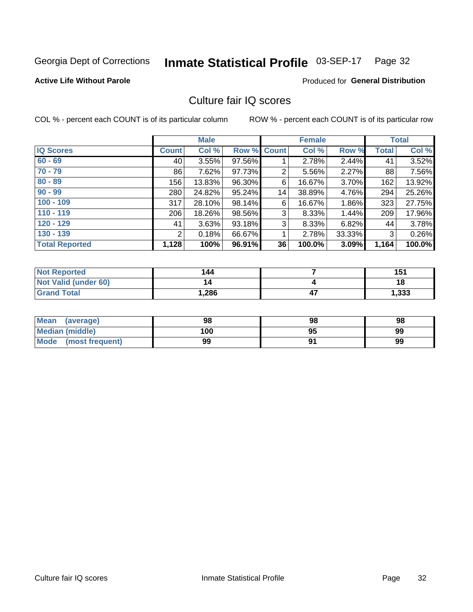#### Inmate Statistical Profile 03-SEP-17 Page 32

### **Active Life Without Parole**

### **Produced for General Distribution**

# Culture fair IQ scores

COL % - percent each COUNT is of its particular column

|                       |              | <b>Male</b> |                    | <b>Female</b> |        |          | <b>Total</b> |        |
|-----------------------|--------------|-------------|--------------------|---------------|--------|----------|--------------|--------|
| <b>IQ Scores</b>      | <b>Count</b> | Col %       | <b>Row % Count</b> |               | Col %  | Row %    | <b>Total</b> | Col %  |
| $60 - 69$             | 40           | 3.55%       | 97.56%             |               | 2.78%  | 2.44%    | 41           | 3.52%  |
| $70 - 79$             | 86           | 7.62%       | 97.73%             | 2             | 5.56%  | 2.27%    | 88           | 7.56%  |
| $80 - 89$             | 156          | 13.83%      | 96.30%             | 6             | 16.67% | 3.70%    | 162          | 13.92% |
| $90 - 99$             | 280          | 24.82%      | 95.24%             | 14            | 38.89% | 4.76%    | 294          | 25.26% |
| $100 - 109$           | 317          | 28.10%      | 98.14%             | 6             | 16.67% | $1.86\%$ | 323          | 27.75% |
| $110 - 119$           | 206          | 18.26%      | 98.56%             | 3             | 8.33%  | 1.44%    | 209          | 17.96% |
| $120 - 129$           | 41           | 3.63%       | 93.18%             | 3             | 8.33%  | 6.82%    | 44           | 3.78%  |
| $130 - 139$           | 2            | 0.18%       | 66.67%             | 1             | 2.78%  | 33.33%   | 3            | 0.26%  |
| <b>Total Reported</b> | 1,128        | 100%        | 96.91%             | 36            | 100.0% | 3.09%    | 1,164        | 100.0% |

| <b>Not Reported</b>  | 144  | 151   |
|----------------------|------|-------|
| Not Valid (under 60) |      | 18    |
| <b>Grand Total</b>   | ,286 | 1,333 |

| Mean<br>(average)              | 98  | 98 | 98 |
|--------------------------------|-----|----|----|
| <b>Median (middle)</b>         | 100 | 95 | 99 |
| <b>Mode</b><br>(most frequent) | 99  |    | 99 |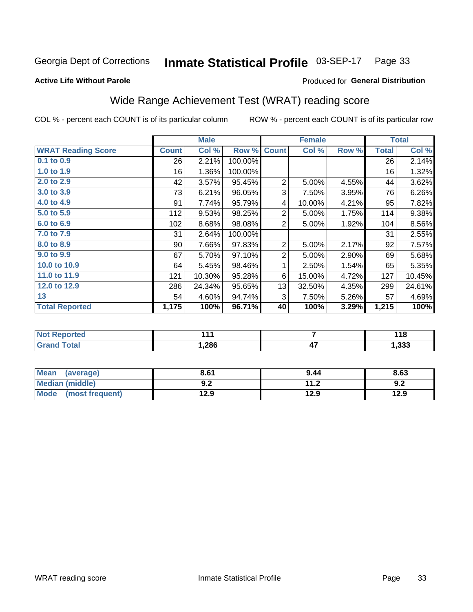#### Inmate Statistical Profile 03-SEP-17 Page 33

### **Active Life Without Parole**

### **Produced for General Distribution**

# Wide Range Achievement Test (WRAT) reading score

COL % - percent each COUNT is of its particular column

|                           |              | <b>Male</b> |                 |                | <b>Female</b> |       | <b>Total</b> |        |
|---------------------------|--------------|-------------|-----------------|----------------|---------------|-------|--------------|--------|
| <b>WRAT Reading Score</b> | <b>Count</b> | Col %       | Row %           | <b>Count</b>   | Col %         | Row % | <b>Total</b> | Col %  |
| $0.1$ to $0.9$            | 26           | 2.21%       | 100.00%         |                |               |       | 26           | 2.14%  |
| $1.0$ to 1.9              | 16           | 1.36%       | 100.00%         |                |               |       | 16           | 1.32%  |
| 2.0 to 2.9                | 42           | 3.57%       | 95.45%          | $\overline{2}$ | 5.00%         | 4.55% | 44           | 3.62%  |
| 3.0 to 3.9                | 73           | 6.21%       | 96.05%          | 3              | 7.50%         | 3.95% | 76           | 6.26%  |
| 4.0 to 4.9                | 91           | 7.74%       | 95.79%          | 4              | 10.00%        | 4.21% | 95           | 7.82%  |
| 5.0 to 5.9                | 112          | 9.53%       | 98.25%          | $\overline{2}$ | 5.00%         | 1.75% | 114          | 9.38%  |
| 6.0 to 6.9                | 102          | 8.68%       | 98.08%          | $\overline{2}$ | 5.00%         | 1.92% | 104          | 8.56%  |
| 7.0 to 7.9                | 31           | 2.64%       | 100.00%         |                |               |       | 31           | 2.55%  |
| 8.0 to 8.9                | 90           | 7.66%       | 97.83%          | $\overline{c}$ | 5.00%         | 2.17% | 92           | 7.57%  |
| 9.0 to 9.9                | 67           | 5.70%       | 97.10%          | 2              | 5.00%         | 2.90% | 69           | 5.68%  |
| 10.0 to 10.9              | 64           | 5.45%       | 98.46%          | 1              | 2.50%         | 1.54% | 65           | 5.35%  |
| 11.0 to 11.9              | 121          | 10.30%      | 95.28%          | 6              | 15.00%        | 4.72% | 127          | 10.45% |
| 12.0 to 12.9              | 286          | 24.34%      | 95.65%          | 13             | 32.50%        | 4.35% | 299          | 24.61% |
| 13                        | 54           | 4.60%       | 94.74%          | 3              | 7.50%         | 5.26% | 57           | 4.69%  |
| <b>Total Reported</b>     | 1,175        | 100%        | 96.71%          | 40             | 100%          | 3.29% | 1,215        | 100%   |
|                           |              |             |                 |                |               |       |              |        |
| <b>Not Reported</b>       |              | 111         |                 |                | 7             |       |              | 118    |
| <b>Grand Total</b>        | 1,286        |             | $\overline{47}$ |                |               | 1,333 |              |        |

| Mean (average)         | 8.61       | 9.44                 | 8.63 |
|------------------------|------------|----------------------|------|
| <b>Median (middle)</b> | פ ח<br>Y.Z | 11 つ<br>$\mathbf{L}$ | 9.2  |
| Mode (most frequent)   | 12.9       | 12.9                 | 12.9 |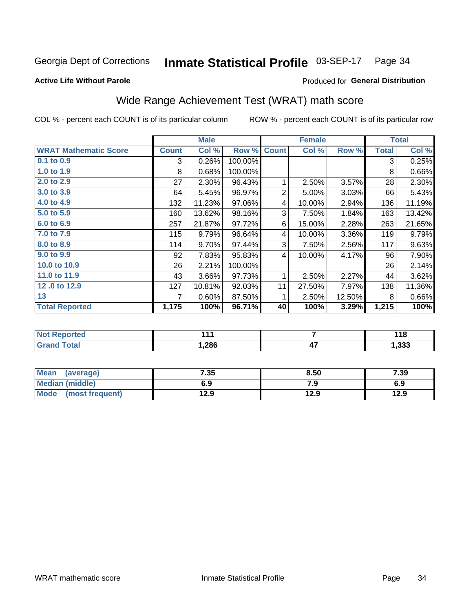#### Inmate Statistical Profile 03-SEP-17 Page 34

### **Active Life Without Parole**

### Produced for General Distribution

# Wide Range Achievement Test (WRAT) math score

COL % - percent each COUNT is of its particular column

|                              |              | <b>Male</b> |         |                | <b>Female</b>   | <b>Total</b> |              |        |
|------------------------------|--------------|-------------|---------|----------------|-----------------|--------------|--------------|--------|
| <b>WRAT Mathematic Score</b> | <b>Count</b> | Col %       | Row %   | <b>Count</b>   | Col %           | Row %        | <b>Total</b> | Col %  |
| $0.1$ to $0.9$               | 3            | 0.26%       | 100.00% |                |                 |              | 3            | 0.25%  |
| 1.0 to 1.9                   | 8            | 0.68%       | 100.00% |                |                 |              | 8            | 0.66%  |
| 2.0 to 2.9                   | 27           | 2.30%       | 96.43%  | 1              | 2.50%           | 3.57%        | 28           | 2.30%  |
| 3.0 to 3.9                   | 64           | 5.45%       | 96.97%  | $\overline{2}$ | 5.00%           | 3.03%        | 66           | 5.43%  |
| 4.0 to 4.9                   | 132          | 11.23%      | 97.06%  | 4              | 10.00%          | 2.94%        | 136          | 11.19% |
| 5.0 to 5.9                   | 160          | 13.62%      | 98.16%  | 3              | 7.50%           | 1.84%        | 163          | 13.42% |
| 6.0 to 6.9                   | 257          | 21.87%      | 97.72%  | 6              | 15.00%          | 2.28%        | 263          | 21.65% |
| 7.0 to 7.9                   | 115          | 9.79%       | 96.64%  | 4              | 10.00%          | 3.36%        | 119          | 9.79%  |
| 8.0 to 8.9                   | 114          | 9.70%       | 97.44%  | 3              | 7.50%           | 2.56%        | 117          | 9.63%  |
| 9.0 to 9.9                   | 92           | 7.83%       | 95.83%  | 4              | 10.00%          | 4.17%        | 96           | 7.90%  |
| 10.0 to 10.9                 | 26           | 2.21%       | 100.00% |                |                 |              | 26           | 2.14%  |
| 11.0 to 11.9                 | 43           | 3.66%       | 97.73%  | 1              | 2.50%           | 2.27%        | 44           | 3.62%  |
| 12.0 to 12.9                 | 127          | 10.81%      | 92.03%  | 11             | 27.50%          | 7.97%        | 138          | 11.36% |
| 13                           | 7            | 0.60%       | 87.50%  | 1              | 2.50%           | 12.50%       | 8            | 0.66%  |
| <b>Total Reported</b>        | 1,175        | 100%        | 96.71%  | 40             | 100%            | 3.29%        | 1,215        | 100%   |
|                              |              |             |         |                |                 |              |              |        |
| <b>Not Reported</b>          |              | 111         |         | $\overline{7}$ |                 |              | 118          |        |
| <b>Grand Total</b>           |              | 1,286       |         |                | $\overline{47}$ |              |              | 1,333  |

| <b>Mean</b><br>(average) | 7.35 | 8.50 | 7.39 |
|--------------------------|------|------|------|
| Median (middle)          | 6.9  | 7.9  | 6.9  |
| Mode<br>(most frequent)  | 12.9 | 12.9 | 12.9 |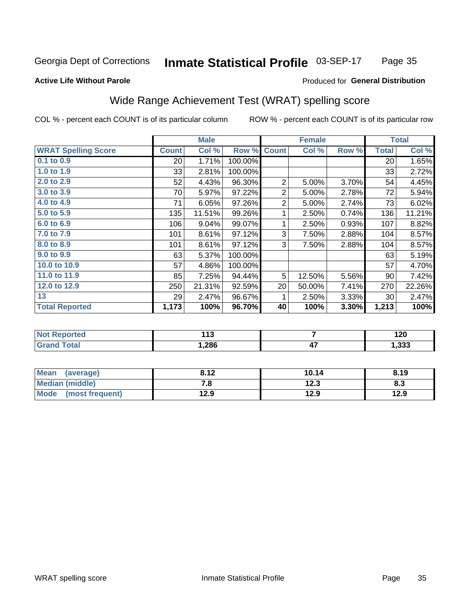#### Inmate Statistical Profile 03-SEP-17 Page 35

### **Active Life Without Parole**

### Produced for General Distribution

# Wide Range Achievement Test (WRAT) spelling score

COL % - percent each COUNT is of its particular column

|                                              |              | <b>Male</b>   |         |                | <b>Female</b>                                               |       | <b>Total</b> |               |
|----------------------------------------------|--------------|---------------|---------|----------------|-------------------------------------------------------------|-------|--------------|---------------|
| <b>WRAT Spelling Score</b>                   | <b>Count</b> | Col %         | Row %   | <b>Count</b>   | Col %                                                       | Row % | <b>Total</b> | Col %         |
| $0.1$ to $0.9$                               | 20           | 1.71%         | 100.00% |                |                                                             |       | 20           | 1.65%         |
| 1.0 to 1.9                                   | 33           | 2.81%         | 100.00% |                |                                                             |       | 33           | 2.72%         |
| 2.0 to 2.9                                   | 52           | 4.43%         | 96.30%  | $\overline{2}$ | 5.00%                                                       | 3.70% | 54           | 4.45%         |
| 3.0 to 3.9                                   | 70           | 5.97%         | 97.22%  | 2              | 5.00%                                                       | 2.78% | 72           | 5.94%         |
| 4.0 to 4.9                                   | 71           | 6.05%         | 97.26%  | $\sqrt{2}$     | 5.00%                                                       | 2.74% | 73           | 6.02%         |
| $5.0$ to $5.9$                               | 135          | 11.51%        | 99.26%  | 1              | 2.50%                                                       | 0.74% | 136          | 11.21%        |
| 6.0 to 6.9                                   | 106          | 9.04%         | 99.07%  | 1              | 2.50%                                                       | 0.93% | 107          | 8.82%         |
| 7.0 to 7.9                                   | 101          | 8.61%         | 97.12%  | 3              | 7.50%                                                       | 2.88% | 104          | 8.57%         |
| 8.0 to 8.9                                   | 101          | 8.61%         | 97.12%  | 3              | 7.50%                                                       | 2.88% | 104          | 8.57%         |
| 9.0 to 9.9                                   | 63           | 5.37%         | 100.00% |                |                                                             |       | 63           | 5.19%         |
| 10.0 to 10.9                                 | 57           | 4.86%         | 100.00% |                |                                                             |       | 57           | 4.70%         |
| 11.0 to 11.9                                 | 85           | 7.25%         | 94.44%  | 5              | 12.50%                                                      | 5.56% | 90           | 7.42%         |
| 12.0 to 12.9                                 | 250          | 21.31%        | 92.59%  | 20             | 50.00%                                                      | 7.41% | 270          | 22.26%        |
| 13                                           | 29           | 2.47%         | 96.67%  | 1              | 2.50%                                                       | 3.33% | 30           | 2.47%         |
| <b>Total Reported</b>                        | 1,173        | 100%          | 96.70%  | 40             | 100%                                                        | 3.30% | 1,213        | 100%          |
|                                              |              |               |         |                |                                                             |       |              |               |
| <b>Not Reported</b>                          |              | 113           |         |                | $\overline{7}$                                              |       |              | 120           |
| <b>Grand Total</b>                           |              | 1,286         |         | 47             |                                                             |       | 1,333        |               |
|                                              |              |               |         |                |                                                             |       |              |               |
| <b>Taker</b><br>$\mathbf{z}$<br>$\mathbf{A}$ |              | $\sim$ $\sim$ |         |                | $\overline{1}$ $\overline{1}$ $\overline{1}$ $\overline{1}$ |       |              | $\sim$ $\sim$ |

| <b>Mean</b><br>(average) | 8.12 | 10.14 | 8.19 |
|--------------------------|------|-------|------|
| <b>Median (middle)</b>   | 7. O | 12.3  | ი.ა  |
| Mode<br>(most frequent)  | 12.9 | 12.9  | 12.9 |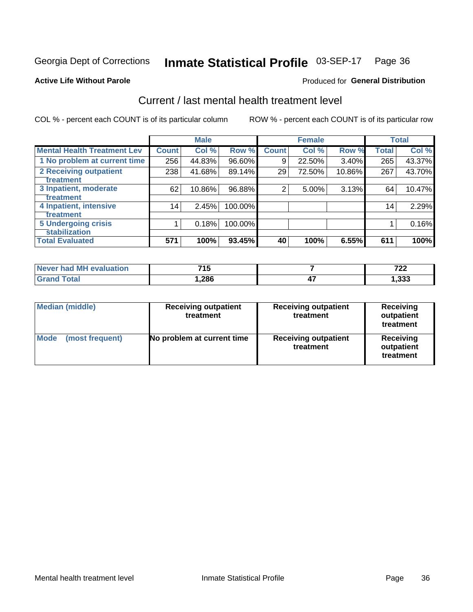#### Inmate Statistical Profile 03-SEP-17 Page 36

### **Active Life Without Parole**

### Produced for General Distribution

# Current / last mental health treatment level

COL % - percent each COUNT is of its particular column

|                                    |              | <b>Male</b> |         |              | <b>Female</b> |        |              | <b>Total</b> |
|------------------------------------|--------------|-------------|---------|--------------|---------------|--------|--------------|--------------|
| <b>Mental Health Treatment Lev</b> | <b>Count</b> | Col %       | Row %   | <b>Count</b> | Col%          | Row %  | <b>Total</b> | Col %        |
| 1 No problem at current time       | 256          | 44.83%      | 96.60%  | 9            | 22.50%        | 3.40%  | 265          | 43.37%       |
| 2 Receiving outpatient             | 238          | 41.68%      | 89.14%  | 29           | 72.50%        | 10.86% | 267          | 43.70%       |
| <b>Treatment</b>                   |              |             |         |              |               |        |              |              |
| 3 Inpatient, moderate              | 62           | 10.86%      | 96.88%  | 2            | 5.00%         | 3.13%  | 64           | 10.47%       |
| Treatment                          |              |             |         |              |               |        |              |              |
| 4 Inpatient, intensive             | 14           | 2.45%       | 100.00% |              |               |        | 14           | 2.29%        |
| Treatment                          |              |             |         |              |               |        |              |              |
| <b>5 Undergoing crisis</b>         |              | 0.18%       | 100.00% |              |               |        |              | 0.16%        |
| <b>stabilization</b>               |              |             |         |              |               |        |              |              |
| <b>Total Evaluated</b>             | 571          | 100%        | 93.45%  | 40           | 100%          | 6.55%  | 611          | 100%         |

| evaluation<br>Never had MF | <b>745</b><br>. J | 700<br>.        |
|----------------------------|-------------------|-----------------|
| $f$ $f \circ f$            | ,286              | <br>າາາ<br>,ააა |

| <b>Median (middle)</b>  | <b>Receiving outpatient</b><br>treatment | <b>Receiving outpatient</b><br>treatment | <b>Receiving</b><br>outpatient<br>treatment |  |
|-------------------------|------------------------------------------|------------------------------------------|---------------------------------------------|--|
| Mode<br>(most frequent) | No problem at current time               | <b>Receiving outpatient</b><br>treatment | <b>Receiving</b><br>outpatient<br>treatment |  |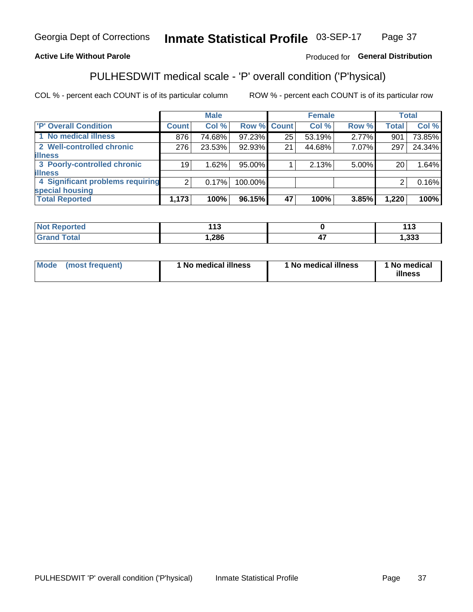#### Inmate Statistical Profile 03-SEP-17 Page 37

### **Active Life Without Parole**

### Produced for General Distribution

# PULHESDWIT medical scale - 'P' overall condition ('P'hysical)

COL % - percent each COUNT is of its particular column

|                                  |                | <b>Male</b> |             |    | <b>Female</b> |       |              | <b>Total</b> |
|----------------------------------|----------------|-------------|-------------|----|---------------|-------|--------------|--------------|
| 'P' Overall Condition            | <b>Count</b>   | Col %       | Row % Count |    | Col %         | Row % | <b>Total</b> | Col %        |
| 1 No medical illness             | 876            | 74.68%      | 97.23%      | 25 | 53.19%        | 2.77% | 901          | 73.85%       |
| 2 Well-controlled chronic        | 276            | 23.53%      | 92.93%      | 21 | 44.68%        | 7.07% | 297          | 24.34%       |
| <b>illness</b>                   |                |             |             |    |               |       |              |              |
| 3 Poorly-controlled chronic      | 19             | 1.62%       | 95.00%      |    | 2.13%         | 5.00% | 20           | 1.64%        |
| <b>illness</b>                   |                |             |             |    |               |       |              |              |
| 4 Significant problems requiring | 2 <sub>1</sub> | 0.17%       | 100.00%     |    |               |       | 2            | 0.16%        |
| special housing                  |                |             |             |    |               |       |              |              |
| <b>Total Reported</b>            | 1,173          | 100%        | 96.15%      | 47 | 100%          | 3.85% | 1,220        | 100%         |

| τeα   | $\overline{A}$<br>. . |    | 442<br>. I J  |
|-------|-----------------------|----|---------------|
| _____ | ,286                  | −. | nnn<br>ردد, ا |

| <b>Mode</b> | (most frequent) | 1 No medical illness | 1 No medical illness | 1 No medical<br>illness |
|-------------|-----------------|----------------------|----------------------|-------------------------|
|-------------|-----------------|----------------------|----------------------|-------------------------|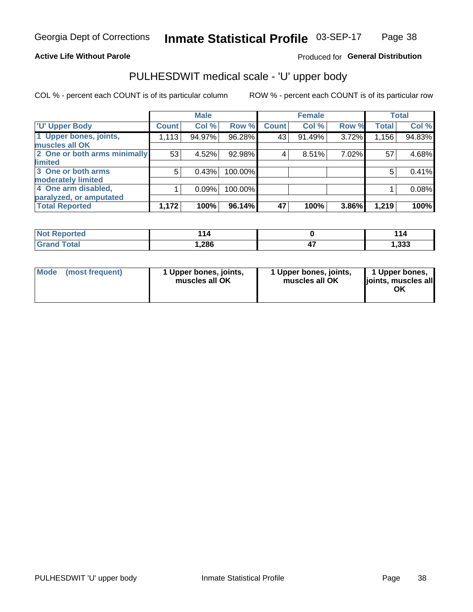### **Active Life Without Parole**

### Produced for General Distribution

# PULHESDWIT medical scale - 'U' upper body

COL % - percent each COUNT is of its particular column

|                              |              | <b>Male</b> |           |              | <b>Female</b> |       |              | <b>Total</b> |
|------------------------------|--------------|-------------|-----------|--------------|---------------|-------|--------------|--------------|
| <b>'U' Upper Body</b>        | <b>Count</b> | Col %       | Row %     | <b>Count</b> | Col %         | Row % | <b>Total</b> | Col %        |
| 1 Upper bones, joints,       | 1,113        | 94.97%      | $96.28\%$ | 43           | 91.49%        | 3.72% | 1,156        | 94.83%       |
| muscles all OK               |              |             |           |              |               |       |              |              |
| 2 One or both arms minimally | 53           | 4.52%       | 92.98%    | 4            | 8.51%         | 7.02% | 57           | 4.68%        |
| limited                      |              |             |           |              |               |       |              |              |
| 3 One or both arms           | 5            | 0.43%       | 100.00%   |              |               |       | 5            | 0.41%        |
| <b>moderately limited</b>    |              |             |           |              |               |       |              |              |
| 4 One arm disabled,          |              | 0.09%       | 100.00%   |              |               |       |              | 0.08%        |
| paralyzed, or amputated      |              |             |           |              |               |       |              |              |
| <b>Total Reported</b>        | 1,172        | 100%        | 96.14%    | 47           | 100%          | 3.86% | 1,219        | 100%         |

| <b>Not Reported</b> | 14   | 44   |
|---------------------|------|------|
| <b>Grand Total</b>  | ,286 | ,333 |

| Mode | (most frequent) | 1 Upper bones, joints,<br>muscles all OK | 1 Upper bones, joints,<br>muscles all OK | 1 Upper bones,<br>ljoints, muscles all<br>OK |
|------|-----------------|------------------------------------------|------------------------------------------|----------------------------------------------|
|------|-----------------|------------------------------------------|------------------------------------------|----------------------------------------------|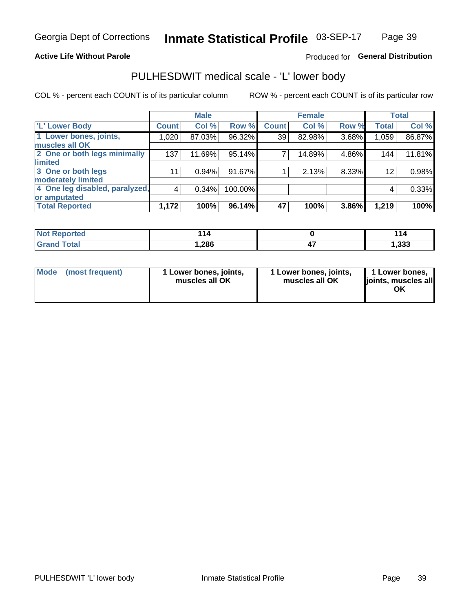### **Active Life Without Parole**

### Produced for General Distribution

# PULHESDWIT medical scale - 'L' lower body

COL % - percent each COUNT is of its particular column

|                                |              | <b>Male</b> |         |                 | <b>Female</b> |       |              | <b>Total</b> |
|--------------------------------|--------------|-------------|---------|-----------------|---------------|-------|--------------|--------------|
| 'L' Lower Body                 | <b>Count</b> | Col %       | Row %   | <b>Count</b>    | Col %         | Row % | <b>Total</b> | Col %        |
| 1 Lower bones, joints,         | 1,020        | 87.03%      | 96.32%  | 39 <sup>1</sup> | 82.98%        | 3.68% | 1,059        | 86.87%       |
| muscles all OK                 |              |             |         |                 |               |       |              |              |
| 2 One or both legs minimally   | 137          | 11.69%      | 95.14%  | 7               | 14.89%        | 4.86% | 144          | 11.81%       |
| limited                        |              |             |         |                 |               |       |              |              |
| 3 One or both legs             | 11           | 0.94%       | 91.67%  |                 | 2.13%         | 8.33% | 12           | 0.98%        |
| moderately limited             |              |             |         |                 |               |       |              |              |
| 4 One leg disabled, paralyzed, | 4            | 0.34%       | 100.00% |                 |               |       | 4            | 0.33%        |
| or amputated                   |              |             |         |                 |               |       |              |              |
| <b>Total Reported</b>          | 1,172        | 100%        | 96.14%  | 47              | 100%          | 3.86% | 1,219        | 100%         |

| <b>Not Reported</b>   | - 14 | 44<br>l 14 |
|-----------------------|------|------------|
| <b>Total</b><br>Grand | ,286 | 1,333      |

| Mode | (most frequent) | 1 Lower bones, joints,<br>muscles all OK | 1 Lower bones, joints,<br>muscles all OK | 1 Lower bones,<br>ljoints, muscles all<br>OK |
|------|-----------------|------------------------------------------|------------------------------------------|----------------------------------------------|
|------|-----------------|------------------------------------------|------------------------------------------|----------------------------------------------|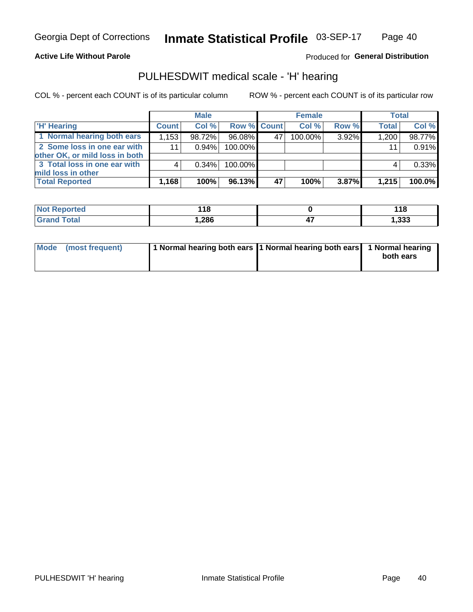### **Active Life Without Parole**

Produced for General Distribution

# PULHESDWIT medical scale - 'H' hearing

COL % - percent each COUNT is of its particular column

|                                                               |              | <b>Male</b> |                    |    | <b>Female</b> |          | <b>Total</b> |        |
|---------------------------------------------------------------|--------------|-------------|--------------------|----|---------------|----------|--------------|--------|
| <b>H'</b> Hearing                                             | <b>Count</b> | Col %       | <b>Row % Count</b> |    | Col%          | Row %    | <b>Total</b> | Col %  |
| 1 Normal hearing both ears                                    | 1,153        | 98.72%      | 96.08%             | 47 | $100.00\%$    | 3.92%    | 1,200        | 98.77% |
| 2 Some loss in one ear with<br>other OK, or mild loss in both | 11           | 0.94%       | 100.00%            |    |               |          | 11           | 0.91%  |
| 3 Total loss in one ear with<br>mild loss in other            | 4            | 0.34%       | 100.00%            |    |               |          | 4            | 0.33%  |
| <b>Total Reported</b>                                         | 1,168        | 100%        | 96.13%             | 47 | 100%          | $3.87\%$ | 1,215        | 100.0% |

| <b>Not</b><br>Reported | 18     | 44 C<br><u>. . 0</u> |
|------------------------|--------|----------------------|
| <b>otal</b>            | 286, ا | 1,333                |

| Mode (most frequent) | 1 Normal hearing both ears 1 Normal hearing both ears 1 Normal hearing | both ears |
|----------------------|------------------------------------------------------------------------|-----------|
|----------------------|------------------------------------------------------------------------|-----------|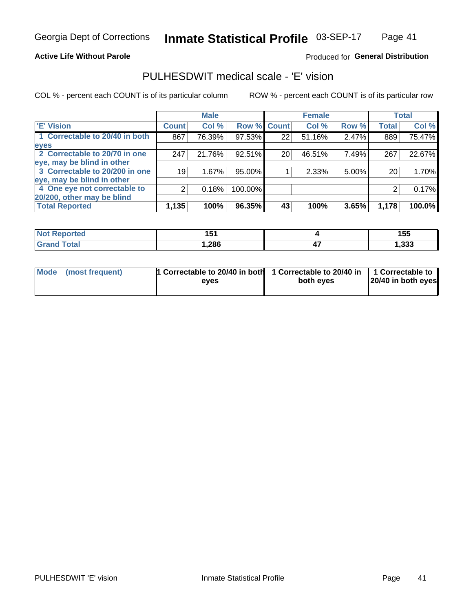### **Active Life Without Parole**

### Produced for General Distribution

# PULHESDWIT medical scale - 'E' vision

COL % - percent each COUNT is of its particular column

|                                |              | <b>Male</b> |         |              | <b>Female</b> |          |              | <b>Total</b> |
|--------------------------------|--------------|-------------|---------|--------------|---------------|----------|--------------|--------------|
| <b>E' Vision</b>               | <b>Count</b> | Col %       | Row %   | <b>Count</b> | Col %         | Row %    | <b>Total</b> | Col %        |
| 1 Correctable to 20/40 in both | 867          | 76.39%      | 97.53%  | 22           | 51.16%        | 2.47%    | 889          | 75.47%       |
| eyes                           |              |             |         |              |               |          |              |              |
| 2 Correctable to 20/70 in one  | 247          | 21.76%      | 92.51%  | 20           | 46.51%        | 7.49%    | 267          | 22.67%       |
| eye, may be blind in other     |              |             |         |              |               |          |              |              |
| 3 Correctable to 20/200 in one | 19           | 1.67%       | 95.00%  |              | 2.33%         | $5.00\%$ | 20           | 1.70%        |
| eye, may be blind in other     |              |             |         |              |               |          |              |              |
| 4 One eye not correctable to   | 2            | 0.18%       | 100.00% |              |               |          | 2            | 0.17%        |
| 20/200, other may be blind     |              |             |         |              |               |          |              |              |
| <b>Total Reported</b>          | 1,135        | 100%        | 96.35%  | 43           | 100%          | 3.65%    | 1,178        | 100.0%       |

| <b>Not Reported</b> | .<br>1 J |          | 155         |
|---------------------|----------|----------|-------------|
| Total               | 286،،    | "<br>- 1 | າາາ<br>,ააა |

| Mode (most frequent) | 1 Correctable to 20/40 in both<br>eves | 1 Correctable to 20/40 in   1 Correctable to<br>both eves | 20/40 in both eyes |  |  |
|----------------------|----------------------------------------|-----------------------------------------------------------|--------------------|--|--|
|                      |                                        |                                                           |                    |  |  |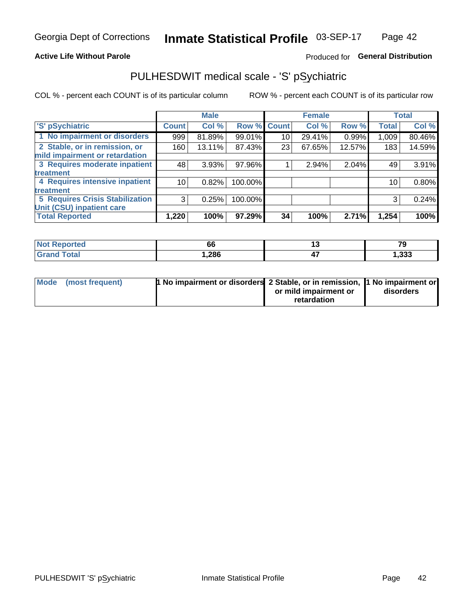### **Active Life Without Parole**

### Produced for General Distribution

# PULHESDWIT medical scale - 'S' pSychiatric

COL % - percent each COUNT is of its particular column

|                                 |              | <b>Male</b> |         |             | <b>Female</b> |        |              | <b>Total</b> |
|---------------------------------|--------------|-------------|---------|-------------|---------------|--------|--------------|--------------|
| 'S' pSychiatric                 | <b>Count</b> | Col %       |         | Row % Count | Col %         | Row %  | <b>Total</b> | Col %        |
| 1 No impairment or disorders    | 999          | 81.89%      | 99.01%  | 10          | 29.41%        | 0.99%  | 1,009        | 80.46%       |
| 2 Stable, or in remission, or   | 160          | 13.11%      | 87.43%  | 23          | 67.65%        | 12.57% | 183          | 14.59%       |
| mild impairment or retardation  |              |             |         |             |               |        |              |              |
| 3 Requires moderate inpatient   | 48           | 3.93%       | 97.96%  |             | 2.94%         | 2.04%  | 49           | 3.91%        |
| <b>treatment</b>                |              |             |         |             |               |        |              |              |
| 4 Requires intensive inpatient  | 10           | 0.82%       | 100.00% |             |               |        | 10           | 0.80%        |
| <b>treatment</b>                |              |             |         |             |               |        |              |              |
| 5 Requires Crisis Stabilization | 3            | 0.25%       | 100.00% |             |               |        | 3            | 0.24%        |
| Unit (CSU) inpatient care       |              |             |         |             |               |        |              |              |
| <b>Total Reported</b>           | 1,220        | 100%        | 97.29%  | 34          | 100%          | 2.71%  | 1,254        | 100%         |

| <b>Not Reported</b> | $\overline{\phantom{a}}$<br>bt | $\overline{z}$<br>. . |
|---------------------|--------------------------------|-----------------------|
| <b>Grand Total</b>  | 286, ا                         | 1,333                 |

| Mode (most frequent) | <b>1 No impairment or disorders</b> 2 Stable, or in remission, 11 No impairment or |                       |           |
|----------------------|------------------------------------------------------------------------------------|-----------------------|-----------|
|                      |                                                                                    | or mild impairment or | disorders |
|                      |                                                                                    | retardation           |           |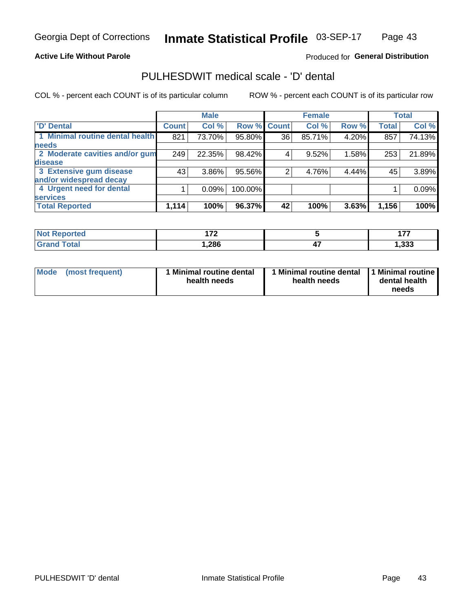### **Active Life Without Parole**

### Produced for General Distribution

# PULHESDWIT medical scale - 'D' dental

COL % - percent each COUNT is of its particular column

|                                 |                    | <b>Male</b> |         |              | <b>Female</b> |       |              | <b>Total</b> |
|---------------------------------|--------------------|-------------|---------|--------------|---------------|-------|--------------|--------------|
| <b>D'</b> Dental                | Count <sup>1</sup> | Col %       | Row %   | <b>Count</b> | Col %         | Row % | <b>Total</b> | Col %        |
| 1 Minimal routine dental health | 821                | 73.70%      | 95.80%  | 36           | 85.71%        | 4.20% | 857          | 74.13%       |
| <b>needs</b>                    |                    |             |         |              |               |       |              |              |
| 2 Moderate cavities and/or gum  | 249                | 22.35%      | 98.42%  |              | 9.52%         | 1.58% | 253          | 21.89%       |
| disease                         |                    |             |         |              |               |       |              |              |
| 3 Extensive gum disease         | 43                 | 3.86%       | 95.56%  | ⌒            | 4.76%         | 4.44% | 45           | 3.89%        |
| and/or widespread decay         |                    |             |         |              |               |       |              |              |
| 4 Urgent need for dental        |                    | 0.09%       | 100.00% |              |               |       |              | 0.09%        |
| <b>services</b>                 |                    |             |         |              |               |       |              |              |
| <b>Total Reported</b>           | 1,114              | 100%        | 96.37%  | 42           | 100%          | 3.63% | 1,156        | 100%         |

| <b>Not Reported</b> | ית    |          | $\overline{a}$<br>. . |
|---------------------|-------|----------|-----------------------|
| Total               | 286،، | "<br>- 1 | າາາ<br>,ააა           |

| <b>Mode</b> | (most frequent) | <b>Minimal routine dental</b><br>health needs | 1 Minimal routine dental   1 Minimal routine  <br>health needs | dental health<br>needs |
|-------------|-----------------|-----------------------------------------------|----------------------------------------------------------------|------------------------|
|-------------|-----------------|-----------------------------------------------|----------------------------------------------------------------|------------------------|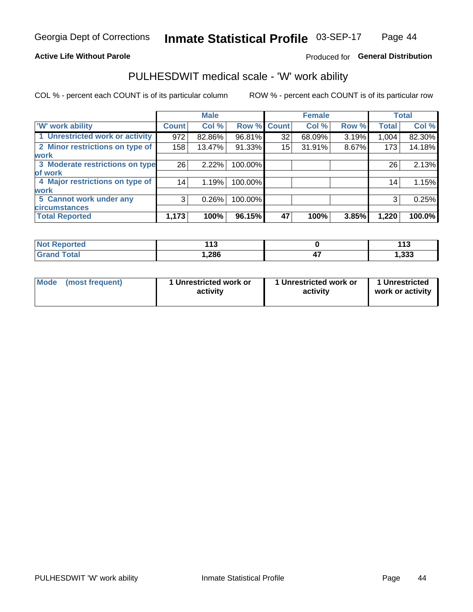### **Active Life Without Parole**

### Produced for General Distribution

# PULHESDWIT medical scale - 'W' work ability

COL % - percent each COUNT is of its particular column

|                                 |              | <b>Male</b> |         |             | <b>Female</b> |       |              | <b>Total</b> |
|---------------------------------|--------------|-------------|---------|-------------|---------------|-------|--------------|--------------|
| <b>W' work ability</b>          | <b>Count</b> | Col %       |         | Row % Count | Col %         | Row % | <b>Total</b> | Col %        |
| 1 Unrestricted work or activity | 972          | 82.86%      | 96.81%  | 32          | 68.09%        | 3.19% | 1,004        | 82.30%       |
| 2 Minor restrictions on type of | 158          | 13.47%      | 91.33%  | 15          | 31.91%        | 8.67% | 173          | 14.18%       |
| <b>work</b>                     |              |             |         |             |               |       |              |              |
| 3 Moderate restrictions on type | 26           | 2.22%       | 100.00% |             |               |       | 26           | 2.13%        |
| lof work                        |              |             |         |             |               |       |              |              |
| 4 Major restrictions on type of | 14           | 1.19%       | 100.00% |             |               |       | 14           | 1.15%        |
| <b>work</b>                     |              |             |         |             |               |       |              |              |
| 5 Cannot work under any         | 3            | 0.26%       | 100.00% |             |               |       | 3            | 0.25%        |
| <b>circumstances</b>            |              |             |         |             |               |       |              |              |
| <b>Total Reported</b>           | 1,173        | 100%        | 96.15%  | 47          | 100%          | 3.85% | 1,220        | 100.0%       |

| <b>Not Reported</b>   | 449<br>. | 44 <sup>o</sup><br>. |
|-----------------------|----------|----------------------|
| <b>Total</b><br>Croni | 286،     | 1,333                |

| Mode (most frequent) | 1 Unrestricted work or | 1 Unrestricted work or | 1 Unrestricted   |
|----------------------|------------------------|------------------------|------------------|
|                      | activity               | activity               | work or activity |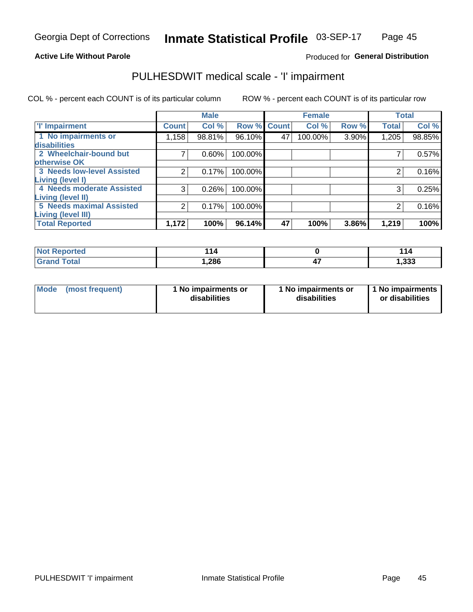### **Active Life Without Parole**

### Produced for General Distribution

# PULHESDWIT medical scale - 'I' impairment

COL % - percent each COUNT is of its particular column ROW % - percent each COUNT is of its particular row

|                                   |                | <b>Male</b> |             |    | <b>Female</b> |       |              | <b>Total</b> |
|-----------------------------------|----------------|-------------|-------------|----|---------------|-------|--------------|--------------|
| <b>T' Impairment</b>              | <b>Count</b>   | Col %       | Row % Count |    | Col %         | Row % | <b>Total</b> | Col %        |
| 1 No impairments or               | 1,158          | 98.81%      | 96.10%      | 47 | 100.00%       | 3.90% | 1,205        | 98.85%       |
| disabilities                      |                |             |             |    |               |       |              |              |
| 2 Wheelchair-bound but            |                | 0.60%       | 100.00%     |    |               |       |              | 0.57%        |
| otherwise OK                      |                |             |             |    |               |       |              |              |
| <b>3 Needs low-level Assisted</b> | $\overline{2}$ | 0.17%       | 100.00%     |    |               |       | 2            | 0.16%        |
| Living (level I)                  |                |             |             |    |               |       |              |              |
| 4 Needs moderate Assisted         | 3              | 0.26%       | 100.00%     |    |               |       | 3            | 0.25%        |
| <b>Living (level II)</b>          |                |             |             |    |               |       |              |              |
| <b>5 Needs maximal Assisted</b>   | 2              | 0.17%       | 100.00%     |    |               |       | 2            | 0.16%        |
| <b>Living (level III)</b>         |                |             |             |    |               |       |              |              |
| <b>Total Reported</b>             | 1,172          | 100%        | 96.14%      | 47 | 100%          | 3.86% | 1,219        | 100%         |

| orted | 44<br>14 | <u> 114</u> |
|-------|----------|-------------|
| 'ota. | ,286     | 1,333       |

| <b>Mode</b> | (most frequent) | <b>No impairments or</b><br>disabilities | 1 No impairments or<br>disabilities | 1 No impairments<br>or disabilities |
|-------------|-----------------|------------------------------------------|-------------------------------------|-------------------------------------|
|-------------|-----------------|------------------------------------------|-------------------------------------|-------------------------------------|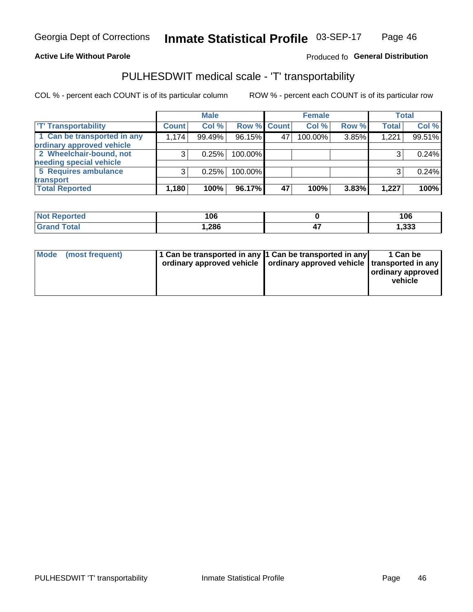### **Active Life Without Parole**

### Produced fo General Distribution

# PULHESDWIT medical scale - 'T' transportability

COL % - percent each COUNT is of its particular column

|                             |              | <b>Male</b> |             |    | <b>Female</b> |       |              | <b>Total</b> |
|-----------------------------|--------------|-------------|-------------|----|---------------|-------|--------------|--------------|
| <b>T' Transportability</b>  | <b>Count</b> | Col %       | Row % Count |    | Col %         | Row % | <b>Total</b> | Col %        |
| 1 Can be transported in any | 1,174        | 99.49%      | 96.15%      | 47 | 100.00%       | 3.85% | 1,221        | 99.51%       |
| ordinary approved vehicle   |              |             |             |    |               |       |              |              |
| 2 Wheelchair-bound, not     |              | 0.25%       | 100.00%     |    |               |       |              | 0.24%        |
| needing special vehicle     |              |             |             |    |               |       |              |              |
| 5 Requires ambulance        |              | 0.25%       | 100.00%     |    |               |       |              | 0.24%        |
| transport                   |              |             |             |    |               |       |              |              |
| <b>Total Reported</b>       | 1,180        | 100%        | 96.17%      | 47 | 100%          | 3.83% | 1,227        | 100%         |

| orteo       | 106   | 106   |
|-------------|-------|-------|
| <b>otal</b> | 286,، | 1,333 |

| Mode (most frequent) | 1 Can be transported in any 1 Can be transported in any | ordinary approved vehicle   ordinary approved vehicle   transported in any | 1 Can be<br>ordinary approved<br>vehicle |
|----------------------|---------------------------------------------------------|----------------------------------------------------------------------------|------------------------------------------|
|                      |                                                         |                                                                            |                                          |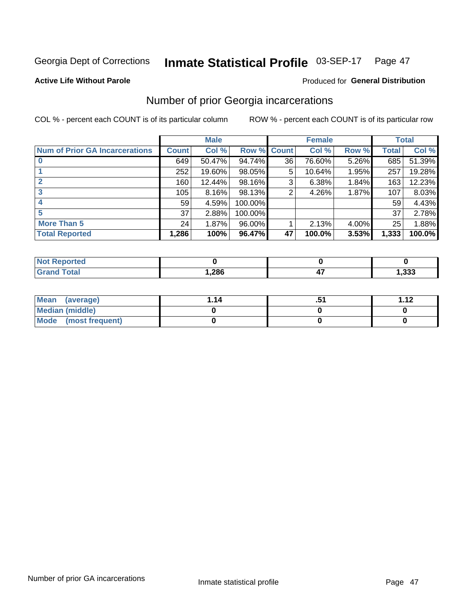#### Inmate Statistical Profile 03-SEP-17 Page 47

### **Active Life Without Parole**

### **Produced for General Distribution**

# Number of prior Georgia incarcerations

COL % - percent each COUNT is of its particular column

|                                       | <b>Male</b>  |        |           |              | <b>Female</b> | <b>Total</b> |       |        |
|---------------------------------------|--------------|--------|-----------|--------------|---------------|--------------|-------|--------|
| <b>Num of Prior GA Incarcerations</b> | <b>Count</b> | Col %  | Row %     | <b>Count</b> | Col %         | Row %        | Total | Col %  |
|                                       | 649          | 50.47% | 94.74%    | 36           | 76.60%        | 5.26%        | 685   | 51.39% |
|                                       | 252          | 19.60% | 98.05%    | 5            | 10.64%        | 1.95%        | 257   | 19.28% |
|                                       | 160          | 12.44% | 98.16%    | 3            | 6.38%         | 1.84%        | 163   | 12.23% |
| 3                                     | 105          | 8.16%  | 98.13%    | 2            | 4.26%         | 1.87%        | 107   | 8.03%  |
|                                       | 59           | 4.59%  | 100.00%   |              |               |              | 59    | 4.43%  |
| 5                                     | 37           | 2.88%  | 100.00%   |              |               |              | 37    | 2.78%  |
| <b>More Than 5</b>                    | 24           | 1.87%  | $96.00\%$ |              | 2.13%         | 4.00%        | 25    | 1.88%  |
| <b>Total Reported</b>                 | 1,286        | 100%   | 96.47%    | 47           | 100.0%        | 3.53%        | 1,333 | 100.0% |

| <b>orted</b><br><b>NOT</b>       |       |      |
|----------------------------------|-------|------|
| <b>Total</b><br>$\mathbf{v}$ and | 1,286 | .333 |

| Mean (average)         | 1.14 | <br><b>1 1つ</b> |
|------------------------|------|-----------------|
| <b>Median (middle)</b> |      |                 |
| Mode (most frequent)   |      |                 |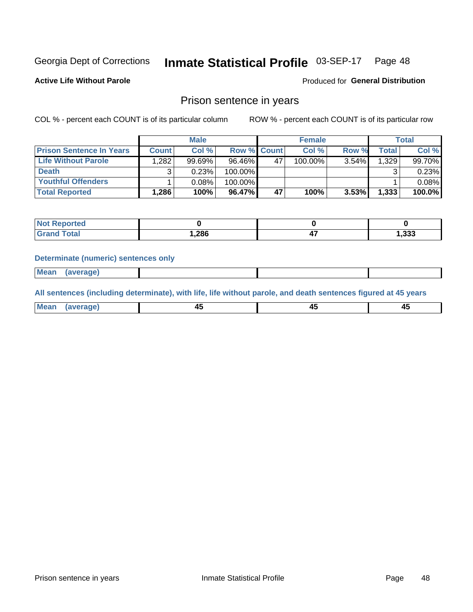#### Inmate Statistical Profile 03-SEP-17 Page 48

**Active Life Without Parole** 

Produced for General Distribution

### Prison sentence in years

COL % - percent each COUNT is of its particular column

ROW % - percent each COUNT is of its particular row

|                                 | <b>Male</b>  |        |                    | <b>Female</b> |         |          | <b>Total</b>       |        |
|---------------------------------|--------------|--------|--------------------|---------------|---------|----------|--------------------|--------|
| <b>Prison Sentence In Years</b> | <b>Count</b> | Col %  | <b>Row % Count</b> |               | Col %   | Row %    | Total <sub>1</sub> | Col %  |
| Life Without Parole             | .282         | 99.69% | 96.46%             | 47            | 100.00% | $3.54\%$ | 1,329              | 99.70% |
| <b>Death</b>                    |              | 0.23%  | 100.00%            |               |         |          |                    | 0.23%  |
| <b>Youthful Offenders</b>       |              | 0.08%  | 100.00%            |               |         |          |                    | 0.08%  |
| <b>Total Reported</b>           | 1,286        | 100%   | 96.47%             | 47            | 100%    | $3.53\%$ | 1,333              | 100.0% |

| <b>Not Reported</b> |      |       |
|---------------------|------|-------|
| Total               | .286 | 1,333 |

### **Determinate (numeric) sentences only**

**Mean** (average)

All sentences (including determinate), with life, life without parole, and death sentences figured at 45 years

| l Mea | --     | --     |  |
|-------|--------|--------|--|
| апе   | $\sim$ | $\sim$ |  |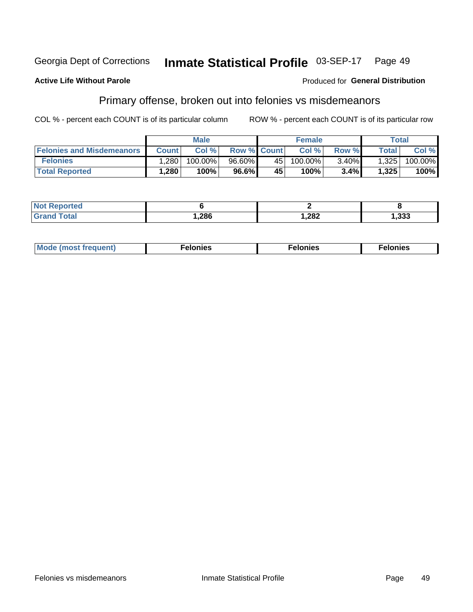#### Georgia Dept of Corrections Inmate Statistical Profile 03-SEP-17 Page 49

### **Active Life Without Parole**

### **Produced for General Distribution**

# Primary offense, broken out into felonies vs misdemeanors

COL % - percent each COUNT is of its particular column

|                                  | <b>Male</b>  |         |                    | <b>Female</b> |         |          | Total        |         |
|----------------------------------|--------------|---------|--------------------|---------------|---------|----------|--------------|---------|
| <b>Felonies and Misdemeanors</b> | <b>Count</b> | Col%    | <b>Row % Count</b> |               | Col%    | Row %    | <b>Total</b> | Col %   |
| <b>Felonies</b>                  | .280         | 100.00% | 96.60%             | 45            | 100.00% | $3.40\%$ | 1,325        | 100.00% |
| <b>Total Reported</b>            | .280         | 100%    | 96.6%              | 45            | 100%    | 3.4%     | 1,325        | 100%    |

| <b>Not Reported</b>   |       |        |       |
|-----------------------|-------|--------|-------|
| Total<br><b>Grand</b> | 286.، | 282, ا | 1,333 |

| <b>Mode</b><br>frequent)<br>nies<br>≧ (most tr.<br>. | onies<br>. | lonies<br>ею<br>____ |
|------------------------------------------------------|------------|----------------------|
|------------------------------------------------------|------------|----------------------|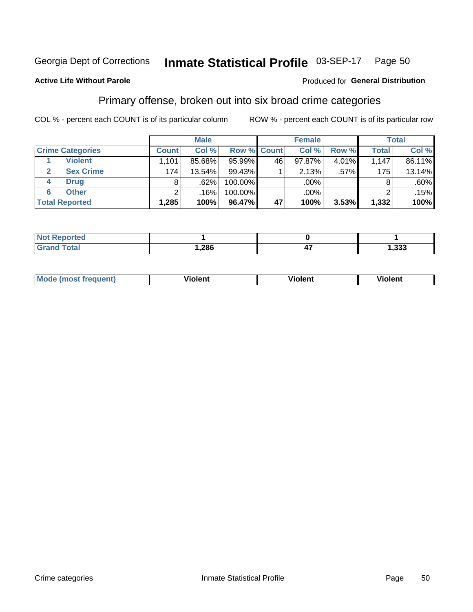#### Inmate Statistical Profile 03-SEP-17 Page 50

### **Active Life Without Parole**

### Produced for General Distribution

# Primary offense, broken out into six broad crime categories

COL % - percent each COUNT is of its particular column

|                         | <b>Male</b>  |        |         | <b>Female</b> |        |       | <b>Total</b> |        |
|-------------------------|--------------|--------|---------|---------------|--------|-------|--------------|--------|
| <b>Crime Categories</b> | <b>Count</b> | Col %  |         | Row % Count   | Col %  | Row % | <b>Total</b> | Col %  |
| <b>Violent</b>          | .101         | 85.68% | 95.99%  | 46            | 97.87% | 4.01% | 1.147        | 86.11% |
| <b>Sex Crime</b>        | 174          | 13.54% | 99.43%  |               | 2.13%  | .57%  | 175          | 13.14% |
| <b>Drug</b><br>4        | 8            | .62%   | 100.00% |               | .00%   |       |              | .60%   |
| <b>Other</b><br>6       | ົ            | .16%   | 100.00% |               | .00%   |       |              | .15%   |
| <b>Total Reported</b>   | 1,285        | 100%   | 96.47%  | 47            | 100%   | 3.53% | 1,332        | 100%   |

| <b>Not Reported</b><br>$\cdots$ |      |    |             |
|---------------------------------|------|----|-------------|
|                                 | 286, | -- | っっっ<br>ددد. |

| <b>Mode (most frequent)</b> |         |                | --             |
|-----------------------------|---------|----------------|----------------|
|                             | violent | <b>Violent</b> | <b>Violent</b> |
|                             |         |                |                |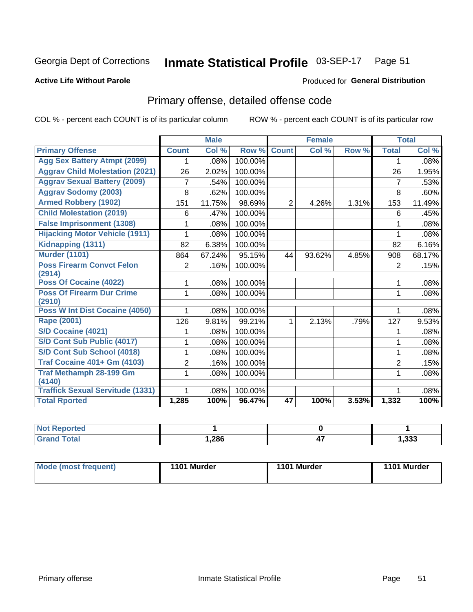#### Inmate Statistical Profile 03-SEP-17 Page 51

### **Active Life Without Parole**

### Produced for General Distribution

# Primary offense, detailed offense code

COL % - percent each COUNT is of its particular column

|                                            |                | <b>Male</b> |         |                | <b>Female</b> |       |                | <b>Total</b> |
|--------------------------------------------|----------------|-------------|---------|----------------|---------------|-------|----------------|--------------|
| <b>Primary Offense</b>                     | <b>Count</b>   | Col%        | Row %   | <b>Count</b>   | Col %         | Row % | <b>Total</b>   | Col %        |
| <b>Agg Sex Battery Atmpt (2099)</b>        | 1              | .08%        | 100.00% |                |               |       | 1              | .08%         |
| <b>Aggrav Child Molestation (2021)</b>     | 26             | 2.02%       | 100.00% |                |               |       | 26             | 1.95%        |
| <b>Aggrav Sexual Battery (2009)</b>        | 7              | .54%        | 100.00% |                |               |       | 7              | .53%         |
| <b>Aggrav Sodomy (2003)</b>                | 8              | .62%        | 100.00% |                |               |       | 8              | .60%         |
| <b>Armed Robbery (1902)</b>                | 151            | 11.75%      | 98.69%  | $\overline{2}$ | 4.26%         | 1.31% | 153            | 11.49%       |
| <b>Child Molestation (2019)</b>            | 6              | .47%        | 100.00% |                |               |       | 6              | .45%         |
| <b>False Imprisonment (1308)</b>           | 1              | .08%        | 100.00% |                |               |       | 1              | .08%         |
| <b>Hijacking Motor Vehicle (1911)</b>      | 1              | .08%        | 100.00% |                |               |       |                | .08%         |
| Kidnapping (1311)                          | 82             | 6.38%       | 100.00% |                |               |       | 82             | 6.16%        |
| <b>Murder (1101)</b>                       | 864            | 67.24%      | 95.15%  | 44             | 93.62%        | 4.85% | 908            | 68.17%       |
| <b>Poss Firearm Convct Felon</b><br>(2914) | 2              | .16%        | 100.00% |                |               |       | $\overline{2}$ | .15%         |
| Poss Of Cocaine (4022)                     | 1              | .08%        | 100.00% |                |               |       | 1              | .08%         |
| <b>Poss Of Firearm Dur Crime</b><br>(2910) | 1              | .08%        | 100.00% |                |               |       | 1              | .08%         |
| Poss W Int Dist Cocaine (4050)             | 1.             | .08%        | 100.00% |                |               |       | 1              | .08%         |
| Rape (2001)                                | 126            | 9.81%       | 99.21%  | 1.             | 2.13%         | .79%  | 127            | 9.53%        |
| S/D Cocaine (4021)                         |                | .08%        | 100.00% |                |               |       |                | .08%         |
| S/D Cont Sub Public (4017)                 | 1              | .08%        | 100.00% |                |               |       | 1              | .08%         |
| S/D Cont Sub School (4018)                 | 1              | .08%        | 100.00% |                |               |       | 1              | .08%         |
| <b>Traf Cocaine 401+ Gm (4103)</b>         | $\overline{2}$ | .16%        | 100.00% |                |               |       | $\overline{2}$ | .15%         |
| <b>Traf Methamph 28-199 Gm</b>             | 1              | .08%        | 100.00% |                |               |       | 1              | .08%         |
| (4140)                                     |                |             |         |                |               |       |                |              |
| <b>Traffick Sexual Servitude (1331)</b>    | 1              | .08%        | 100.00% |                |               |       |                | .08%         |
| <b>Total Rported</b>                       | 1,285          | 100%        | 96.47%  | 47             | 100%          | 3.53% | 1,332          | 100%         |

| <b>Not Reported</b> |      |    |        |
|---------------------|------|----|--------|
| <b>Total</b>        | ,286 | 47 | 333, ا |

| Mode (most frequent) | 1101 Murder | 1101 Murder | 1101 Murder |
|----------------------|-------------|-------------|-------------|
|                      |             |             |             |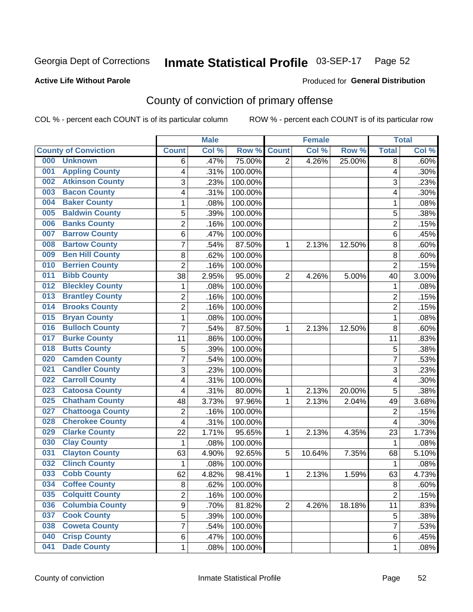#### Inmate Statistical Profile 03-SEP-17 Page 52

### **Active Life Without Parole**

### Produced for General Distribution

# County of conviction of primary offense

COL % - percent each COUNT is of its particular column

|                                |                | <b>Male</b> |         |                | <b>Female</b> |        |                | <b>Total</b> |
|--------------------------------|----------------|-------------|---------|----------------|---------------|--------|----------------|--------------|
| <b>County of Conviction</b>    | <b>Count</b>   | Col %       | Row %   | <b>Count</b>   | Col %         | Row %  | <b>Total</b>   | Col %        |
| 000<br><b>Unknown</b>          | 6              | .47%        | 75.00%  | $\overline{2}$ | 4.26%         | 25.00% | 8              | .60%         |
| <b>Appling County</b><br>001   | 4              | .31%        | 100.00% |                |               |        | 4              | .30%         |
| <b>Atkinson County</b><br>002  | 3              | .23%        | 100.00% |                |               |        | 3              | .23%         |
| <b>Bacon County</b><br>003     | 4              | .31%        | 100.00% |                |               |        | 4              | .30%         |
| <b>Baker County</b><br>004     | 1              | .08%        | 100.00% |                |               |        | 1              | .08%         |
| <b>Baldwin County</b><br>005   | 5              | .39%        | 100.00% |                |               |        | 5              | .38%         |
| <b>Banks County</b><br>006     | $\overline{c}$ | .16%        | 100.00% |                |               |        | $\overline{2}$ | .15%         |
| <b>Barrow County</b><br>007    | 6              | .47%        | 100.00% |                |               |        | 6              | .45%         |
| <b>Bartow County</b><br>008    | 7              | .54%        | 87.50%  | 1              | 2.13%         | 12.50% | 8              | .60%         |
| <b>Ben Hill County</b><br>009  | 8              | .62%        | 100.00% |                |               |        | 8              | .60%         |
| <b>Berrien County</b><br>010   | $\overline{2}$ | .16%        | 100.00% |                |               |        | $\overline{2}$ | .15%         |
| <b>Bibb County</b><br>011      | 38             | 2.95%       | 95.00%  | $\overline{2}$ | 4.26%         | 5.00%  | 40             | 3.00%        |
| <b>Bleckley County</b><br>012  | 1              | .08%        | 100.00% |                |               |        | 1              | .08%         |
| <b>Brantley County</b><br>013  | $\overline{2}$ | .16%        | 100.00% |                |               |        | $\overline{2}$ | .15%         |
| <b>Brooks County</b><br>014    | $\overline{2}$ | .16%        | 100.00% |                |               |        | $\overline{2}$ | .15%         |
| <b>Bryan County</b><br>015     | $\mathbf{1}$   | .08%        | 100.00% |                |               |        | $\mathbf{1}$   | .08%         |
| <b>Bulloch County</b><br>016   | $\overline{7}$ | .54%        | 87.50%  | 1              | 2.13%         | 12.50% | 8              | .60%         |
| <b>Burke County</b><br>017     | 11             | .86%        | 100.00% |                |               |        | 11             | .83%         |
| <b>Butts County</b><br>018     | 5              | .39%        | 100.00% |                |               |        | 5              | .38%         |
| <b>Camden County</b><br>020    | $\overline{7}$ | .54%        | 100.00% |                |               |        | $\overline{7}$ | .53%         |
| <b>Candler County</b><br>021   | 3              | .23%        | 100.00% |                |               |        | 3              | .23%         |
| <b>Carroll County</b><br>022   | 4              | .31%        | 100.00% |                |               |        | 4              | .30%         |
| <b>Catoosa County</b><br>023   | 4              | .31%        | 80.00%  | 1              | 2.13%         | 20.00% | 5              | .38%         |
| <b>Chatham County</b><br>025   | 48             | 3.73%       | 97.96%  | 1              | 2.13%         | 2.04%  | 49             | 3.68%        |
| <b>Chattooga County</b><br>027 | $\overline{2}$ | .16%        | 100.00% |                |               |        | $\overline{2}$ | .15%         |
| <b>Cherokee County</b><br>028  | 4              | .31%        | 100.00% |                |               |        | 4              | .30%         |
| <b>Clarke County</b><br>029    | 22             | 1.71%       | 95.65%  | 1              | 2.13%         | 4.35%  | 23             | 1.73%        |
| <b>Clay County</b><br>030      | 1              | .08%        | 100.00% |                |               |        | 1              | .08%         |
| <b>Clayton County</b><br>031   | 63             | 4.90%       | 92.65%  | 5              | 10.64%        | 7.35%  | 68             | 5.10%        |
| <b>Clinch County</b><br>032    | $\mathbf{1}$   | .08%        | 100.00% |                |               |        | $\mathbf{1}$   | .08%         |
| <b>Cobb County</b><br>033      | 62             | 4.82%       | 98.41%  | 1              | 2.13%         | 1.59%  | 63             | 4.73%        |
| <b>Coffee County</b><br>034    | 8              | .62%        | 100.00% |                |               |        | 8              | .60%         |
| <b>Colquitt County</b><br>035  | 2              | .16%        | 100.00% |                |               |        | $\overline{2}$ | .15%         |
| <b>Columbia County</b><br>036  | 9              | .70%        | 81.82%  | $\overline{2}$ | 4.26%         | 18.18% | 11             | .83%         |
| <b>Cook County</b><br>037      | 5              | .39%        | 100.00% |                |               |        | 5              | .38%         |
| <b>Coweta County</b><br>038    | 7              | .54%        | 100.00% |                |               |        | $\overline{7}$ | .53%         |
| <b>Crisp County</b><br>040     | 6              | .47%        | 100.00% |                |               |        | 6              | .45%         |
| <b>Dade County</b><br>041      | $\mathbf 1$    | .08%        | 100.00% |                |               |        | $\mathbf 1$    | .08%         |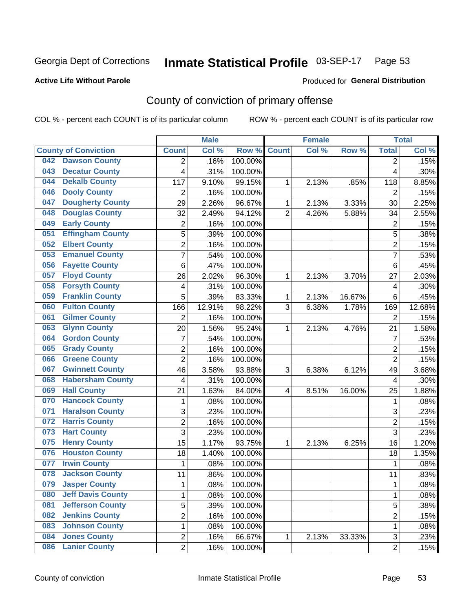#### Inmate Statistical Profile 03-SEP-17 Page 53

### **Active Life Without Parole**

### **Produced for General Distribution**

# County of conviction of primary offense

COL % - percent each COUNT is of its particular column

|                                 |                         | <b>Male</b> |         |                | <b>Female</b> |        |                | <b>Total</b> |
|---------------------------------|-------------------------|-------------|---------|----------------|---------------|--------|----------------|--------------|
| <b>County of Conviction</b>     | <b>Count</b>            | Col %       | Row %   | <b>Count</b>   | Col %         | Row %  | <b>Total</b>   | Col %        |
| <b>Dawson County</b><br>042     | 2                       | .16%        | 100.00% |                |               |        | 2              | .15%         |
| <b>Decatur County</b><br>043    | 4                       | .31%        | 100.00% |                |               |        | 4              | .30%         |
| <b>Dekalb County</b><br>044     | 117                     | 9.10%       | 99.15%  | 1              | 2.13%         | .85%   | 118            | 8.85%        |
| <b>Dooly County</b><br>046      | $\overline{2}$          | .16%        | 100.00% |                |               |        | 2              | .15%         |
| <b>Dougherty County</b><br>047  | 29                      | 2.26%       | 96.67%  | 1              | 2.13%         | 3.33%  | 30             | 2.25%        |
| <b>Douglas County</b><br>048    | 32                      | 2.49%       | 94.12%  | $\overline{2}$ | 4.26%         | 5.88%  | 34             | 2.55%        |
| <b>Early County</b><br>049      | $\overline{2}$          | .16%        | 100.00% |                |               |        | $\overline{2}$ | .15%         |
| <b>Effingham County</b><br>051  | 5                       | .39%        | 100.00% |                |               |        | 5              | .38%         |
| <b>Elbert County</b><br>052     | $\overline{2}$          | .16%        | 100.00% |                |               |        | $\overline{2}$ | .15%         |
| <b>Emanuel County</b><br>053    | $\overline{7}$          | .54%        | 100.00% |                |               |        | $\overline{7}$ | .53%         |
| <b>Fayette County</b><br>056    | 6                       | .47%        | 100.00% |                |               |        | 6              | .45%         |
| <b>Floyd County</b><br>057      | 26                      | 2.02%       | 96.30%  | 1              | 2.13%         | 3.70%  | 27             | 2.03%        |
| <b>Forsyth County</b><br>058    | $\overline{\mathbf{4}}$ | .31%        | 100.00% |                |               |        | 4              | .30%         |
| <b>Franklin County</b><br>059   | 5                       | .39%        | 83.33%  | 1              | 2.13%         | 16.67% | 6              | .45%         |
| <b>Fulton County</b><br>060     | 166                     | 12.91%      | 98.22%  | 3              | 6.38%         | 1.78%  | 169            | 12.68%       |
| <b>Gilmer County</b><br>061     | $\overline{2}$          | .16%        | 100.00% |                |               |        | 2              | .15%         |
| <b>Glynn County</b><br>063      | 20                      | $1.56\%$    | 95.24%  | 1              | 2.13%         | 4.76%  | 21             | 1.58%        |
| <b>Gordon County</b><br>064     | $\overline{7}$          | .54%        | 100.00% |                |               |        | $\overline{7}$ | .53%         |
| <b>Grady County</b><br>065      | $\overline{2}$          | .16%        | 100.00% |                |               |        | $\overline{c}$ | .15%         |
| <b>Greene County</b><br>066     | $\overline{2}$          | .16%        | 100.00% |                |               |        | $\overline{2}$ | .15%         |
| <b>Gwinnett County</b><br>067   | 46                      | 3.58%       | 93.88%  | 3              | 6.38%         | 6.12%  | 49             | 3.68%        |
| <b>Habersham County</b><br>068  | $\overline{4}$          | .31%        | 100.00% |                |               |        | 4              | .30%         |
| <b>Hall County</b><br>069       | 21                      | 1.63%       | 84.00%  | 4              | 8.51%         | 16.00% | 25             | 1.88%        |
| <b>Hancock County</b><br>070    | 1                       | .08%        | 100.00% |                |               |        | 1              | .08%         |
| <b>Haralson County</b><br>071   | 3                       | .23%        | 100.00% |                |               |        | 3              | .23%         |
| <b>Harris County</b><br>072     | $\overline{2}$          | .16%        | 100.00% |                |               |        | $\overline{2}$ | .15%         |
| <b>Hart County</b><br>073       | $\overline{3}$          | .23%        | 100.00% |                |               |        | $\overline{3}$ | .23%         |
| <b>Henry County</b><br>075      | 15                      | 1.17%       | 93.75%  | 1              | 2.13%         | 6.25%  | 16             | 1.20%        |
| <b>Houston County</b><br>076    | 18                      | 1.40%       | 100.00% |                |               |        | 18             | 1.35%        |
| <b>Irwin County</b><br>077      | 1                       | .08%        | 100.00% |                |               |        | 1              | .08%         |
| <b>Jackson County</b><br>078    | 11                      | .86%        | 100.00% |                |               |        | 11             | .83%         |
| 079<br><b>Jasper County</b>     | 1                       | .08%        | 100.00% |                |               |        | 1              | .08%         |
| <b>Jeff Davis County</b><br>080 | 1                       | .08%        | 100.00% |                |               |        | 1              | .08%         |
| <b>Jefferson County</b><br>081  | 5                       | .39%        | 100.00% |                |               |        | 5              | .38%         |
| <b>Jenkins County</b><br>082    | $\overline{2}$          | .16%        | 100.00% |                |               |        | $\overline{2}$ | .15%         |
| <b>Johnson County</b><br>083    | 1                       | .08%        | 100.00% |                |               |        | 1              | .08%         |
| <b>Jones County</b><br>084      | $\overline{c}$          | .16%        | 66.67%  | 1              | 2.13%         | 33.33% | 3              | .23%         |
| <b>Lanier County</b><br>086     | $\overline{2}$          | .16%        | 100.00% |                |               |        | $\overline{2}$ | .15%         |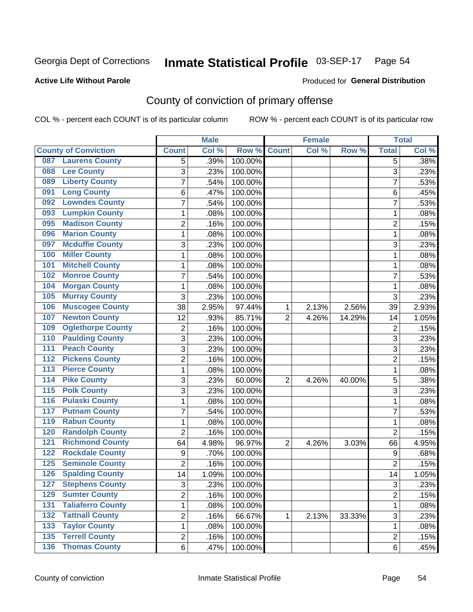#### Inmate Statistical Profile 03-SEP-17 Page 54

### **Active Life Without Parole**

### Produced for General Distribution

# County of conviction of primary offense

COL % - percent each COUNT is of its particular column

|                                           |                | <b>Male</b> |         |                | <b>Female</b> |        |                | <b>Total</b> |
|-------------------------------------------|----------------|-------------|---------|----------------|---------------|--------|----------------|--------------|
| <b>County of Conviction</b>               | <b>Count</b>   | Col %       | Row %   | <b>Count</b>   | Col %         | Row %  | <b>Total</b>   | Col %        |
| <b>Laurens County</b><br>087              | 5              | .39%        | 100.00% |                |               |        | 5              | .38%         |
| <b>Lee County</b><br>088                  | 3              | .23%        | 100.00% |                |               |        | 3              | .23%         |
| <b>Liberty County</b><br>089              | 7              | .54%        | 100.00% |                |               |        | 7              | .53%         |
| <b>Long County</b><br>091                 | 6              | .47%        | 100.00% |                |               |        | 6              | .45%         |
| <b>Lowndes County</b><br>092              | 7              | .54%        | 100.00% |                |               |        | 7              | .53%         |
| <b>Lumpkin County</b><br>093              | 1              | .08%        | 100.00% |                |               |        | 1              | .08%         |
| <b>Madison County</b><br>095              | 2              | .16%        | 100.00% |                |               |        | $\overline{2}$ | .15%         |
| <b>Marion County</b><br>096               | 1              | .08%        | 100.00% |                |               |        | $\mathbf{1}$   | .08%         |
| <b>Mcduffie County</b><br>097             | 3              | .23%        | 100.00% |                |               |        | 3              | .23%         |
| <b>Miller County</b><br>100               | 1              | .08%        | 100.00% |                |               |        | 1              | .08%         |
| <b>Mitchell County</b><br>101             | 1              | .08%        | 100.00% |                |               |        | 1              | .08%         |
| <b>Monroe County</b><br>102               | $\overline{7}$ | .54%        | 100.00% |                |               |        | $\overline{7}$ | .53%         |
| <b>Morgan County</b><br>104               | 1              | .08%        | 100.00% |                |               |        | 1              | .08%         |
| <b>Murray County</b><br>105               | 3              | .23%        | 100.00% |                |               |        | 3              | .23%         |
| <b>Muscogee County</b><br>106             | 38             | 2.95%       | 97.44%  | 1              | 2.13%         | 2.56%  | 39             | 2.93%        |
| <b>Newton County</b><br>107               | 12             | .93%        | 85.71%  | $\overline{2}$ | 4.26%         | 14.29% | 14             | 1.05%        |
| <b>Oglethorpe County</b><br>109           | 2              | .16%        | 100.00% |                |               |        | $\overline{2}$ | .15%         |
| <b>Paulding County</b><br>110             | 3              | .23%        | 100.00% |                |               |        | 3              | .23%         |
| <b>Peach County</b><br>111                | 3              | .23%        | 100.00% |                |               |        | 3              | .23%         |
| <b>Pickens County</b><br>112              | $\overline{2}$ | .16%        | 100.00% |                |               |        | $\overline{2}$ | .15%         |
| <b>Pierce County</b><br>113               | 1              | .08%        | 100.00% |                |               |        | 1              | .08%         |
| <b>Pike County</b><br>$\overline{114}$    | 3              | .23%        | 60.00%  | $\overline{2}$ | 4.26%         | 40.00% | 5              | .38%         |
| <b>Polk County</b><br>$\overline{115}$    | 3              | .23%        | 100.00% |                |               |        | 3              | .23%         |
| <b>Pulaski County</b><br>116              | 1              | .08%        | 100.00% |                |               |        | $\mathbf{1}$   | .08%         |
| <b>Putnam County</b><br>117               | 7              | .54%        | 100.00% |                |               |        | 7              | .53%         |
| <b>Rabun County</b><br>119                | 1              | .08%        | 100.00% |                |               |        | 1              | .08%         |
| <b>Randolph County</b><br>120             | $\overline{2}$ | .16%        | 100.00% |                |               |        | $\overline{2}$ | .15%         |
| <b>Richmond County</b><br>121             | 64             | 4.98%       | 96.97%  | 2              | 4.26%         | 3.03%  | 66             | 4.95%        |
| <b>Rockdale County</b><br>122             | 9              | .70%        | 100.00% |                |               |        | 9              | .68%         |
| <b>Seminole County</b><br>125             | $\overline{2}$ | .16%        | 100.00% |                |               |        | $\overline{2}$ | .15%         |
| <b>Spalding County</b><br>126             | 14             | 1.09%       | 100.00% |                |               |        | 14             | 1.05%        |
| 127 Stephens County                       | 3              | .23%        | 100.00% |                |               |        | 3              | .23%         |
| <b>Sumter County</b><br>129               | $\overline{2}$ | .16%        | 100.00% |                |               |        | $\overline{2}$ | .15%         |
| 131<br><b>Taliaferro County</b>           | 1              | .08%        | 100.00% |                |               |        | $\mathbf{1}$   | .08%         |
| <b>Tattnall County</b><br>132             | $\overline{2}$ | .16%        | 66.67%  | 1              | 2.13%         | 33.33% | 3              | .23%         |
| <b>Taylor County</b><br>133               | 1              | .08%        | 100.00% |                |               |        | $\mathbf{1}$   | .08%         |
| <b>Terrell County</b><br>$\overline{135}$ | $\overline{2}$ | .16%        | 100.00% |                |               |        | $\overline{2}$ | .15%         |
| <b>136 Thomas County</b>                  | 6              | .47%        | 100.00% |                |               |        | 6              | .45%         |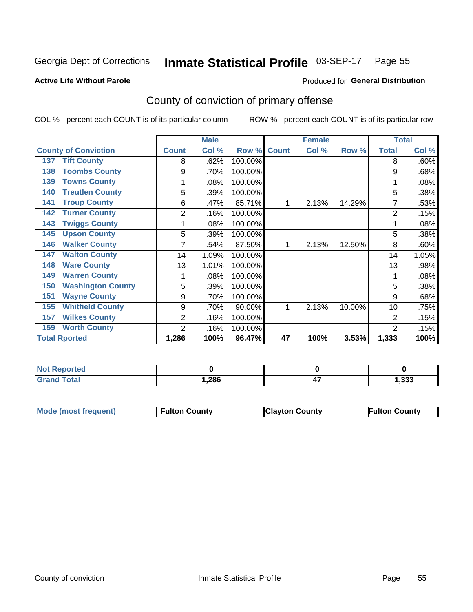#### Inmate Statistical Profile 03-SEP-17 Page 55

### **Active Life Without Parole**

### Produced for General Distribution

# County of conviction of primary offense

COL % - percent each COUNT is of its particular column

|                                 |              | <b>Male</b> |         |              | <b>Female</b> |        |                | <b>Total</b> |
|---------------------------------|--------------|-------------|---------|--------------|---------------|--------|----------------|--------------|
| <b>County of Conviction</b>     | <b>Count</b> | Col %       | Row %   | <b>Count</b> | Col %         | Row %  | <b>Total</b>   | Col %        |
| <b>Tift County</b><br>137       | 8            | .62%        | 100.00% |              |               |        | 8              | .60%         |
| <b>Toombs County</b><br>138     | 9            | .70%        | 100.00% |              |               |        | 9              | .68%         |
| <b>Towns County</b><br>139      |              | .08%        | 100.00% |              |               |        |                | .08%         |
| <b>Treutlen County</b><br>140   | 5            | .39%        | 100.00% |              |               |        | 5              | .38%         |
| <b>Troup County</b><br>141      | 6            | .47%        | 85.71%  |              | 2.13%         | 14.29% |                | .53%         |
| <b>Turner County</b><br>142     | 2            | .16%        | 100.00% |              |               |        | $\overline{2}$ | .15%         |
| <b>Twiggs County</b><br>143     |              | .08%        | 100.00% |              |               |        |                | .08%         |
| <b>Upson County</b><br>145      | 5            | .39%        | 100.00% |              |               |        | 5              | .38%         |
| <b>Walker County</b><br>146     |              | .54%        | 87.50%  |              | 2.13%         | 12.50% | 8              | .60%         |
| <b>Walton County</b><br>147     | 14           | 1.09%       | 100.00% |              |               |        | 14             | 1.05%        |
| <b>Ware County</b><br>148       | 13           | 1.01%       | 100.00% |              |               |        | 13             | .98%         |
| <b>Warren County</b><br>149     |              | .08%        | 100.00% |              |               |        |                | .08%         |
| <b>Washington County</b><br>150 | 5            | .39%        | 100.00% |              |               |        | 5              | .38%         |
| <b>Wayne County</b><br>151      | 9            | .70%        | 100.00% |              |               |        | 9              | .68%         |
| <b>Whitfield County</b><br>155  | 9            | .70%        | 90.00%  |              | 2.13%         | 10.00% | 10             | .75%         |
| <b>Wilkes County</b><br>157     | 2            | .16%        | 100.00% |              |               |        | 2              | .15%         |
| <b>Worth County</b><br>159      | 2            | .16%        | 100.00% |              |               |        | $\overline{2}$ | .15%         |
| <b>Total Rported</b>            | 1,286        | 100%        | 96.47%  | 47           | 100%          | 3.53%  | 1,333          | 100%         |

| <b>Reported</b><br><b>NOT</b> |       |          |       |
|-------------------------------|-------|----------|-------|
| <b>otal</b>                   | 286،، | --<br>41 | 1,333 |

| <b>Mode (most frequent)</b> | <b>Fulton County</b> | <b>Clayton County</b> | <b>Fulton County</b> |
|-----------------------------|----------------------|-----------------------|----------------------|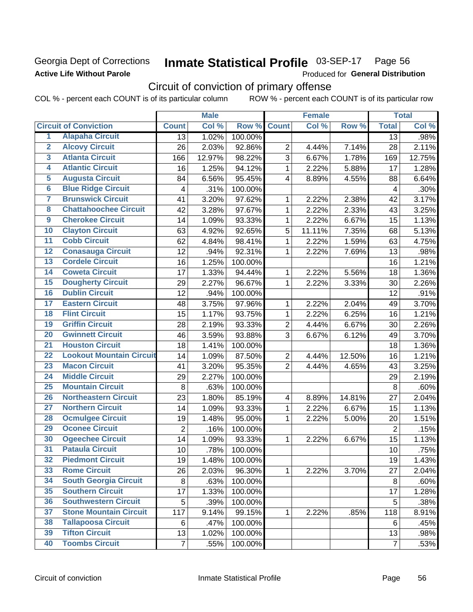## Georgia Dept of Corrections **Active Life Without Parole**

#### Inmate Statistical Profile 03-SEP-17 Page 56

Produced for General Distribution

# Circuit of conviction of primary offense

COL % - percent each COUNT is of its particular column ROW % - percent each COUNT is of its particular row

|                         |                                 |                | <b>Male</b> |         |                         | <b>Female</b> |        |                | <b>Total</b> |
|-------------------------|---------------------------------|----------------|-------------|---------|-------------------------|---------------|--------|----------------|--------------|
|                         | <b>Circuit of Conviction</b>    | <b>Count</b>   | Col %       | Row %   | <b>Count</b>            | Col %         | Row %  | <b>Total</b>   | Col %        |
| 1                       | <b>Alapaha Circuit</b>          | 13             | 1.02%       | 100.00% |                         |               |        | 13             | .98%         |
| $\overline{2}$          | <b>Alcovy Circuit</b>           | 26             | 2.03%       | 92.86%  | $\overline{2}$          | 4.44%         | 7.14%  | 28             | 2.11%        |
| $\overline{\mathbf{3}}$ | <b>Atlanta Circuit</b>          | 166            | 12.97%      | 98.22%  | 3                       | 6.67%         | 1.78%  | 169            | 12.75%       |
| 4                       | <b>Atlantic Circuit</b>         | 16             | 1.25%       | 94.12%  | $\mathbf{1}$            | 2.22%         | 5.88%  | 17             | 1.28%        |
| 5                       | <b>Augusta Circuit</b>          | 84             | 6.56%       | 95.45%  | $\overline{4}$          | 8.89%         | 4.55%  | 88             | 6.64%        |
| $\overline{6}$          | <b>Blue Ridge Circuit</b>       | 4              | .31%        | 100.00% |                         |               |        | 4              | .30%         |
| 7                       | <b>Brunswick Circuit</b>        | 41             | 3.20%       | 97.62%  | 1                       | 2.22%         | 2.38%  | 42             | 3.17%        |
| $\overline{\mathbf{8}}$ | <b>Chattahoochee Circuit</b>    | 42             | 3.28%       | 97.67%  | $\mathbf 1$             | 2.22%         | 2.33%  | 43             | 3.25%        |
| $\overline{9}$          | <b>Cherokee Circuit</b>         | 14             | 1.09%       | 93.33%  | $\mathbf{1}$            | 2.22%         | 6.67%  | 15             | 1.13%        |
| 10                      | <b>Clayton Circuit</b>          | 63             | 4.92%       | 92.65%  | 5                       | 11.11%        | 7.35%  | 68             | 5.13%        |
| $\overline{11}$         | <b>Cobb Circuit</b>             | 62             | 4.84%       | 98.41%  | $\mathbf{1}$            | 2.22%         | 1.59%  | 63             | 4.75%        |
| $\overline{12}$         | <b>Conasauga Circuit</b>        | 12             | .94%        | 92.31%  | 1                       | 2.22%         | 7.69%  | 13             | .98%         |
| 13                      | <b>Cordele Circuit</b>          | 16             | 1.25%       | 100.00% |                         |               |        | 16             | 1.21%        |
| $\overline{14}$         | <b>Coweta Circuit</b>           | 17             | 1.33%       | 94.44%  | $\mathbf{1}$            | 2.22%         | 5.56%  | 18             | 1.36%        |
| 15                      | <b>Dougherty Circuit</b>        | 29             | 2.27%       | 96.67%  | $\mathbf 1$             | 2.22%         | 3.33%  | 30             | 2.26%        |
| 16                      | <b>Dublin Circuit</b>           | 12             | .94%        | 100.00% |                         |               |        | 12             | .91%         |
| 17                      | <b>Eastern Circuit</b>          | 48             | 3.75%       | 97.96%  | 1                       | 2.22%         | 2.04%  | 49             | 3.70%        |
| 18                      | <b>Flint Circuit</b>            | 15             | 1.17%       | 93.75%  | $\mathbf{1}$            | 2.22%         | 6.25%  | 16             | 1.21%        |
| 19                      | <b>Griffin Circuit</b>          | 28             | 2.19%       | 93.33%  | $\overline{2}$          | 4.44%         | 6.67%  | 30             | 2.26%        |
| 20                      | <b>Gwinnett Circuit</b>         | 46             | 3.59%       | 93.88%  | 3                       | 6.67%         | 6.12%  | 49             | 3.70%        |
| $\overline{21}$         | <b>Houston Circuit</b>          | 18             | 1.41%       | 100.00% |                         |               |        | 18             | 1.36%        |
| $\overline{22}$         | <b>Lookout Mountain Circuit</b> | 14             | 1.09%       | 87.50%  | $\overline{2}$          | 4.44%         | 12.50% | 16             | 1.21%        |
| 23                      | <b>Macon Circuit</b>            | 41             | 3.20%       | 95.35%  | $\overline{2}$          | 4.44%         | 4.65%  | 43             | 3.25%        |
| $\overline{24}$         | <b>Middle Circuit</b>           | 29             | 2.27%       | 100.00% |                         |               |        | 29             | 2.19%        |
| 25                      | <b>Mountain Circuit</b>         | 8              | .63%        | 100.00% |                         |               |        | $\,8\,$        | .60%         |
| 26                      | <b>Northeastern Circuit</b>     | 23             | 1.80%       | 85.19%  | $\overline{\mathbf{4}}$ | 8.89%         | 14.81% | 27             | 2.04%        |
| $\overline{27}$         | <b>Northern Circuit</b>         | 14             | 1.09%       | 93.33%  | $\mathbf{1}$            | 2.22%         | 6.67%  | 15             | 1.13%        |
| 28                      | <b>Ocmulgee Circuit</b>         | 19             | 1.48%       | 95.00%  | 1                       | 2.22%         | 5.00%  | 20             | 1.51%        |
| 29                      | <b>Oconee Circuit</b>           | $\overline{2}$ | .16%        | 100.00% |                         |               |        | $\overline{2}$ | .15%         |
| 30                      | <b>Ogeechee Circuit</b>         | 14             | 1.09%       | 93.33%  | 1                       | 2.22%         | 6.67%  | 15             | 1.13%        |
| $\overline{31}$         | <b>Pataula Circuit</b>          | 10             | .78%        | 100.00% |                         |               |        | 10             | .75%         |
| 32                      | <b>Piedmont Circuit</b>         | 19             | 1.48%       | 100.00% |                         |               |        | 19             | 1.43%        |
| 33                      | <b>Rome Circuit</b>             | 26             | 2.03%       | 96.30%  | $\mathbf{1}$            | 2.22%         | 3.70%  | 27             | 2.04%        |
| 34                      | <b>South Georgia Circuit</b>    | 8              | .63%        | 100.00% |                         |               |        | 8              | .60%         |
| 35                      | <b>Southern Circuit</b>         | 17             | 1.33%       | 100.00% |                         |               |        | 17             | 1.28%        |
| 36                      | <b>Southwestern Circuit</b>     | 5              | .39%        | 100.00% |                         |               |        | 5              | .38%         |
| 37                      | <b>Stone Mountain Circuit</b>   | 117            | 9.14%       | 99.15%  | 1                       | 2.22%         | .85%   | 118            | 8.91%        |
| 38                      | <b>Tallapoosa Circuit</b>       | 6              | .47%        | 100.00% |                         |               |        | 6              | .45%         |
| 39                      | <b>Tifton Circuit</b>           | 13             | 1.02%       | 100.00% |                         |               |        | 13             | .98%         |
| 40                      | <b>Toombs Circuit</b>           | $\overline{7}$ | .55%        | 100.00% |                         |               |        | $\overline{7}$ | .53%         |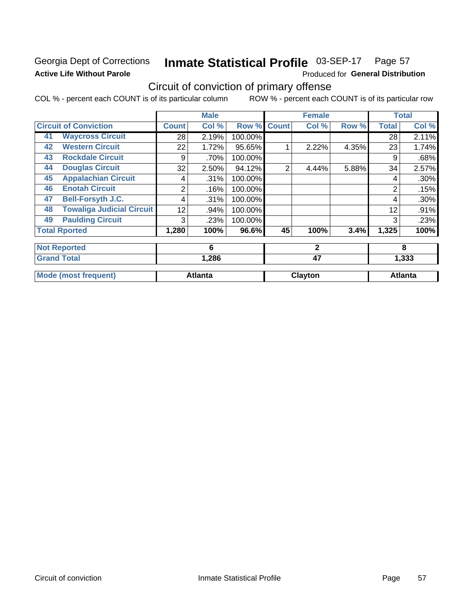# Georgia Dept of Corrections **Active Life Without Parole**

### Inmate Statistical Profile 03-SEP-17 Page 57

Produced for General Distribution

# Circuit of conviction of primary offense

COL % - percent each COUNT is of its particular column ROW % - percent each COUNT is of its particular row

|    |                                  |              | <b>Male</b>    |         |                | <b>Female</b> |       |              | <b>Total</b>   |
|----|----------------------------------|--------------|----------------|---------|----------------|---------------|-------|--------------|----------------|
|    | <b>Circuit of Conviction</b>     | <b>Count</b> | Col %          | Row %   | <b>Count</b>   | Col %         | Row % | <b>Total</b> | Col %          |
| 41 | <b>Waycross Circuit</b>          | 28           | 2.19%          | 100.00% |                |               |       | 28           | 2.11%          |
| 42 | <b>Western Circuit</b>           | 22           | 1.72%          | 95.65%  |                | 2.22%         | 4.35% | 23           | 1.74%          |
| 43 | <b>Rockdale Circuit</b>          | 9            | .70%           | 100.00% |                |               |       | 9            | .68%           |
| 44 | <b>Douglas Circuit</b>           | 32           | 2.50%          | 94.12%  | $\overline{2}$ | 4.44%         | 5.88% | 34           | 2.57%          |
| 45 | <b>Appalachian Circuit</b>       | 4            | .31%           | 100.00% |                |               |       | 4            | .30%           |
| 46 | <b>Enotah Circuit</b>            | 2            | .16%           | 100.00% |                |               |       | 2            | .15%           |
| 47 | <b>Bell-Forsyth J.C.</b>         | 4            | .31%           | 100.00% |                |               |       | 4            | .30%           |
| 48 | <b>Towaliga Judicial Circuit</b> | 12           | .94%           | 100.00% |                |               |       | 12           | .91%           |
| 49 | <b>Paulding Circuit</b>          | 3            | .23%           | 100.00% |                |               |       | 3            | .23%           |
|    | <b>Total Rported</b>             | 1,280        | 100%           | 96.6%   | 45             | 100%          | 3.4%  | 1,325        | 100%           |
|    | <b>Not Reported</b>              |              | 6              |         |                | $\mathbf{2}$  |       |              | 8              |
|    | <b>Grand Total</b>               |              | 1,286          |         |                | 47            |       |              | 1,333          |
|    | <b>Mode (most frequent)</b>      |              | <b>Atlanta</b> |         |                | Clayton       |       |              | <b>Atlanta</b> |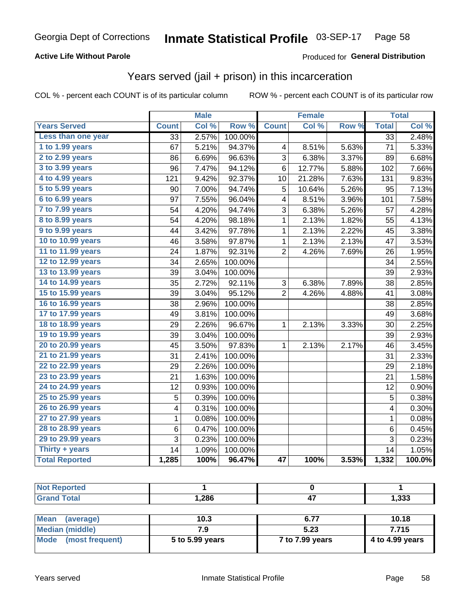### **Active Life Without Parole**

### Produced for General Distribution

# Years served (jail + prison) in this incarceration

COL % - percent each COUNT is of its particular column

|                        | <b>Male</b>     |       | <b>Female</b> |                 |        | <b>Total</b> |                 |        |
|------------------------|-----------------|-------|---------------|-----------------|--------|--------------|-----------------|--------|
| <b>Years Served</b>    | <b>Count</b>    | Col % | Row %         | <b>Count</b>    | Col %  | Row %        | <b>Total</b>    | Col %  |
| Less than one year     | $\overline{33}$ | 2.57% | 100.00%       |                 |        |              | $\overline{33}$ | 2.48%  |
| 1 to 1.99 years        | 67              | 5.21% | 94.37%        | 4               | 8.51%  | 5.63%        | 71              | 5.33%  |
| 2 to 2.99 years        | 86              | 6.69% | 96.63%        | 3               | 6.38%  | 3.37%        | 89              | 6.68%  |
| 3 to 3.99 years        | 96              | 7.47% | 94.12%        | 6               | 12.77% | 5.88%        | 102             | 7.66%  |
| 4 to 4.99 years        | 121             | 9.42% | 92.37%        | 10              | 21.28% | 7.63%        | 131             | 9.83%  |
| 5 to 5.99 years        | 90              | 7.00% | 94.74%        | 5               | 10.64% | 5.26%        | 95              | 7.13%  |
| 6 to 6.99 years        | 97              | 7.55% | 96.04%        | 4               | 8.51%  | 3.96%        | 101             | 7.58%  |
| 7 to 7.99 years        | 54              | 4.20% | 94.74%        | 3               | 6.38%  | 5.26%        | 57              | 4.28%  |
| <b>8 to 8.99 years</b> | 54              | 4.20% | 98.18%        | 1               | 2.13%  | 1.82%        | 55              | 4.13%  |
| 9 to 9.99 years        | 44              | 3.42% | 97.78%        | $\mathbf 1$     | 2.13%  | 2.22%        | 45              | 3.38%  |
| 10 to 10.99 years      | 46              | 3.58% | 97.87%        | 1               | 2.13%  | 2.13%        | 47              | 3.53%  |
| 11 to 11.99 years      | 24              | 1.87% | 92.31%        | $\overline{2}$  | 4.26%  | 7.69%        | 26              | 1.95%  |
| 12 to 12.99 years      | 34              | 2.65% | 100.00%       |                 |        |              | 34              | 2.55%  |
| 13 to 13.99 years      | 39              | 3.04% | 100.00%       |                 |        |              | 39              | 2.93%  |
| 14 to 14.99 years      | 35              | 2.72% | 92.11%        | 3               | 6.38%  | 7.89%        | 38              | 2.85%  |
| 15 to 15.99 years      | 39              | 3.04% | 95.12%        | $\overline{2}$  | 4.26%  | 4.88%        | 41              | 3.08%  |
| 16 to 16.99 years      | 38              | 2.96% | 100.00%       |                 |        |              | 38              | 2.85%  |
| 17 to 17.99 years      | 49              | 3.81% | 100.00%       |                 |        |              | 49              | 3.68%  |
| 18 to 18.99 years      | 29              | 2.26% | 96.67%        | 1               | 2.13%  | 3.33%        | 30              | 2.25%  |
| 19 to 19.99 years      | 39              | 3.04% | 100.00%       |                 |        |              | 39              | 2.93%  |
| 20 to 20.99 years      | 45              | 3.50% | 97.83%        | 1               | 2.13%  | 2.17%        | 46              | 3.45%  |
| 21 to 21.99 years      | 31              | 2.41% | 100.00%       |                 |        |              | 31              | 2.33%  |
| 22 to 22.99 years      | 29              | 2.26% | 100.00%       |                 |        |              | 29              | 2.18%  |
| 23 to 23.99 years      | 21              | 1.63% | 100.00%       |                 |        |              | 21              | 1.58%  |
| 24 to 24.99 years      | 12              | 0.93% | 100.00%       |                 |        |              | 12              | 0.90%  |
| 25 to 25.99 years      | 5               | 0.39% | 100.00%       |                 |        |              | 5               | 0.38%  |
| 26 to 26.99 years      | 4               | 0.31% | 100.00%       |                 |        |              | 4               | 0.30%  |
| 27 to 27.99 years      | 1               | 0.08% | 100.00%       |                 |        |              | 1               | 0.08%  |
| 28 to 28.99 years      | 6               | 0.47% | 100.00%       |                 |        |              | $\,6$           | 0.45%  |
| 29 to 29.99 years      | 3               | 0.23% | 100.00%       |                 |        |              | 3               | 0.23%  |
| Thirty + years         | 14              | 1.09% | 100.00%       |                 |        |              | 14              | 1.05%  |
| <b>Total Reported</b>  | 1,285           | 100%  | 96.47%        | $\overline{47}$ | 100%   | 3.53%        | 1,332           | 100.0% |

| <b>Not Reported</b>             |       |      |       |
|---------------------------------|-------|------|-------|
| <b>Grand Total</b>              | 1,286 | т,   | 1,333 |
|                                 |       |      |       |
| <b>Moon</b><br><i>laverane)</i> | 1 N 2 | G 77 | 1018  |

| ⊪ Mean<br>(average)  | 10.3            | 0.11            | 10.18           |
|----------------------|-----------------|-----------------|-----------------|
| Median (middle)      |                 | 5.23            | 7.715           |
| Mode (most frequent) | 5 to 5.99 years | 7 to 7.99 years | 4 to 4.99 years |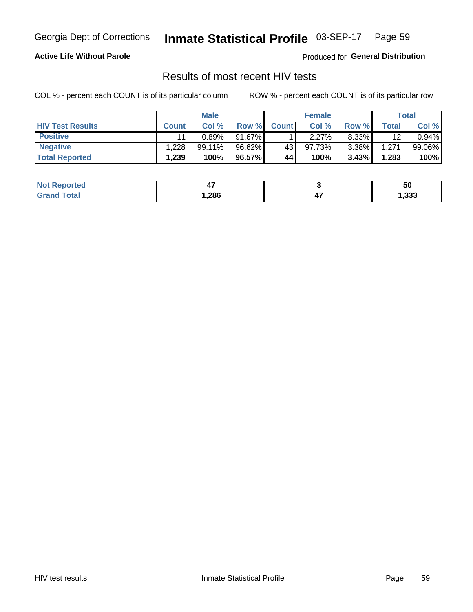#### Inmate Statistical Profile 03-SEP-17 Page 59

### **Active Life Without Parole**

Produced for General Distribution

# Results of most recent HIV tests

COL % - percent each COUNT is of its particular column

|                         |              | <b>Male</b> |        |              | <b>Female</b> |          |       | Total  |
|-------------------------|--------------|-------------|--------|--------------|---------------|----------|-------|--------|
| <b>HIV Test Results</b> | <b>Count</b> | Col%        | Row %I | <b>Count</b> | Col %         | Row %    | Total | Col %  |
| <b>Positive</b>         | 11           | 0.89%       | 91.67% |              | 2.27%         | 8.33%    | 12    | 0.94%  |
| <b>Negative</b>         | .228         | 99.11%      | 96.62% | 43           | 97.73%        | $3.38\%$ | 1,271 | 99.06% |
| <b>Total Reported</b>   | ْ 239.،      | 100%        | 96.57% | 44           | 100%          | 3.43%    | 1,283 | 100%   |

| <b>Not Reported</b>      | т,     |    | ას    |
|--------------------------|--------|----|-------|
| <b>c</b> otal<br>$Gr2^-$ | 286, ا | т, | 1,333 |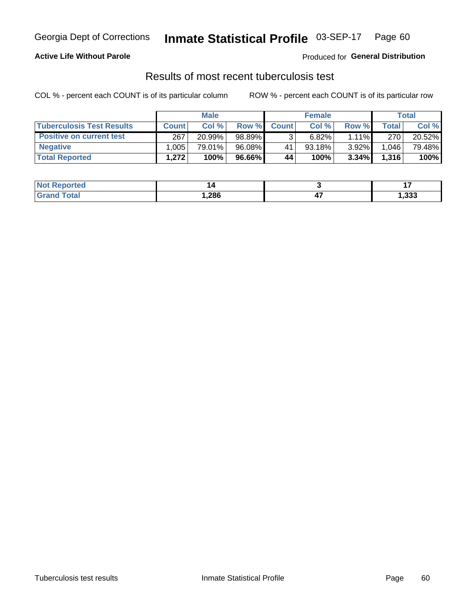# Georgia Dept of Corrections **Inmate Statistical Profile** 03-SEP-17 Page 60

### **Active Life Without Parole**

Produced for **General Distribution**

# Results of most recent tuberculosis test

COL % - percent each COUNT is of its particular column ROW % - percent each COUNT is of its particular row

|                                  | <b>Male</b>  |        |        | <b>Female</b> |        |          | Total |        |
|----------------------------------|--------------|--------|--------|---------------|--------|----------|-------|--------|
| <b>Tuberculosis Test Results</b> | <b>Count</b> | Col%   | Row %I | <b>Count</b>  | Col%   | Row %    | Total | Col %  |
| <b>Positive on current test</b>  | 267          | 20.99% | 98.89% |               | 6.82%  | $1.11\%$ | 270   | 20.52% |
| <b>Negative</b>                  | .005         | 79.01% | 96.08% | 41            | 93.18% | 3.92%    | 1,046 | 79.48% |
| <b>Total Reported</b>            | 1,272        | 100%   | 96.66% | 44            | 100%   | 3.34%    | 1,316 | 100%   |

| <b>Not Reported</b> |       |     |       |
|---------------------|-------|-----|-------|
| <b>Grand Total</b>  | 286,، | − 1 | 1,333 |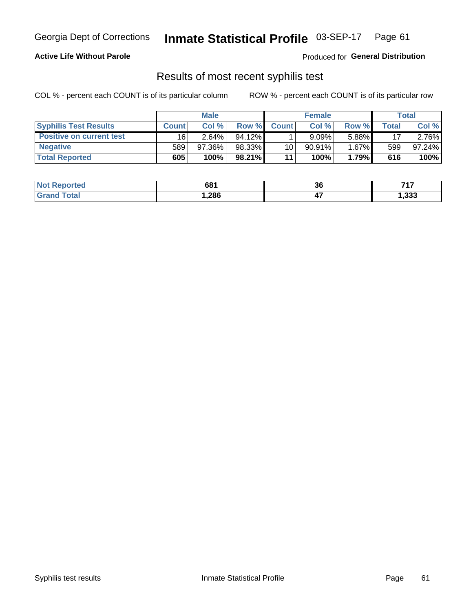# Georgia Dept of Corrections **Inmate Statistical Profile** 03-SEP-17 Page 61

### **Active Life Without Parole**

Produced for **General Distribution**

# Results of most recent syphilis test

COL % - percent each COUNT is of its particular column ROW % - percent each COUNT is of its particular row

|                                 | <b>Male</b>  |        |           | <b>Female</b> |           |          | Total |        |
|---------------------------------|--------------|--------|-----------|---------------|-----------|----------|-------|--------|
| <b>Syphilis Test Results</b>    | <b>Count</b> | Col %  | Row %     | <b>Count</b>  | Col %     | Row %I   | Total | Col %  |
| <b>Positive on current test</b> | 16           | 2.64%  | $94.12\%$ |               | 9.09%     | 5.88%    | 17    | 2.76%  |
| <b>Negative</b>                 | 589          | 97.36% | 98.33%    | 10            | $90.91\%$ | $1.67\%$ | 599   | 97.24% |
| <b>Total Reported</b>           | 605          | 100%   | 98.21%    | 11            | 100%      | 1.79%    | 616   | 100%   |

| <b>Not Reported</b> | 681  | 36 | フィフ   |
|---------------------|------|----|-------|
| <b>Total</b>        | 286، | −. | 1,333 |